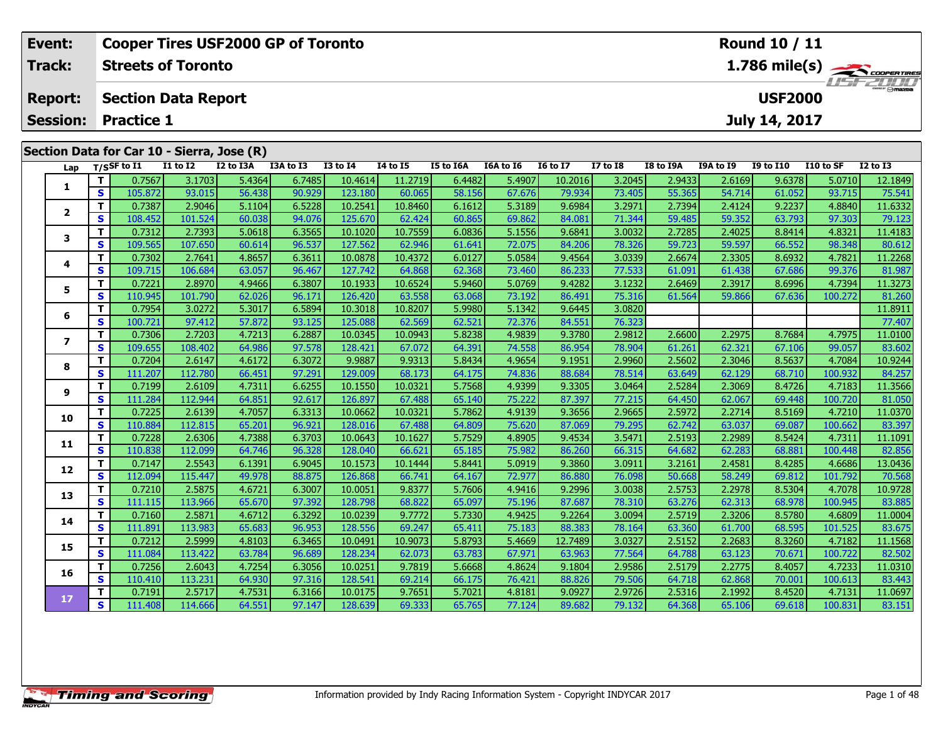|               | Event:                                                            |    |                   |                           | <b>Cooper Tires USF2000 GP of Toronto</b> |           | Round 10 / 11 |                 |           |           |                 |                                           |               |           |                  |           |              |
|---------------|-------------------------------------------------------------------|----|-------------------|---------------------------|-------------------------------------------|-----------|---------------|-----------------|-----------|-----------|-----------------|-------------------------------------------|---------------|-----------|------------------|-----------|--------------|
| <b>Track:</b> |                                                                   |    |                   | <b>Streets of Toronto</b> |                                           |           |               |                 |           |           |                 | $1.786$ mile(s) $\rightarrow$ Coorenances |               |           |                  |           |              |
|               | <b>Section Data Report</b><br><b>Report:</b><br><b>Practice 1</b> |    |                   |                           |                                           |           |               |                 |           |           |                 |                                           |               |           | <b>USF2000</b>   |           | LISTZULU     |
|               | <b>Session:</b>                                                   |    |                   |                           |                                           |           |               |                 |           |           |                 |                                           | July 14, 2017 |           |                  |           |              |
|               | Section Data for Car 10 - Sierra, Jose (R)                        |    |                   |                           |                                           |           |               |                 |           |           |                 |                                           |               |           |                  |           |              |
|               |                                                                   |    | Lap $T/SSF$ to I1 | <b>I1 to I2</b>           | I2 to I3A                                 | I3A to I3 | $I3$ to $I4$  | <b>I4 to I5</b> | I5 to I6A | I6A to I6 | <b>16 to 17</b> | $I7$ to $I8$                              | I8 to I9A     | I9A to I9 | <b>I9 to I10</b> | I10 to SF | $I2$ to $I3$ |
|               |                                                                   |    | 0.7567            | 3.1703                    | 5.4364                                    | 6.7485    | 10.4614       | 11.2719         | 6.4482    | 5.4907    | 10.2016         | 3.2045                                    | 2.9433        | 2.6169    | 9.6378           | 5.0710    | 12.1849      |
|               |                                                                   | S. | 105.872           | 93.015                    | 56.438                                    | 90.929    | 123.180       | 60.065          | 58.156    | 67.676    | 79.934          | 73.405                                    | 55.365        | 54.714    | 61.052           | 93.715    | 75.541       |
|               |                                                                   |    | 0.7387            | 2.9046                    | 5.1104                                    | 6.5228    | 10.2541       | 10.8460         | 6.1612    | 5.3189    | 9.6984          | 3.2971                                    | 2.7394        | 2.4124    | 9.2237           | 4.8840    | 11.6332      |
|               |                                                                   | S. | 108.452           | 101.524                   | 60.038                                    | 94.076    | 125.670       | 62.424          | 60.865    | 69.862    | 84.081          | 71.344                                    | 59.485        | 59.352    | 63.793           | 97.303    | 79.123       |
|               |                                                                   |    | 0.7312            | 2.7393                    | 5.0618                                    | 6.3565    | 10.1020       | 10.7559         | 6.0836    | 5.1556    | 9.6841          | 3.0032                                    | 2.7285        | 2.4025    | 8.8414           | 4.8321    | 11.4183      |
|               | з                                                                 | S. | 109.565           | 107.650                   | 60.614                                    | 96.537    | 127.562       | 62.946          | 61.641    | 72.075    | 84.206          | 78.326                                    | 59.723        | 59.597    | 66.552           | 98.348    | 80.612       |

**<sup>T</sup>** 0.7302 2.7641 4.8657 6.3611 10.0878 10.4372 6.0127 5.0584 9.4564 3.0339 2.6674 2.3305 8.6932 4.7821 11.2268 **<sup>S</sup>** 109.715 106.684 63.057 96.467 127.742 64.868 62.368 73.460 86.233 77.533 61.091 61.438 67.686 99.376 81.987

5 | T | 0.7221| 2.8970| 4.9466| 6.3807| 10.1933| 10.6524| 5.9460| 5.0769| 9.4282| 3.1232| 2.6469| 2.3917| 8.6996| 4.7394| 11.3273<br>| S | 110.945| 101.790| 62.026| 96.171| 126.420| 63.558| 63.068| 73.192| 86.491| 75.316| 61.

**<sup>T</sup>** 0.7954 3.0272 5.3017 6.5894 10.3018 10.8207 5.9980 5.1342 9.6445 3.0820 11.8911 **<sup>S</sup>** 100.721 97.412 57.872 93.125 125.088 62.569 62.521 72.376 84.551 76.323 77.407

7 | T | 0.7306| 2.7203| 4.7213| 6.2887| 10.0345| 10.0943| 5.8238| 4.9839| 9.3780| 2.9812| 2.6600| 2.2975| 8.7684| 4.7975| 11.0100<br>7 | S | 109.655| 108.402| 64.986| 97.578| 128.421| 67.072| 64.391| 74.558| 86.954| 78.904| 6

8 T 0.7204 2.6147 4.6172 6.3072 9.9887 9.9313 5.8434 4.9654 9.1951 2.9960 2.5602 2.3046 8.5637 4.7084 10.9244<br>8 S 111.207 112.780 66.451 97.291 129.009 68.173 64.175 74.836 88.684 78.514 63.649 62.129 68.710 100.932 84.257

11.3566 111.284 112.944 112.944 14.851 12.617 126.897 10.0321 17.7568 1.9399 9.3305 3.0464 2.5284 2.5284 2.3069<br>S 111.284 112.944 64.851 92.617 126.897 67.488 65.140 75.222 87.397 77.215 64.450 62.067 69.448 100.720 81.05

0 T 0.7225| 2.6139| 4.7057| 6.3313| 10.0662| 10.0321| 5.7862| 4.9139| 9.3656| 2.9665| 2.5972| 2.2714| 8.5169| 4.7210| 11.0370<br>| S 110.884 112.815| 65.201| 96.921| 128.016| 67.488| 64.809| 75.620| 87.069| 79.295| 62.742| 63

**<sup>T</sup>** 0.7228 2.6306 4.7388 6.3703 10.0643 10.1627 5.7529 4.8905 9.4534 3.5471 2.5193 2.2989 8.5424 4.7311 11.1091 **<sup>S</sup>** 110.838 112.099 64.746 96.328 128.040 66.621 65.185 75.982 86.260 66.315 64.682 62.283 68.881 100.448 82.856

2 T 0.7147 2.5543 6.1391 6.9045 10.1573 10.1444 5.8441 5.0919 9.3860 3.0911 3.2161 2.4581 8.4285 4.6686 13.0436<br>2 S 112.094 115.447 49.978 88.875 126.868 66.741 64.167 72.977 86.880 76.098 50.668 58.249 69.812 101.792 70.5

3 T 0.7210 2.5875 4.6721 6.3007 10.0051 9.8377 5.7606 4.9416 9.2996 3.0038 2.5753 2.2978 8.5304 4.7078 10.9728<br>S 111.115 113.966 65.670 97.392 128.798 68.822 65.097 75.196 87.687 78.310 63.276 62.313 68.978 100.945 83.885

**<sup>T</sup>** 0.7160 2.5871 4.6712 6.3292 10.0239 9.7772 5.7330 4.9425 9.2264 3.0094 2.5719 2.3206 8.5780 4.6809 11.0004 **<sup>S</sup>** 111.891 113.983 65.683 96.953 128.556 69.247 65.411 75.183 88.383 78.164 63.360 61.700 68.595 101.525 83.675

5 T 0.7212 2.5999 4.8103 6.3465 10.0491 10.9073 5.8793 5.4669 12.7489 3.0327 2.5152 2.2683 8.3260 4.7182 11.1568<br>5 S 111.084 113.422 63.784 96.689 128.234 62.073 63.783 67.971 63.963 77.564 64.788 63.123 70.671 100.722 82.

6 | T | 0.7256| 2.6043| 4.7254| 6.3056| 10.0251| 9.7819| 5.6668| 4.8624| 9.1804| 2.9586| 2.5179| 2.2775| 8.4057| 4.7233| 11.0310<br>| S | 110.410| 113.231| 64.930| 97.316| 128.541| 69.214| 66.175| 76.421| 88.826| 79.506| 64.7

7 T 0.7191 2.5717 4.7531 6.3166 10.0175 9.7651 5.7021 4.8181 9.0927 2.9726 2.5316 2.1992 8.4520 4.7131 11.0697<br>7 S 111.408 114.666 64.551 97.147 128.639 69.333 65.765 77.124 89.682 79.132 64.368 65.106 69.618 100.831 83.15

**4**

**5**

**6**

**7**

**8**

**9**

**10**

**11**

**12**

**13**

**14**

**15**

**16**

**17**

| <b>Timing and Scoring</b> |  |  |
|---------------------------|--|--|
|                           |  |  |

81.987

83.602

81.050

83.675

83.443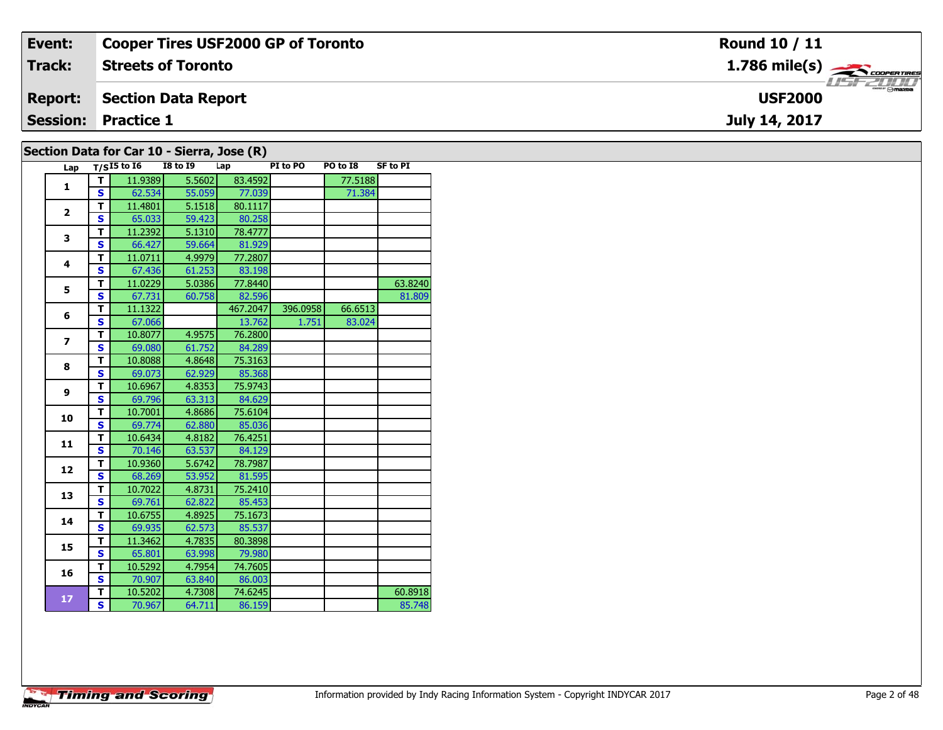| Event:         | <b>Cooper Tires USF2000 GP of Toronto</b> | Round 10 / 11                            |
|----------------|-------------------------------------------|------------------------------------------|
| Track:         | <b>Streets of Toronto</b>                 | $1.786$ mile(s) $\rightarrow$ coorewines |
| <b>Report:</b> | Section Data Report                       | <b>USF2000</b>                           |
|                | <b>Session: Practice 1</b>                | July 14, 2017                            |
|                | .<br>$\sim$                               |                                          |

|  |  |  |  | Section Data for Car 10 - Sierra, Jose (R) |  |  |  |
|--|--|--|--|--------------------------------------------|--|--|--|
|--|--|--|--|--------------------------------------------|--|--|--|

| Lap                     |              | $T/SI5$ to $I6$ | <b>I8 to I9</b> | Lap      | PI to PO | PO to I8 | <b>SF to PI</b> |
|-------------------------|--------------|-----------------|-----------------|----------|----------|----------|-----------------|
| $\mathbf{1}$            | т            | 11.9389         | 5.5602          | 83.4592  |          | 77.5188  |                 |
|                         | S            | 62.534          | 55.059          | 77.039   |          | 71.384   |                 |
| $\overline{2}$          | T            | 11.4801         | 5.1518          | 80.1117  |          |          |                 |
|                         | S            | 65.033          | 59.423          | 80.258   |          |          |                 |
| 3                       | т            | 11.2392         | 5.1310          | 78.4777  |          |          |                 |
|                         | $\mathbf{s}$ | 66.427          | 59.664          | 81.929   |          |          |                 |
| 4                       | T            | 11.0711         | 4.9979          | 77.2807  |          |          |                 |
|                         | $\mathbf{s}$ | 67.436          | 61.253          | 83.198   |          |          |                 |
| 5                       | т            | 11.0229         | 5.0386          | 77.8440  |          |          | 63.8240         |
|                         | S            | 67.731          | 60.758          | 82.596   |          |          | 81.809          |
| 6                       | T            | 11.1322         |                 | 467.2047 | 396.0958 | 66.6513  |                 |
|                         | S            | 67.066          |                 | 13.762   | 1.751    | 83.024   |                 |
| $\overline{\mathbf{z}}$ | т            | 10.8077         | 4.9575          | 76.2800  |          |          |                 |
|                         | S            | 69.080          | 61.752          | 84.289   |          |          |                 |
| 8                       | T            | 10.8088         | 4.8648          | 75.3163  |          |          |                 |
|                         | S            | 69.073          | 62.929          | 85.368   |          |          |                 |
| 9                       | T            | 10.6967         | 4.8353          | 75.9743  |          |          |                 |
|                         | $\mathbf{s}$ | 69.796          | 63.313          | 84.629   |          |          |                 |
| 10                      | T            | 10.7001         | 4.8686          | 75.6104  |          |          |                 |
|                         | S            | 69.774          | 62.880          | 85.036   |          |          |                 |
| 11                      | T            | 10.6434         | 4.8182          | 76.4251  |          |          |                 |
|                         | S            | 70.146          | 63.537          | 84.129   |          |          |                 |
| 12                      | T            | 10.9360         | 5.6742          | 78.7987  |          |          |                 |
|                         | S            | 68.269          | 53.952          | 81.595   |          |          |                 |
| 13                      | T            | 10.7022         | 4.8731          | 75.2410  |          |          |                 |
|                         | S            | 69.761          | 62.822          | 85.453   |          |          |                 |
| 14                      | T            | 10.6755         | 4.8925          | 75.1673  |          |          |                 |
|                         | S            | 69.935          | 62.573          | 85.537   |          |          |                 |
| 15                      | T            | 11.3462         | 4.7835          | 80.3898  |          |          |                 |
|                         | $\mathbf{s}$ | 65.801          | 63.998          | 79.980   |          |          |                 |
| 16                      | T            | 10.5292         | 4.7954          | 74.7605  |          |          |                 |
|                         | $\mathbf{s}$ | 70.907          | 63.840          | 86.003   |          |          |                 |
| 17                      | т            | 10.5202         | 4.7308          | 74.6245  |          |          | 60.8918         |
|                         | S.           | 70.967          | 64.711          | 86.159   |          |          | 85.748          |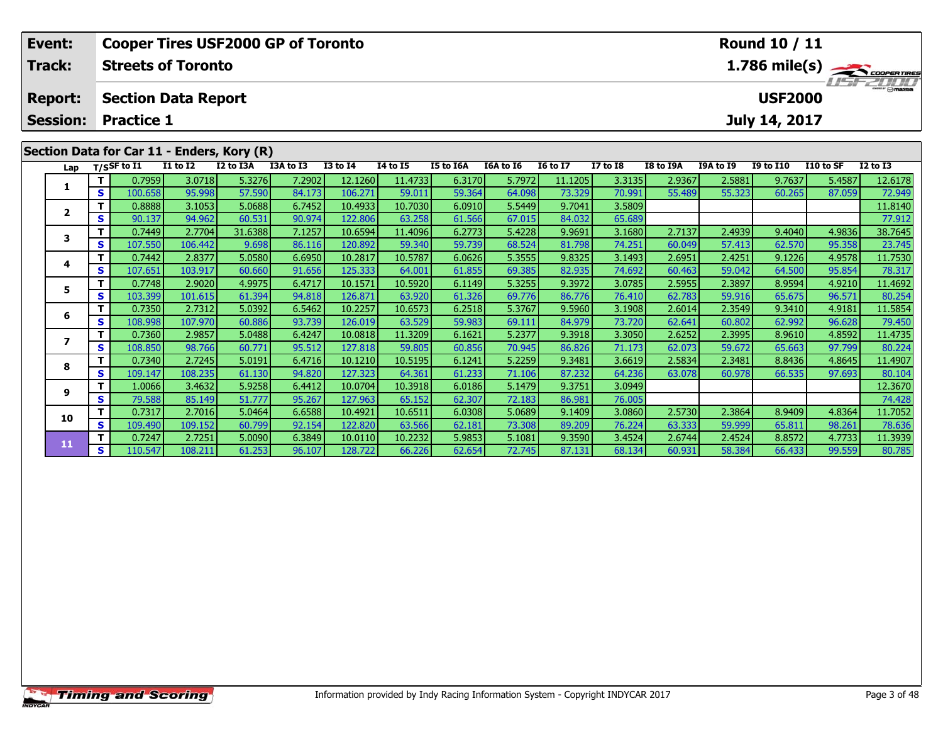| Event:                                                          |    |                   |                            | <b>Cooper Tires USF2000 GP of Toronto</b> |                  |                    |                            |                  | <b>Round 10 / 11</b> |                   |                                                                |                  |                  |                  |                  |                   |
|-----------------------------------------------------------------|----|-------------------|----------------------------|-------------------------------------------|------------------|--------------------|----------------------------|------------------|----------------------|-------------------|----------------------------------------------------------------|------------------|------------------|------------------|------------------|-------------------|
| Track:                                                          |    |                   | <b>Streets of Toronto</b>  |                                           |                  |                    |                            |                  |                      |                   | $1.786$ mile(s) $\rightarrow$ Coorga Tines<br><b>LISFELINI</b> |                  |                  |                  |                  |                   |
| <b>Report:</b>                                                  |    |                   | <b>Section Data Report</b> |                                           |                  |                    |                            |                  |                      |                   |                                                                |                  |                  | <b>USF2000</b>   |                  |                   |
| <b>Session:</b><br><b>Practice 1</b>                            |    |                   |                            |                                           |                  |                    |                            |                  |                      |                   |                                                                |                  | July 14, 2017    |                  |                  |                   |
| Section Data for Car 11 - Enders, Kory (R)<br>Lap $T/SSF$ to I1 |    |                   |                            |                                           |                  |                    |                            |                  |                      |                   |                                                                |                  |                  |                  |                  |                   |
|                                                                 |    |                   | <b>I1 to I2</b>            | I2 to I3A                                 | I3A to I3        | <b>I3 to I4</b>    | <b>I4 to I5</b><br>11.4733 | I5 to I6A        | I6A to I6            | <b>16 to 17</b>   | <b>I7 to I8</b>                                                | I8 to I9A        | <b>I9A to I9</b> | <b>I9 to I10</b> | I10 to SF        | $I2$ to $I3$      |
|                                                                 | S. | 0.7959<br>100.658 | 3.0718<br>95.998           | 5.3276<br>57.590                          | 7.2902<br>84.173 | 12.1260<br>106.271 | 59.011                     | 6.3170<br>59.364 | 5.7972<br>64.098     | 11.1205<br>73.329 | 3.3135<br>70.991                                               | 2.9367<br>55.489 | 2.5881<br>55.323 | 9.7637<br>60.265 | 5.4587<br>87.059 | 12.6178<br>72.949 |
|                                                                 |    |                   | 3.1053                     | 5.0688                                    | 6.7452           |                    | 10.7030                    | 6.0910           | 5.5449               | 9.7041            | 3.5809                                                         |                  |                  |                  |                  | 11.8140           |
| $\mathbf{2}$                                                    |    | 0.8888            |                            | 60.531                                    | 90.974           | 10.4933<br>122.806 | 63.258                     |                  |                      | 84.032            | 65.689                                                         |                  |                  |                  |                  | 77.912            |
| S.                                                              |    | 90.137            | 94.962                     |                                           |                  |                    |                            | 61.566           | 67.015               |                   |                                                                |                  |                  |                  |                  |                   |

3 T | 0.7449 2.7704 31.6388 7.1257 10.6594 11.4096 6.2773 5.4228 9.9691 3.1680 2.7137 2.4939 9.4040 4.9836 38.7645<br>S | S 107.550 106.442 9.698 86.116 120.892 59.340 59.739 68.524 81.798 74.251 60.049 57.413 62.570 95.358 2

**<sup>T</sup>** 0.7442 2.8377 5.0580 6.6950 10.2817 10.5787 6.0626 5.3555 9.8325 3.1493 2.6951 2.4251 9.1226 4.9578 11.7530 **<sup>S</sup>** 107.651 103.917 60.660 91.656 125.333 64.001 61.855 69.385 82.935 74.692 60.463 59.042 64.500 95.854 78.317

**<sup>T</sup>** 0.7748 2.9020 4.9975 6.4717 10.1571 10.5920 6.1149 5.3255 9.3972 3.0785 2.5955 2.3897 8.9594 4.9210 11.4692 **<sup>S</sup>** 103.399 101.615 61.394 94.818 126.871 63.920 61.326 69.776 86.776 76.410 62.783 59.916 65.675 96.571 80.254

6 | T | 0.7350| 2.7312| 5.0392| 6.5462| 10.2257| 10.6573| 6.2518| 5.3767| 9.5960| 3.1908| 2.6014| 2.3549| 9.3410| 4.9181| 11.5854<br>| S | 108.998| 107.970| 60.886| 93.739| 126.019| 63.529| 59.983| 69.111| 84.979| 73.720| 62.

7 | T | 0.7360| 2.9857| 5.0488| 6.4247| 10.0818| 11.3209| 6.1621| 5.2377| 9.3918| 3.3050| 2.6252| 2.3995| 8.9610| 4.8592| 11.4735<br>7 | S | 108.850 | 98.766 | 60.771 | 95.512 | 127.818 | 59.805 | 60.856 | 70.945 | 86.826 | 7

8 T 0.7340 2.7245 5.0191 6.4716 10.1210 10.5195 6.1241 5.2259 9.3481 3.6619 2.5834 2.3481 8.8436 4.8645 11.4907<br>8 S 109.147 108.235 61.130 94.820 127.323 64.361 61.233 71.106 87.232 64.236 63.078 60.978 66.535 97.693 80.10

**<sup>T</sup>** 1.0066 3.4632 5.9258 6.4412 10.0704 10.3918 6.0186 5.1479 9.3751 3.0949 12.3670 **<sup>S</sup>** 79.588 85.149 51.777 95.267 127.963 65.152 62.307 72.183 86.981 76.005 74.428

0 T 0.7317 2.7016 5.0464 6.6588 10.4921 10.6511 6.0308 5.0689 9.1409 3.0860 2.5730 2.3864 8.9409 4.8364 11.7052<br>S 109.490 109.152 60.799 92.154 122.820 63.566 62.181 73.308 89.209 76.224 63.333 59.999 65.811 98.261 78.636

**<sup>T</sup>** 0.7247 2.7251 5.0090 6.3849 10.0110 10.2232 5.9853 5.1081 9.3590 3.4524 2.6744 2.4524 8.8572 4.7733 11.3939 **<sup>S</sup>** 110.547 108.211 61.253 96.107 128.722 66.226 62.654 72.745 87.131 68.134 60.931 58.384 66.433 99.559 80.785

**3**

**4**

**5**

**6**

**7**

**8**

**9**

**10**

**11**

78.317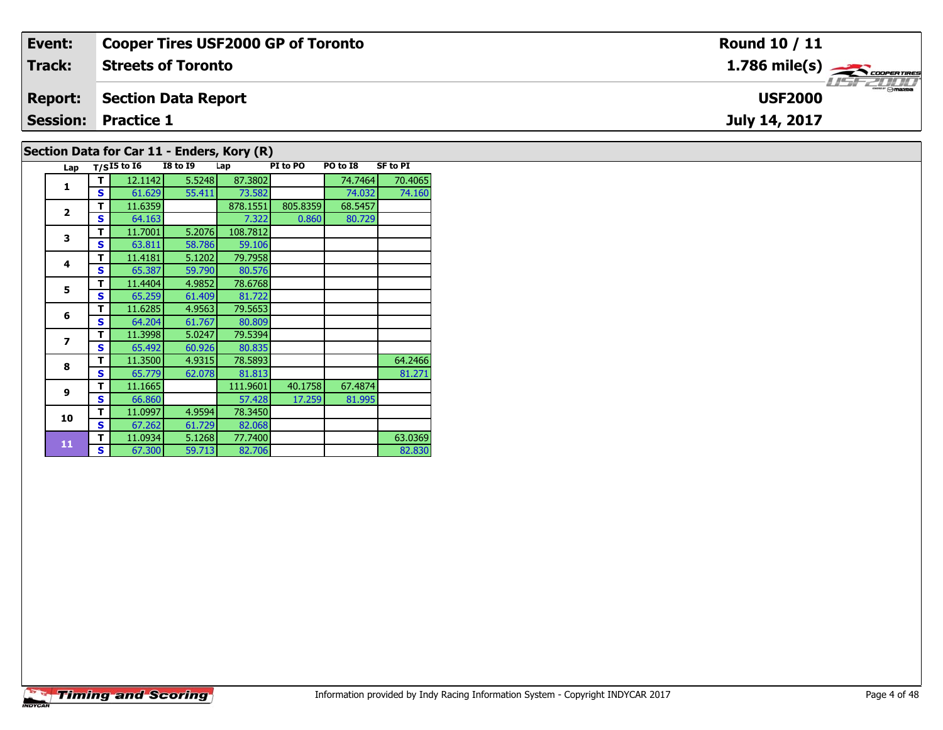| Event:         | <b>Cooper Tires USF2000 GP of Toronto</b> | Round 10 / 11                                          |  |  |  |  |  |  |  |  |
|----------------|-------------------------------------------|--------------------------------------------------------|--|--|--|--|--|--|--|--|
| Track:         | <b>Streets of Toronto</b>                 | $1.786$ mile(s) $\overbrace{\hspace{2cm}}$ coorentment |  |  |  |  |  |  |  |  |
| <b>Report:</b> | Section Data Report                       | <b>USF2000</b>                                         |  |  |  |  |  |  |  |  |
|                | <b>Session: Practice 1</b>                | July 14, 2017                                          |  |  |  |  |  |  |  |  |
|                | Section Data for Car 11 - Enders Kory (R) |                                                        |  |  |  |  |  |  |  |  |

# **Section Data for Car 11 - Enders, Kory (R)**

| Lap                      |   | $T/SI5$ to $I6$ | <b>I8 to I9</b> | Lap      | PI to PO | PO to I8 | <b>SF to PI</b> |
|--------------------------|---|-----------------|-----------------|----------|----------|----------|-----------------|
| 1                        | т | 12.1142         | 5.5248          | 87.3802  |          | 74.7464  | 70.4065         |
|                          | S | 61.629          | 55.411          | 73.582   |          | 74.032   | 74.160          |
| $\overline{2}$           | т | 11.6359         |                 | 878.1551 | 805.8359 | 68.5457  |                 |
|                          | S | 64.163          |                 | 7.322    | 0.860    | 80.729   |                 |
| 3                        | т | 11.7001         | 5.2076          | 108.7812 |          |          |                 |
|                          | S | 63.811          | 58.786          | 59.106   |          |          |                 |
| 4                        | т | 11.4181         | 5.1202          | 79.7958  |          |          |                 |
|                          | S | 65.387          | 59.790          | 80.576   |          |          |                 |
| 5                        | т | 11.4404         | 4.9852          | 78.6768  |          |          |                 |
|                          | S | 65.259          | 61.409          | 81.722   |          |          |                 |
| 6                        | т | 11.6285         | 4.9563          | 79.5653  |          |          |                 |
|                          | S | 64.204          | 61.767          | 80.809   |          |          |                 |
| $\overline{\phantom{a}}$ | т | 11.3998         | 5.0247          | 79.5394  |          |          |                 |
|                          | S | 65.492          | 60.926          | 80.835   |          |          |                 |
| 8                        | т | 11.3500         | 4.9315          | 78.5893  |          |          | 64.2466         |
|                          | S | 65.779          | 62.078          | 81.813   |          |          | 81.271          |
| 9                        | т | 11.1665         |                 | 111.9601 | 40.1758  | 67.4874  |                 |
|                          | S | 66.860          |                 | 57.428   | 17.259   | 81.995   |                 |
| 10                       | т | 11.0997         | 4.9594          | 78.3450  |          |          |                 |
|                          | S | 67.262          | 61.729          | 82.068   |          |          |                 |
| 11                       | т | 11.0934         | 5.1268          | 77.7400  |          |          | 63.0369         |
|                          | S | 67.300          | 59.713          | 82.706   |          |          | 82.830          |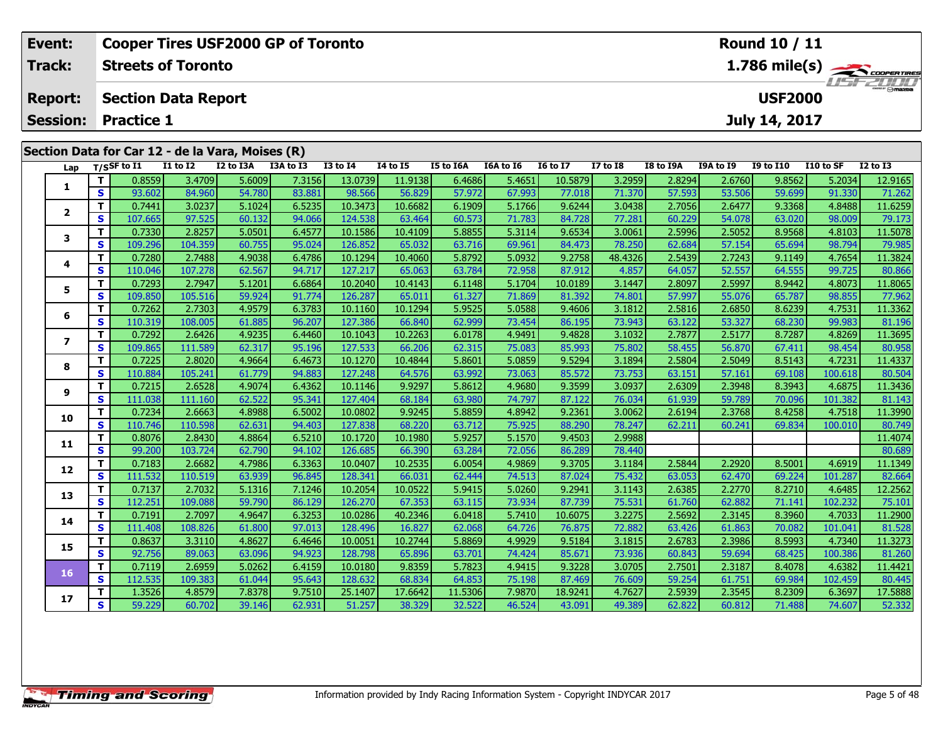| Event:                                       |    |                           |                 | <b>Cooper Tires USF2000 GP of Toronto</b>        |           |              |          | <b>Round 10 / 11</b> |           |                 |              |                                          |           |                  |           |                 |  |
|----------------------------------------------|----|---------------------------|-----------------|--------------------------------------------------|-----------|--------------|----------|----------------------|-----------|-----------------|--------------|------------------------------------------|-----------|------------------|-----------|-----------------|--|
| <b>Track:</b>                                |    | <b>Streets of Toronto</b> |                 |                                                  |           |              |          |                      |           |                 |              | $1.786$ mile(s) $\rightarrow$ coorenance |           |                  |           |                 |  |
| <b>Section Data Report</b><br><b>Report:</b> |    |                           |                 |                                                  |           |              |          |                      |           |                 |              |                                          |           | <b>USF2000</b>   |           |                 |  |
| <b>Session:</b>                              |    | <b>Practice 1</b>         |                 |                                                  |           |              |          |                      |           |                 |              |                                          |           | July 14, 2017    |           |                 |  |
|                                              |    |                           |                 |                                                  |           |              |          |                      |           |                 |              |                                          |           |                  |           |                 |  |
|                                              |    |                           |                 | Section Data for Car 12 - de la Vara, Moises (R) |           |              |          |                      |           |                 |              |                                          |           |                  |           |                 |  |
|                                              |    | Lap T/SSF to I1           | <b>I1 to I2</b> | I2 to I3A                                        | I3A to I3 | $I3$ to $I4$ | 14 to 15 | I5 to I6A            | I6A to I6 | <b>16 to 17</b> | $I7$ to $I8$ | <b>I8 to I9A</b>                         | I9A to I9 | <b>I9 to I10</b> | I10 to SF | <b>I2 to I3</b> |  |
|                                              |    | 0.8559                    | 3.4709          | 5.6009                                           | 7.3156    | 13.0739      | 11.9138  | 6.4686               | 5.4651    | 10.5879         | 3.2959       | 2.8294                                   | 2.6760    | 9.8562           | 5.2034    | 12.9165         |  |
|                                              | S. | 93.602                    | 84.960          | 54.780                                           | 83.881    | 98.566       | 56.829   | 57.972               | 67.993    | 77.018          | 71.370       | 57.593                                   | 53.506    | 59.699           | 91.330    | 71.262          |  |
|                                              | T. | 0.7441                    | 3.0237          | 5.1024                                           | 6.5235    | 10.3473      | 10.6682  | 6.1909               | 5.1766    | 9.6244          | 3.0438       | 2.7056                                   | 2.6477    | 9.3368           | 4.8488    | 11.6259         |  |
|                                              | S  | 107.665                   | 97.525          | 60.132                                           | 94.066    | 124.538      | 63.464   | 60.573               | 71.783    | 84.728          | 77.281       | 60.229                                   | 54.078    | 63.020           | 98.009    | 79.173          |  |
|                                              |    | 0.7330                    | 2.8257          | 5.0501                                           | 6.4577    | 10.1586      | 10.4109  | 5.8855               | 5.3114    | 9.6534          | 3.0061       | 2.5996                                   | 2.5052    | 8.9568           | 4.8103    | 11.5078         |  |
| 3                                            | S  | 109.296                   | 104.359         | 60.755                                           | 95.024    | 126.852      | 65.032   | 63.716               | 69.961    | 84.473          | 78.250       | 62.684                                   | 57.154    | 65.694           | 98.794    | 79.985          |  |
|                                              |    |                           |                 |                                                  |           |              |          |                      |           |                 |              |                                          |           |                  |           |                 |  |

| 1              | т  | 0.8559  | 3.4709  | 5.6009 | 7.3156 | 13.0739 | 11.9138 | 6.4686  | 5.4651 | 10.5879 | 3.2959  | 2.8294 | 2.6760 | 9.8562 | 5.2034  | 12.9165 |
|----------------|----|---------|---------|--------|--------|---------|---------|---------|--------|---------|---------|--------|--------|--------|---------|---------|
|                | S  | 93.602  | 84.960  | 54.780 | 83.881 | 98.566  | 56.829  | 57.972  | 67.993 | 77.018  | 71.370  | 57.593 | 53.506 | 59.699 | 91.330  | 71.262  |
| $\mathbf{2}$   | T. | 0.7441  | 3.0237  | 5.1024 | 6.5235 | 10.3473 | 10.6682 | 6.1909  | 5.1766 | 9.6244  | 3.0438  | 2.7056 | 2.6477 | 9.3368 | 4.8488  | 11.6259 |
|                | S  | 107.665 | 97.525  | 60.132 | 94.066 | 124.538 | 63.464  | 60.573  | 71.783 | 84.728  | 77.281  | 60.229 | 54.078 | 63.020 | 98.009  | 79.173  |
| 3              | T. | 0.7330  | 2.8257  | 5.0501 | 6.4577 | 10.1586 | 10.4109 | 5.8855  | 5.3114 | 9.6534  | 3.0061  | 2.5996 | 2.5052 | 8.9568 | 4.8103  | 11.5078 |
|                | S  | 109.296 | 104.359 | 60.755 | 95.024 | 126.852 | 65.032  | 63.716  | 69.961 | 84.473  | 78.250  | 62.684 | 57.154 | 65.694 | 98.794  | 79.985  |
| 4              | т  | 0.7280  | 2.7488  | 4.9038 | 6.4786 | 10.1294 | 10.4060 | 5.8792  | 5.0932 | 9.2758  | 48.4326 | 2.5439 | 2.7243 | 9.1149 | 4.7654  | 11.3824 |
|                | S  | 110.046 | 107.278 | 62.567 | 94.717 | 127.217 | 65.063  | 63.784  | 72.958 | 87.912  | 4.857   | 64.057 | 52.557 | 64.555 | 99.725  | 80.866  |
| 5              | т  | 0.7293  | 2.7947  | 5.1201 | 6.6864 | 10.2040 | 10.4143 | 6.1148  | 5.1704 | 10.0189 | 3.1447  | 2.8097 | 2.5997 | 8.9442 | 4.8073  | 11.8065 |
|                | S  | 109.850 | 105.516 | 59.924 | 91.774 | 126.287 | 65.011  | 61.327  | 71.869 | 81.392  | 74.801  | 57.997 | 55.076 | 65.787 | 98.855  | 77.962  |
| 6              | т  | 0.7262  | 2.7303  | 4.9579 | 6.3783 | 10.1160 | 10.1294 | 5.9525  | 5.0588 | 9.4606  | 3.1812  | 2.5816 | 2.6850 | 8.6239 | 4.7531  | 11.3362 |
|                | S  | 110.319 | 108.005 | 61.885 | 96.207 | 127.386 | 66.840  | 62.999  | 73.454 | 86.195  | 73.943  | 63.122 | 53.327 | 68.230 | 99.983  | 81.196  |
| $\overline{ }$ | T. | 0.7292  | 2.6426  | 4.9235 | 6.4460 | 10.1043 | 10.2263 | 6.0178  | 4.9491 | 9.4828  | 3.1032  | 2.7877 | 2.5177 | 8.7287 | 4.8269  | 11.3695 |
|                | S  | 109.865 | 111.589 | 62.317 | 95.196 | 127.533 | 66.206  | 62.315  | 75.083 | 85.993  | 75.802  | 58.455 | 56.870 | 67.411 | 98.454  | 80.958  |
| 8              | T. | 0.7225  | 2.8020  | 4.9664 | 6.4673 | 10.1270 | 10.4844 | 5.8601  | 5.0859 | 9.5294  | 3.1894  | 2.5804 | 2.5049 | 8.5143 | 4.7231  | 11.4337 |
|                | S  | 110.884 | 105.241 | 61.779 | 94.883 | 127.248 | 64.576  | 63.992  | 73.063 | 85.572  | 73.753  | 63.151 | 57.161 | 69.108 | 100.618 | 80.504  |
| 9              | т  | 0.7215  | 2.6528  | 4.9074 | 6.4362 | 10.1146 | 9.9297  | 5.8612  | 4.9680 | 9.3599  | 3.0937  | 2.6309 | 2.3948 | 8.3943 | 4.6875  | 11.3436 |
|                | s  | 111.038 | 111.160 | 62.522 | 95.341 | 127.404 | 68.184  | 63.980  | 74.797 | 87.122  | 76.034  | 61.939 | 59.789 | 70.096 | 101.382 | 81.143  |
| 10             | т  | 0.7234  | 2.6663  | 4.8988 | 6.5002 | 10.0802 | 9.9245  | 5.8859  | 4.8942 | 9.2361  | 3.0062  | 2.6194 | 2.3768 | 8.4258 | 4.7518  | 11.3990 |
|                | S. | 110.746 | 110.598 | 62.631 | 94.403 | 127.838 | 68.220  | 63.712  | 75.925 | 88.290  | 78.247  | 62.211 | 60.241 | 69.834 | 100.010 | 80.749  |
| 11             | т  | 0.8076  | 2.8430  | 4.8864 | 6.5210 | 10.1720 | 10.1980 | 5.9257  | 5.1570 | 9.4503  | 2.9988  |        |        |        |         | 11.4074 |
|                | S  | 99.200  | 103.724 | 62.790 | 94.102 | 126.685 | 66.390  | 63.284  | 72.056 | 86.289  | 78.440  |        |        |        |         | 80.689  |
| 12             | т  | 0.7183  | 2.6682  | 4.7986 | 6.3363 | 10.0407 | 10.2535 | 6.0054  | 4.9869 | 9.3705  | 3.1184  | 2.5844 | 2.2920 | 8.5001 | 4.6919  | 11.1349 |
|                | S  | 111.532 | 110.519 | 63.939 | 96.845 | 128.341 | 66.031  | 62.444  | 74.513 | 87.024  | 75.432  | 63.053 | 62.470 | 69.224 | 101.287 | 82.664  |
| 13             | т  | 0.7137  | 2.7032  | 5.1316 | 7.1246 | 10.2054 | 10.0522 | 5.9415  | 5.0260 | 9.2941  | 3.1143  | 2.6385 | 2.2770 | 8.2710 | 4.6485  | 12.2562 |
|                | S  | 112.251 | 109.088 | 59.790 | 86.129 | 126.270 | 67.353  | 63.115  | 73.934 | 87.739  | 75.531  | 61.760 | 62.882 | 71.141 | 102.232 | 75.101  |
| 14             | т  | 0.7191  | 2.7097  | 4.9647 | 6.3253 | 10.0286 | 40.2346 | 6.0418  | 5.7410 | 10.6075 | 3.2275  | 2.5692 | 2.3145 | 8.3960 | 4.7033  | 11.2900 |
|                | S  | 111.408 | 108.826 | 61.800 | 97.013 | 128.496 | 16.827  | 62.068  | 64.726 | 76.875  | 72.882  | 63.426 | 61.863 | 70.082 | 101.041 | 81.528  |
| 15             | т  | 0.8637  | 3.3110  | 4.8627 | 6.4646 | 10.0051 | 10.2744 | 5.8869  | 4.9929 | 9.5184  | 3.1815  | 2.6783 | 2.3986 | 8.5993 | 4.7340  | 11.3273 |
|                | S  | 92.756  | 89.063  | 63.096 | 94.923 | 128.798 | 65.896  | 63.701  | 74.424 | 85.671  | 73.936  | 60.843 | 59.694 | 68.425 | 100.386 | 81.260  |
| 16             | T. | 0.7119  | 2.6959  | 5.0262 | 6.4159 | 10.0180 | 9.8359  | 5.7823  | 4.9415 | 9.3228  | 3.0705  | 2.7501 | 2.3187 | 8.4078 | 4.6382  | 11.4421 |
|                | S  | 112.535 | 109.383 | 61.044 | 95.643 | 128.632 | 68.834  | 64.853  | 75.198 | 87.469  | 76.609  | 59.254 | 61.751 | 69.984 | 102.459 | 80.445  |
| 17             | T. | 1.3526  | 4.8579  | 7.8378 | 9.7510 | 25.1407 | 17.6642 | 11.5306 | 7.9870 | 18.9241 | 4.7627  | 2.5939 | 2.3545 | 8.2309 | 6.3697  | 17.5888 |
|                | S. | 59.229  | 60.702  | 39.146 | 62.931 | 51.257  | 38.329  | 32.522  | 46.524 | 43.091  | 49.389  | 62.822 | 60.812 | 71.488 | 74.607  | 52.332  |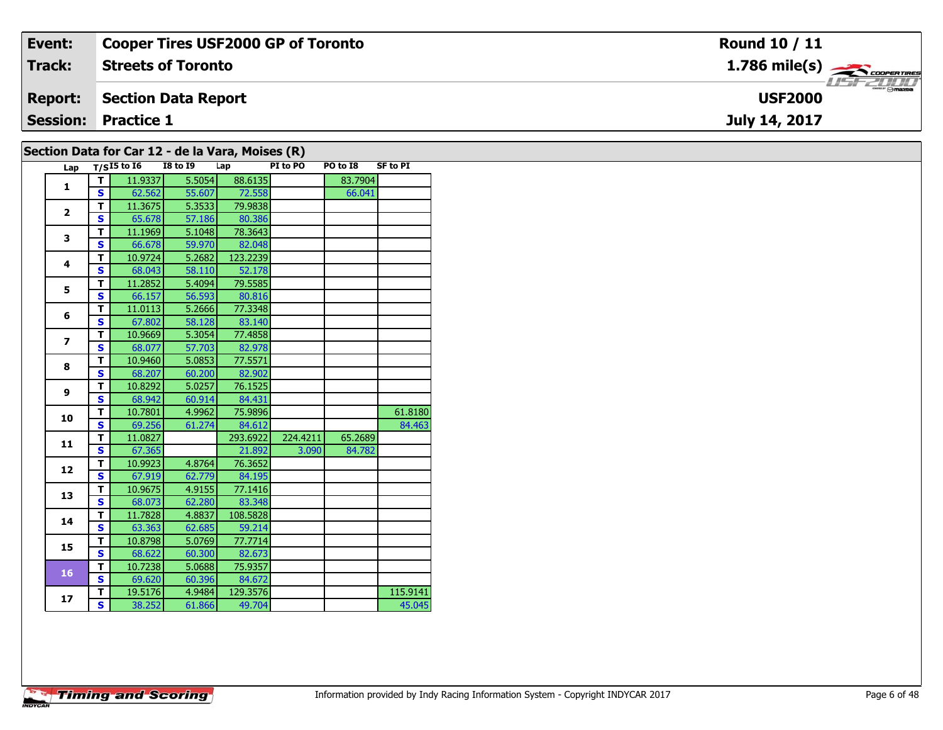| Event:          | <b>Cooper Tires USF2000 GP of Toronto</b> | Round 10 / 11                             |
|-----------------|-------------------------------------------|-------------------------------------------|
| Track:          | <b>Streets of Toronto</b>                 | $1.786$ mile(s) $\rightarrow$ COOPERTIRES |
| <b>Report:</b>  | <b>Section Data Report</b>                | omazoa<br><b>USF2000</b>                  |
| <b>Session:</b> | <b>Practice 1</b>                         | July 14, 2017                             |
|                 |                                           |                                           |

| Section Data for Car 12 - de la Vara, Moises (R) |  |  |  |  |  |  |
|--------------------------------------------------|--|--|--|--|--|--|
|--------------------------------------------------|--|--|--|--|--|--|

| Lap            |                         | $T/SI5$ to $\overline{16}$ | I8 to 19 | Lap      | .<br>PI to PO | PO to I8 | <b>SF to PI</b> |
|----------------|-------------------------|----------------------------|----------|----------|---------------|----------|-----------------|
| 1              | т                       | 11.9337                    | 5.5054   | 88.6135  |               | 83.7904  |                 |
|                | S.                      | 62.562                     | 55.607   | 72.558   |               | 66.041   |                 |
| $\overline{2}$ | T.                      | 11.3675                    | 5.3533   | 79.9838  |               |          |                 |
|                | S.                      | 65.678                     | 57.186   | 80.386   |               |          |                 |
| 3              | T.                      | 11.1969                    | 5.1048   | 78.3643  |               |          |                 |
|                | $\overline{\mathbf{s}}$ | 66.678                     | 59.970   | 82.048   |               |          |                 |
| 4              | $\overline{\mathsf{T}}$ | 10.9724                    | 5.2682   | 123.2239 |               |          |                 |
|                | S                       | 68.043                     | 58.110   | 52.178   |               |          |                 |
| 5              | T.                      | 11.2852                    | 5.4094   | 79.5585  |               |          |                 |
|                | $\overline{\mathbf{s}}$ | 66.157                     | 56.593   | 80.816   |               |          |                 |
| 6              | T.                      | 11.0113                    | 5.2666   | 77.3348  |               |          |                 |
|                | S                       | 67.802                     | 58.128   | 83.140   |               |          |                 |
| $\overline{ }$ | T.                      | 10.9669                    | 5.3054   | 77.4858  |               |          |                 |
|                | S.                      | 68.077                     | 57.703   | 82.978   |               |          |                 |
| 8              | T.                      | 10.9460                    | 5.0853   | 77.5571  |               |          |                 |
|                | S                       | 68.207                     | 60.200   | 82.902   |               |          |                 |
| 9              | T.                      | 10.8292                    | 5.0257   | 76.1525  |               |          |                 |
|                | S.                      | 68.942                     | 60.914   | 84.431   |               |          |                 |
| 10             | T.                      | 10.7801                    | 4.9962   | 75.9896  |               |          | 61.8180         |
|                | S                       | 69.256                     | 61.274   | 84.612   |               |          | 84.463          |
| 11             | T.                      | 11.0827                    |          | 293.6922 | 224.4211      | 65.2689  |                 |
|                | S                       | 67.365                     |          | 21.892   | 3.090         | 84.782   |                 |
| 12             | T.                      | 10.9923                    | 4.8764   | 76.3652  |               |          |                 |
|                | $\overline{\mathbf{s}}$ | 67.919                     | 62.779   | 84.195   |               |          |                 |
| 13             | T.                      | 10.9675                    | 4.9155   | 77.1416  |               |          |                 |
|                | S.                      | 68.073                     | 62.280   | 83.348   |               |          |                 |
| 14             | T                       | 11.7828                    | 4.8837   | 108.5828 |               |          |                 |
|                | S                       | 63.363                     | 62.685   | 59.214   |               |          |                 |
| 15             | T                       | 10.8798                    | 5.0769   | 77.7714  |               |          |                 |
|                | S                       | 68.622                     | 60.300   | 82.673   |               |          |                 |
| 16             | T.                      | 10.7238                    | 5.0688   | 75.9357  |               |          |                 |
|                | S.                      | 69.620                     | 60.396   | 84.672   |               |          |                 |
| 17             | Т.                      | 19.5176                    | 4.9484   | 129.3576 |               |          | 115.9141        |
|                | $\overline{\mathbf{s}}$ | 38.252                     | 61.866   | 49.704   |               |          | 45.045          |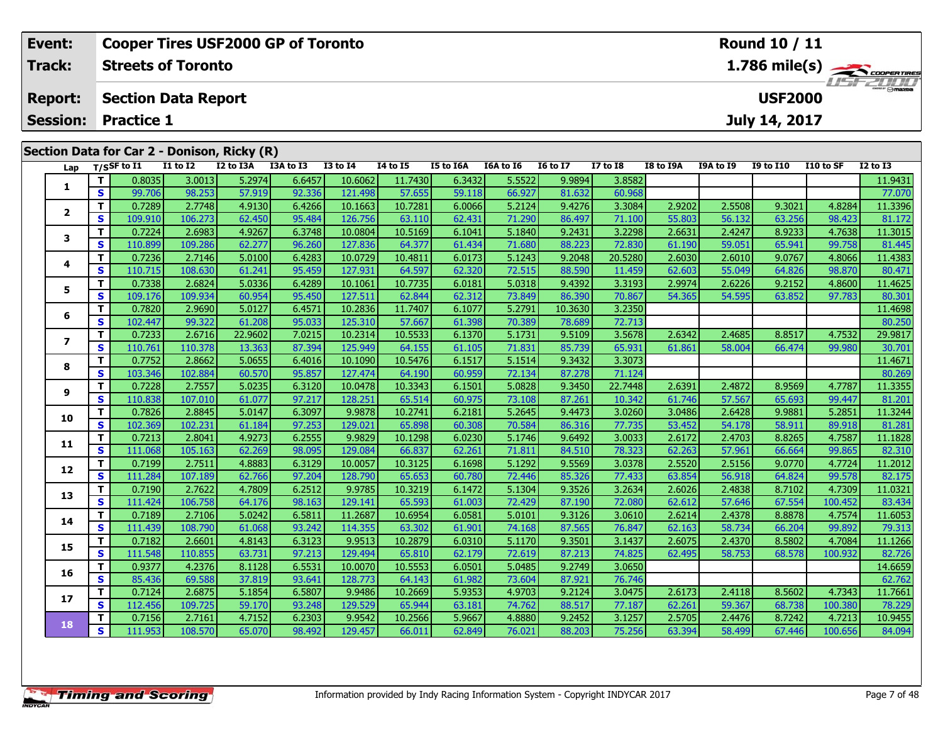| Event:          |    |                            |                 | <b>Cooper Tires USF2000 GP of Toronto</b>   |           |                 |                 |           | Round 10 / 11 |                 |                 |           |           |                |           |                                           |
|-----------------|----|----------------------------|-----------------|---------------------------------------------|-----------|-----------------|-----------------|-----------|---------------|-----------------|-----------------|-----------|-----------|----------------|-----------|-------------------------------------------|
| Track:          |    | <b>Streets of Toronto</b>  |                 |                                             |           |                 |                 |           |               |                 |                 |           |           |                |           | $1.786$ mile(s) $\rightarrow$ Coorenances |
| <b>Report:</b>  |    | <b>Section Data Report</b> |                 |                                             |           |                 |                 |           |               |                 |                 |           |           | <b>USF2000</b> |           | <b>LISE 2000</b>                          |
| <b>Session:</b> |    | <b>Practice 1</b>          |                 |                                             |           |                 |                 |           |               |                 |                 |           |           | July 14, 2017  |           |                                           |
|                 |    |                            |                 | Section Data for Car 2 - Donison, Ricky (R) |           |                 |                 |           |               |                 |                 |           |           |                |           |                                           |
| Lap             |    | $_{\rm T/SS}$ F to I1      | <b>I1 to I2</b> | I2 to I3A                                   | I3A to I3 | <b>I3 to I4</b> | <b>I4 to I5</b> | I5 to I6A | I6A to I6     | <b>16 to 17</b> | <b>I7 to I8</b> | I8 to I9A | I9A to I9 | I9 to I10      | I10 to SF | $I2$ to $I3$                              |
|                 |    | 0.8035                     | 3.0013          | 5.2974                                      | 6.6457    | 10.6062         | 11.7430         | 6.3432    | 5.5522        | 9.9894          | 3.8582          |           |           |                |           | 11.9431                                   |
|                 | S. | 99.706                     | 98.253          | 57.919                                      | 92.336    | 121.498         | 57.655          | 59.118    | 66.927        | 81.632          | 60.968          |           |           |                |           | 77.070                                    |
|                 |    | 0.7289                     | 2.7748          | 4.9130                                      | 6.4266    | 10.1663         | 10.7281         | 6.0066    | 5.2124        | 9.4276          | 3.3084          | 2.9202    | 2.5508    | 9.3021         | 4.8284    | 11.3396                                   |
|                 | S. | 109.910                    | 106.273         | 62.450                                      | 95.484    | 126.756         | 63.110          | 62.431    | 71.290        | 86.497          | 71.100          | 55.803    | 56.132    | 63.256         | 98.423    | 81.172                                    |

3 T | 0.7224 2.6983 4.9267 6.3748 10.0804 10.5169 6.1041 5.1840 9.2431 3.2298 2.6631 2.4247 8.9233 4.7638 11.3015<br>S | 110.899 109.286 62.277 96.260 127.836 64.377 61.434 71.680 88.223 72.830 61.190 59.051 65.941 99.758 81.

4 | **T** | 0.7236| 2.7146| 5.0100| 6.4283| 10.0729| 10.4811| 6.0173| 5.1243| 9.2048| 20.5280| 2.6030| 2.6010| 9.0767| 4.8066| 11.4383<br>- S | 110.715| 108.630| 61.241| 95.459| 127.931| 64.597| 62.320| 72.515| 88.590| 11.459|

5 | T | 0.7338| 2.6824| 5.0336| 6.4289| 10.1061| 10.7735| 6.0181| 5.0318| 9.4392| 3.3193| 2.9974| 2.6226| 9.2152| 4.8600| 11.4625<br>| S | 109.176| 109.934| 60.954| 95.450| 127.511| 62.844| 62.312| 73.849| 86.390| 70.867| 54.

**<sup>T</sup>** 0.7820 2.9690 5.0127 6.4571 10.2836 11.7407 6.1077 5.2791 10.3630 3.2350 11.4698 **<sup>S</sup>** 102.447 99.322 61.208 95.033 125.310 57.667 61.398 70.389 78.689 72.713 80.250

7 | T | 0.7233| 2.6716| 22.9602| 7.0215| 10.2314| 10.5533| 6.1370| 5.1731| 9.5109| 3.5678| 2.6342| 2.4685| 8.8517| 4.7532| 29.9817<br>7 | S | 110.761 110.378| 13.363| 87.394| 125.949| 64.155| 61.105| 71.831| 85.739| 65.931| 6

**<sup>T</sup>** 0.7752 2.8662 5.0655 6.4016 10.1090 10.5476 6.1517 5.1514 9.3432 3.3073 11.4671 **<sup>S</sup>** 103.346 102.884 60.570 95.857 127.474 64.190 60.959 72.134 87.278 71.124 80.269

11.3355 | 17 | 0.7228| 2.7557| 5.0235| 6.3120| 10.0478| 10.3343| 6.1501| 5.0828| 9.3450| 22.7448| 2.6391| 2.4872| 8.9569| 4.7787| 11.3355<br>S | 110.838| 107.010| 61.077| 97.217| 128.251| 65.514| 60.975| 73.108| 87.261| 10.3

0 T 0.7826| 2.8845| 5.0147| 6.3097| 9.9878| 10.2741| 6.2181| 5.2645| 9.4473| 3.0260| 3.0486| 2.6428| 9.9881| 5.2851| 11.3244<br>| S 102.369| 102.231| 61.184| 97.253| 129.021| 65.898| 60.308| 70.584| 86.316| 77.735| 53.452| 54

**<sup>T</sup>** 0.7213 2.8041 4.9273 6.2555 9.9829 10.1298 6.0230 5.1746 9.6492 3.0033 2.6172 2.4703 8.8265 4.7587 11.1828 **<sup>S</sup>** 111.068 105.163 62.269 98.095 129.084 66.837 62.261 71.811 84.510 78.323 62.263 57.961 66.664 99.865 82.310

2 T 0.7199 2.7511 4.8883 6.3129 10.0057 10.3125 6.1698 5.1292 9.5569 3.0378 2.5520 2.5156 9.0770 4.7724 11.2012<br>2 S 111.284 107.189 62.766 97.204 128.790 65.653 60.780 72.446 85.326 77.433 63.854 56.918 64.824 99.578 82.17

3 T 0.7190 2.7622 4.7809 6.2512 9.9785 10.3219 6.1472 5.1304 9.3526 3.2634 2.6026 2.4838 8.7102 4.7309 11.0321<br>S 111.424 106.758 64.176 98.163 129.141 65.593 61.003 72.429 87.190 72.080 62.612 57.646 67.554 100.452 83.434

**<sup>T</sup>** 0.7189 2.7106 5.0242 6.5811 11.2687 10.6954 6.0581 5.0101 9.3126 3.0610 2.6214 2.4378 8.8878 4.7574 11.6053 **<sup>S</sup>** 111.439 108.790 61.068 93.242 114.355 63.302 61.901 74.168 87.565 76.847 62.163 58.734 66.204 99.892 79.313

**<sup>T</sup>** 0.7182 2.6601 4.8143 6.3123 9.9513 10.2879 6.0310 5.1170 9.3501 3.1437 2.6075 2.4370 8.5802 4.7084 11.1266 **<sup>S</sup>** 111.548 110.855 63.731 97.213 129.494 65.810 62.179 72.619 87.213 74.825 62.495 58.753 68.578 100.932 82.726

**<sup>T</sup>** 0.9377 4.2376 8.1128 6.5531 10.0070 10.5553 6.0501 5.0485 9.2749 3.0650 14.6659 **<sup>S</sup>** 85.436 69.588 37.819 93.641 128.773 64.143 61.982 73.604 87.921 76.746 62.762

7 T 0.7124| 2.6875| 5.1854| 6.5807| 9.9486| 10.2669| 5.9353| 4.9703| 9.2124| 3.0475| 2.6173| 2.4118| 8.5602| 4.7343| 11.7661<br>7 S 112.456| 109.725| 59.170| 93.248| 129.529| 65.944| 63.181| 74.762| 88.517| 77.187| 62.261| 59

8 T 0.7156 2.7161 4.7152 6.2303 9.9542 10.2566 5.9667 4.8880 9.2452 3.1257 2.5705 2.4476 8.7242 4.7213 10.9455<br>8 S 111.953 108.570 65.070 98.492 129.457 66.011 62.849 76.021 88.203 75.256 63.394 58.499 67.446 100.656 84.09

**Timing and Scoring** 

**3**

**4**

**5**

**6**

**7**

**8**

**9**

**10**

**11**

**12**

**13**

**14**

**15**

**16**

**17**

**18**

80.471

81.201

79.313

78.229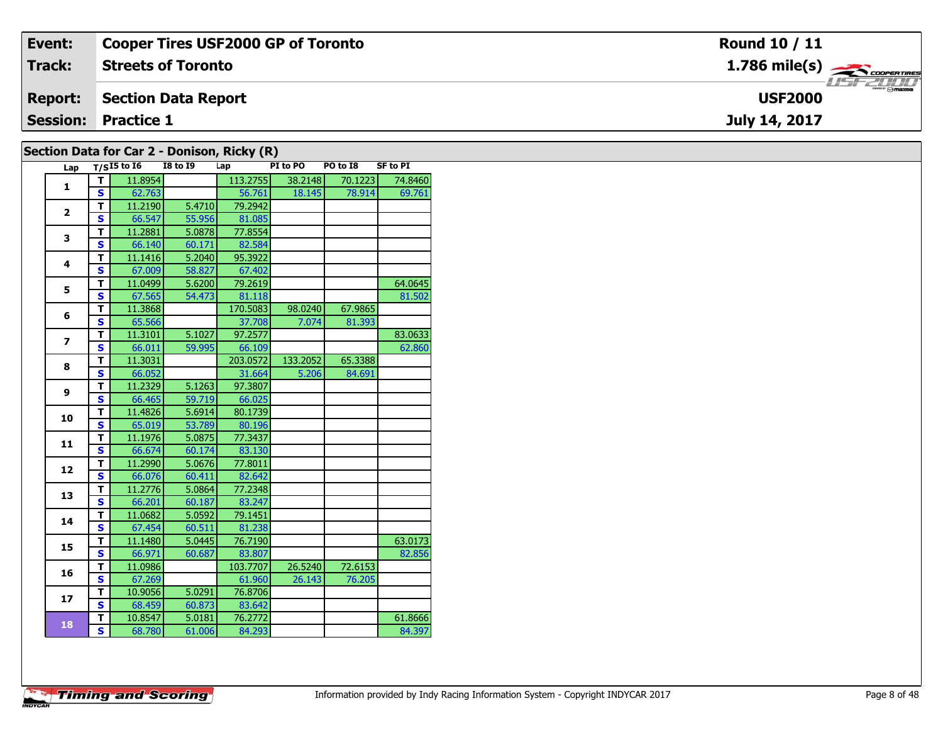| Event:         | <b>Cooper Tires USF2000 GP of Toronto</b> | <b>Round 10 / 11</b>            |
|----------------|-------------------------------------------|---------------------------------|
| <b>Track:</b>  | <b>Streets of Toronto</b>                 | $1.786$ mile(s) $\frac{1}{2}$   |
| <b>Report:</b> | Section Data Report                       | <b>Omazoa</b><br><b>USF2000</b> |
|                | <b>Session: Practice 1</b>                | July 14, 2017                   |
|                |                                           |                                 |

| Lap            |                         | $T/SI5$ to $I6$ | <b>I8 to 19</b> | . .<br>Lap | PI to PO | PO to I8 | <b>SF to PI</b> |
|----------------|-------------------------|-----------------|-----------------|------------|----------|----------|-----------------|
| 1              | т                       | 11.8954         |                 | 113.2755   | 38.2148  | 70.1223  | 74.8460         |
|                | $\mathbf{s}$            | 62.763          |                 | 56.761     | 18.145   | 78.914   | 69.761          |
| $\overline{2}$ | $\overline{\mathsf{r}}$ | 11.2190         | 5.4710          | 79.2942    |          |          |                 |
|                | S                       | 66.547          | 55.956          | 81.085     |          |          |                 |
| 3              | T                       | 11.2881         | 5.0878          | 77.8554    |          |          |                 |
|                | $\overline{\mathbf{s}}$ | 66.140          | 60.171          | 82.584     |          |          |                 |
| 4              | T                       | 11.1416         | 5.2040          | 95.3922    |          |          |                 |
|                | S                       | 67.009          | 58.827          | 67.402     |          |          |                 |
| 5              | T                       | 11.0499         | 5.6200          | 79.2619    |          |          | 64.0645         |
|                | S                       | 67.565          | 54.473          | 81.118     |          |          | 81.502          |
| 6              | T                       | 11.3868         |                 | 170.5083   | 98.0240  | 67.9865  |                 |
|                | S                       | 65.566          |                 | 37.708     | 7.074    | 81.393   |                 |
| $\overline{ }$ | T                       | 11.3101         | 5.1027          | 97.2577    |          |          | 83.0633         |
|                | S                       | 66.011          | 59.995          | 66.109     |          |          | 62.860          |
| 8              | T                       | 11.3031         |                 | 203.0572   | 133.2052 | 65.3388  |                 |
|                | S                       | 66.052          |                 | 31.664     | 5.206    | 84.691   |                 |
| 9              | T                       | 11.2329         | 5.1263          | 97.3807    |          |          |                 |
|                | S                       | 66.465          | 59.719          | 66.025     |          |          |                 |
| 10             | T                       | 11.4826         | 5.6914          | 80.1739    |          |          |                 |
|                | $\mathbf{s}$            | 65.019          | 53.789          | 80.196     |          |          |                 |
| 11             | T                       | 11.1976         | 5.0875          | 77.3437    |          |          |                 |
|                | S                       | 66.674          | 60.174          | 83.130     |          |          |                 |
| 12             | T                       | 11.2990         | 5.0676          | 77.8011    |          |          |                 |
|                | $\mathbf{s}$            | 66.076          | 60.411          | 82.642     |          |          |                 |
| 13             | T                       | 11.2776         | 5.0864          | 77.2348    |          |          |                 |
|                | S                       | 66.201          | 60.187          | 83.247     |          |          |                 |
| 14             | T                       | 11.0682         | 5.0592          | 79.1451    |          |          |                 |
|                | S                       | 67.454          | 60.511          | 81.238     |          |          |                 |
| 15             | T                       | 11.1480         | 5.0445          | 76.7190    |          |          | 63.0173         |
|                | $\overline{\mathbf{s}}$ | 66.971          | 60.687          | 83.807     |          |          | 82.856          |
| 16             | T                       | 11.0986         |                 | 103.7707   | 26.5240  | 72.6153  |                 |
|                | S                       | 67.269          |                 | 61.960     | 26.143   | 76.205   |                 |
| 17             | T                       | 10.9056         | 5.0291          | 76.8706    |          |          |                 |
|                | S                       | 68.459          | 60.873          | 83.642     |          |          |                 |
| 18             | Т                       | 10.8547         | 5.0181          | 76.2772    |          |          | 61.8666         |
|                | $\overline{\mathbf{s}}$ | 68.780          | 61.006          | 84.293     |          |          | 84.397          |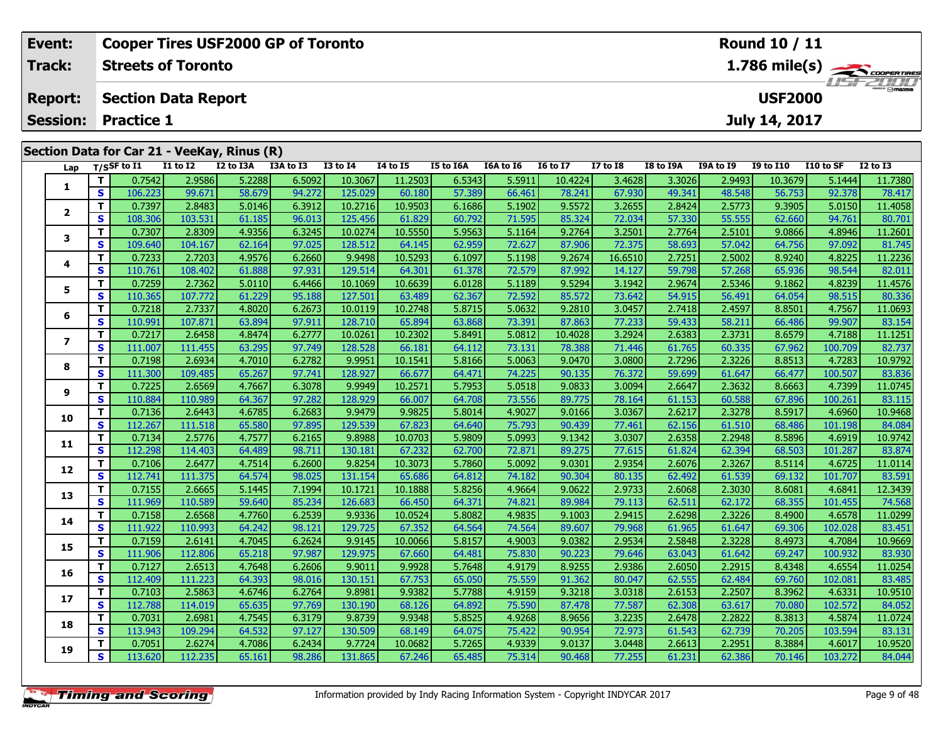| Event:         |                                             |                           | <b>Cooper Tires USF2000 GP of Toronto</b> |           |                 |          |                  | Round 10 / 11 |                 |                 |           |                                                                            |                  |           |                 |  |  |
|----------------|---------------------------------------------|---------------------------|-------------------------------------------|-----------|-----------------|----------|------------------|---------------|-----------------|-----------------|-----------|----------------------------------------------------------------------------|------------------|-----------|-----------------|--|--|
| <b>Track:</b>  |                                             | <b>Streets of Toronto</b> |                                           |           |                 |          |                  |               |                 |                 |           | $1.786$ mile(s) $\overbrace{\hspace{2cm}}$ coorentines<br><b>LISF 2000</b> |                  |           |                 |  |  |
| <b>Report:</b> | <b>Section Data Report</b>                  |                           |                                           |           |                 |          |                  |               |                 |                 |           |                                                                            | <b>USF2000</b>   |           |                 |  |  |
|                | <b>Session: Practice 1</b>                  |                           |                                           |           |                 |          |                  |               |                 |                 |           |                                                                            | July 14, 2017    |           |                 |  |  |
|                |                                             |                           |                                           |           |                 |          |                  |               |                 |                 |           |                                                                            |                  |           |                 |  |  |
|                | Section Data for Car 21 - VeeKay, Rinus (R) |                           |                                           |           |                 |          |                  |               |                 |                 |           |                                                                            |                  |           |                 |  |  |
|                | Lap $T/S$ SF to I1                          | I1 to I2                  | I2 to I3A                                 | I3A to I3 | <b>I3 to I4</b> | 14 to 15 | <b>I5 to I6A</b> | I6A to I6     | <b>I6 to I7</b> | <b>I7 to I8</b> | I8 to I9A | <b>I9A to I9</b>                                                           | <b>I9 to I10</b> | I10 to SF | <b>I2 to I3</b> |  |  |
|                | 0.7542                                      | 2.9586                    | 5.22881                                   | 6.5092    | 10.3067         | 11.25031 | 6.53431          | 5.5911        | 10.4224         | 3.4628          | 3.3026    | 2.94931                                                                    | 10.3679          | 5.1444    | 11.7380         |  |  |

| rah                      | '''          |         |         |        |        |         |         |        |        |         |         |        |        |         |         |         |
|--------------------------|--------------|---------|---------|--------|--------|---------|---------|--------|--------|---------|---------|--------|--------|---------|---------|---------|
|                          | T            | 0.7542  | 2.9586  | 5.2288 | 6.5092 | 10.3067 | 11.2503 | 6.5343 | 5.5911 | 10.4224 | 3.4628  | 3.3026 | 2.9493 | 10.3679 | 5.1444  | 11.7380 |
| 1                        | S            | 106.223 | 99.671  | 58.679 | 94.272 | 125.029 | 60.180  | 57.389 | 66.461 | 78.241  | 67.930  | 49.341 | 48.548 | 56.753  | 92.378  | 78.417  |
| $\mathbf{2}$             | т            | 0.7397  | 2.8483  | 5.0146 | 6.3912 | 10.2716 | 10.9503 | 6.1686 | 5.1902 | 9.5572  | 3.2655  | 2.8424 | 2.5773 | 9.3905  | 5.0150  | 11.4058 |
|                          | $\mathbf{s}$ | 108.306 | 103.531 | 61.185 | 96.013 | 125.456 | 61.829  | 60.792 | 71.595 | 85.324  | 72.034  | 57.330 | 55.555 | 62.660  | 94.761  | 80.701  |
| 3                        | т            | 0.7307  | 2.8309  | 4.9356 | 6.3245 | 10.0274 | 10.5550 | 5.9563 | 5.1164 | 9.2764  | 3.2501  | 2.7764 | 2.5101 | 9.0866  | 4.8946  | 11.2601 |
|                          | $\mathbf{s}$ | 109.640 | 104.167 | 62.164 | 97.025 | 128.512 | 64.145  | 62.959 | 72.627 | 87.906  | 72.375  | 58.693 | 57.042 | 64.756  | 97.092  | 81.745  |
| 4                        | т            | 0.7233  | 2.7203  | 4.9576 | 6.2660 | 9.9498  | 10.5293 | 6.1097 | 5.1198 | 9.2674  | 16.6510 | 2.7251 | 2.5002 | 8.9240  | 4.8225  | 11.2236 |
|                          | $\mathbf{s}$ | 110.761 | 108.402 | 61.888 | 97.931 | 129.514 | 64.301  | 61.378 | 72.579 | 87.992  | 14.127  | 59.798 | 57.268 | 65.936  | 98.544  | 82.011  |
| 5                        | т            | 0.7259  | 2.7362  | 5.0110 | 6.4466 | 10.1069 | 10.6639 | 6.0128 | 5.1189 | 9.5294  | 3.1942  | 2.9674 | 2.5346 | 9.1862  | 4.8239  | 11.4576 |
|                          | S            | 110.365 | 107.772 | 61.229 | 95.188 | 127.501 | 63.489  | 62.367 | 72.592 | 85.572  | 73.642  | 54.915 | 56.491 | 64.054  | 98.515  | 80.336  |
| 6                        | т            | 0.7218  | 2.7337  | 4.8020 | 6.2673 | 10.0119 | 10.2748 | 5.8715 | 5.0632 | 9.2810  | 3.0457  | 2.7418 | 2.4597 | 8.8501  | 4.7567  | 11.0693 |
|                          | S            | 110.991 | 107.871 | 63.894 | 97.911 | 128.710 | 65.894  | 63.868 | 73.391 | 87.863  | 77.233  | 59.433 | 58.211 | 66.486  | 99.907  | 83.154  |
| $\overline{\phantom{a}}$ | T            | 0.7217  | 2.6458  | 4.8474 | 6.2777 | 10.0261 | 10.2302 | 5.8491 | 5.0812 | 10.4028 | 3.2924  | 2.6383 | 2.3731 | 8.6579  | 4.7188  | 11.1251 |
|                          | S            | 111.007 | 111.455 | 63.295 | 97.749 | 128.528 | 66.181  | 64.112 | 73.131 | 78.388  | 71.446  | 61.765 | 60.335 | 67.962  | 100.709 | 82.737  |
| 8                        | т            | 0.7198  | 2.6934  | 4.7010 | 6.2782 | 9.9951  | 10.1541 | 5.8166 | 5.0063 | 9.0470  | 3.0800  | 2.7296 | 2.3226 | 8.8513  | 4.7283  | 10.9792 |
|                          | $\mathbf{s}$ | 111.300 | 109.485 | 65.267 | 97.741 | 128.927 | 66.677  | 64.471 | 74.225 | 90.135  | 76.372  | 59.699 | 61.647 | 66.477  | 100.507 | 83.836  |
| 9                        | T            | 0.7225  | 2.6569  | 4.7667 | 6.3078 | 9.9949  | 10.2571 | 5.7953 | 5.0518 | 9.0833  | 3.0094  | 2.6647 | 2.3632 | 8.6663  | 4.7399  | 11.0745 |
|                          | S            | 110.884 | 110.989 | 64.367 | 97.282 | 128.929 | 66.007  | 64.708 | 73.556 | 89.775  | 78.164  | 61.153 | 60.588 | 67.896  | 100.261 | 83.115  |
| 10                       | т            | 0.7136  | 2.6443  | 4.6785 | 6.2683 | 9.9479  | 9.9825  | 5.8014 | 4.9027 | 9.0166  | 3.0367  | 2.6217 | 2.3278 | 8.5917  | 4.6960  | 10.9468 |
|                          | S            | 112.267 | 111.518 | 65.580 | 97.895 | 129.539 | 67.823  | 64.640 | 75.793 | 90.439  | 77.461  | 62.156 | 61.510 | 68.486  | 101.198 | 84.084  |
| 11                       | T            | 0.7134  | 2.5776  | 4.7577 | 6.2165 | 9.8988  | 10.0703 | 5.9809 | 5.0993 | 9.1342  | 3.0307  | 2.6358 | 2.2948 | 8.5896  | 4.6919  | 10.9742 |
|                          | S            | 112.298 | 114.403 | 64.489 | 98.711 | 130.181 | 67.232  | 62.700 | 72.871 | 89.275  | 77.615  | 61.824 | 62.394 | 68.503  | 101.287 | 83.874  |
| 12                       | т            | 0.7106  | 2.6477  | 4.7514 | 6.2600 | 9.8254  | 10.3073 | 5.7860 | 5.0092 | 9.0301  | 2.9354  | 2.6076 | 2.3267 | 8.5114  | 4.6725  | 11.0114 |
|                          | S            | 112.741 | 111.375 | 64.574 | 98.025 | 131.154 | 65.686  | 64.812 | 74.182 | 90.304  | 80.135  | 62.492 | 61.539 | 69.132  | 101.707 | 83.591  |
| 13                       | T.           | 0.7155  | 2.6665  | 5.1445 | 7.1994 | 10.1721 | 10.1888 | 5.8256 | 4.9664 | 9.0622  | 2.9733  | 2.6068 | 2.3030 | 8.6081  | 4.6841  | 12.3439 |
|                          | S            | 111.969 | 110.589 | 59.640 | 85.234 | 126.683 | 66.450  | 64.371 | 74.821 | 89.984  | 79.113  | 62.511 | 62.172 | 68.355  | 101.455 | 74.568  |
| 14                       | т            | 0.7158  | 2.6568  | 4.7760 | 6.2539 | 9.9336  | 10.0524 | 5.8082 | 4.9835 | 9.1003  | 2.9415  | 2.6298 | 2.3226 | 8.4900  | 4.6578  | 11.0299 |
|                          | S            | 111.922 | 110.993 | 64.242 | 98.121 | 129.725 | 67.352  | 64.564 | 74.564 | 89.607  | 79.968  | 61.965 | 61.647 | 69.306  | 102.028 | 83.451  |
| 15                       | т            | 0.7159  | 2.6141  | 4.7045 | 6.2624 | 9.9145  | 10.0066 | 5.8157 | 4.9003 | 9.0382  | 2.9534  | 2.5848 | 2.3228 | 8.4973  | 4.7084  | 10.9669 |
|                          | S            | 111.906 | 112.806 | 65.218 | 97.987 | 129.975 | 67.660  | 64.481 | 75.830 | 90.223  | 79.646  | 63.043 | 61.642 | 69.247  | 100.932 | 83.930  |
| 16                       | т            | 0.7127  | 2.6513  | 4.7648 | 6.2606 | 9.9011  | 9.9928  | 5.7648 | 4.9179 | 8.9255  | 2.9386  | 2.6050 | 2.2915 | 8.4348  | 4.6554  | 11.0254 |
|                          | S            | 112.409 | 111.223 | 64.393 | 98.016 | 130.151 | 67.753  | 65.050 | 75.559 | 91.362  | 80.047  | 62.555 | 62.484 | 69.760  | 102.081 | 83.485  |
| 17                       | T.           | 0.7103  | 2.5863  | 4.6746 | 6.2764 | 9.8981  | 9.9382  | 5.7788 | 4.9159 | 9.3218  | 3.0318  | 2.6153 | 2.2507 | 8.3962  | 4.6331  | 10.9510 |
|                          | $\mathbf{s}$ | 112.788 | 114.019 | 65.635 | 97.769 | 130.190 | 68.126  | 64.892 | 75.590 | 87.478  | 77.587  | 62.308 | 63.617 | 70.080  | 102.572 | 84.052  |
| 18                       | T            | 0.7031  | 2.6981  | 4.7545 | 6.3179 | 9.8739  | 9.9348  | 5.8525 | 4.9268 | 8.9656  | 3.2235  | 2.6478 | 2.2822 | 8.3813  | 4.5874  | 11.0724 |
|                          | S            | 113.943 | 109.294 | 64.532 | 97.127 | 130.509 | 68.149  | 64.075 | 75.422 | 90.954  | 72.973  | 61.543 | 62.739 | 70.205  | 103.594 | 83.131  |
| 19                       | T            | 0.7051  | 2.6274  | 4.7086 | 6.2434 | 9.7724  | 10.0682 | 5.7265 | 4.9339 | 9.0137  | 3.0448  | 2.6613 | 2.2951 | 8.3884  | 4.6017  | 10.9520 |
|                          | $\mathbf{s}$ | 113.620 | 112.235 | 65.161 | 98.286 | 131.865 | 67.246  | 65.485 | 75.314 | 90.468  | 77.255  | 61.231 | 62.386 | 70.146  | 103.272 | 84.044  |
|                          |              |         |         |        |        |         |         |        |        |         |         |        |        |         |         |         |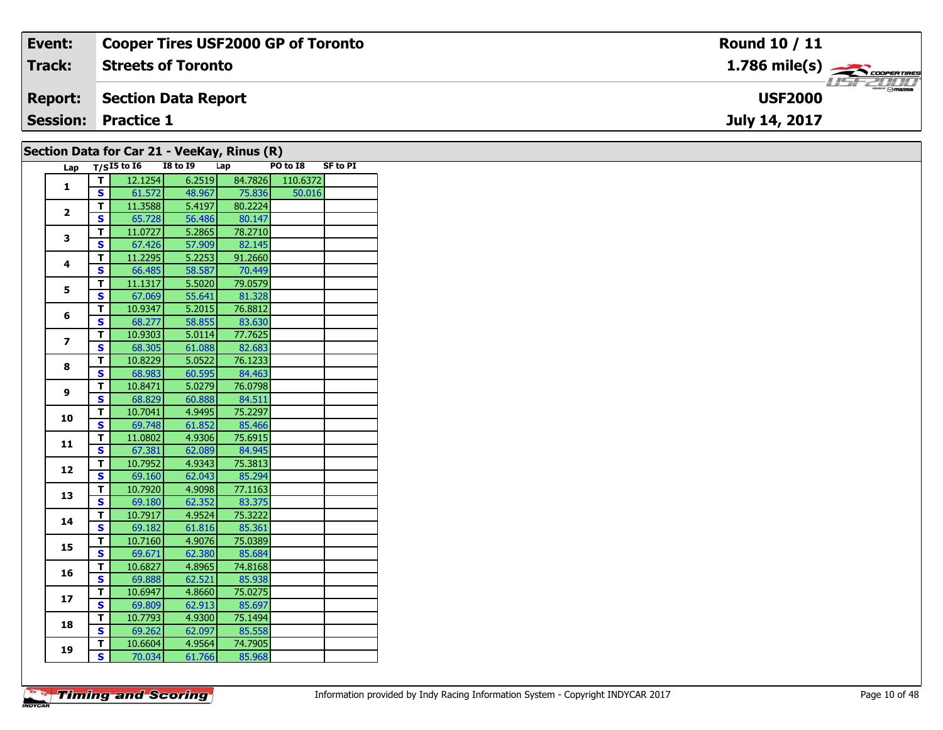| Event:         | <b>Cooper Tires USF2000 GP of Toronto</b> | Round 10 / 11                      |
|----------------|-------------------------------------------|------------------------------------|
| Track:         | <b>Streets of Toronto</b>                 | $1.786$ mile(s) $\sum$ COOPERTIRES |
| <b>Report:</b> | Section Data Report                       | <b>omazoa</b><br><b>USF2000</b>    |
|                | <b>Session: Practice 1</b>                | July 14, 2017                      |
|                |                                           |                                    |

| Section Data for Car 21 - VeeKay, Rinus (R) |              |                 |                 |         |          |                 |  |  |  |  |
|---------------------------------------------|--------------|-----------------|-----------------|---------|----------|-----------------|--|--|--|--|
| Lap                                         |              | $T/SI5$ to $I6$ | <b>I8 to 19</b> | Lap     | PO to I8 | <b>SF to PI</b> |  |  |  |  |
| 1                                           | т            | 12.1254         | 6.2519          | 84.7826 | 110.6372 |                 |  |  |  |  |
|                                             | $\mathbf{s}$ | 61.572          | 48.967          | 75.836  | 50.016   |                 |  |  |  |  |
| $\mathbf{2}$                                | T            | 11.3588         | 5.4197          | 80.2224 |          |                 |  |  |  |  |
|                                             | S            | 65.728          | 56.486          | 80.147  |          |                 |  |  |  |  |
| 3                                           | T            | 11.0727         | 5.2865          | 78.2710 |          |                 |  |  |  |  |
|                                             | S            | 67.426          | 57.909          | 82.145  |          |                 |  |  |  |  |
| 4                                           | T            | 11.2295         | 5.2253          | 91.2660 |          |                 |  |  |  |  |
|                                             | S            | 66.485          | 58.587          | 70.449  |          |                 |  |  |  |  |
| 5                                           | T            | 11.1317         | 5.5020          | 79.0579 |          |                 |  |  |  |  |
|                                             | S            | 67.069          | 55.641          | 81.328  |          |                 |  |  |  |  |
| 6                                           | T            | 10.9347         | 5.2015          | 76.8812 |          |                 |  |  |  |  |
|                                             | S            | 68.277          | 58.855          | 83.630  |          |                 |  |  |  |  |
| $\overline{ }$                              | T            | 10.9303         | 5.0114          | 77.7625 |          |                 |  |  |  |  |
|                                             | S            | 68.305          | 61.088          | 82.683  |          |                 |  |  |  |  |
| 8                                           | T            | 10.8229         | 5.0522          | 76.1233 |          |                 |  |  |  |  |
|                                             | S            | 68.983          | 60.595          | 84.463  |          |                 |  |  |  |  |
| 9                                           | T            | 10.8471         | 5.0279          | 76.0798 |          |                 |  |  |  |  |
|                                             | S            | 68.829          | 60.888          | 84.511  |          |                 |  |  |  |  |
| 10                                          | T            | 10.7041         | 4.9495          | 75.2297 |          |                 |  |  |  |  |
|                                             | S            | 69.748          | 61.852          | 85.466  |          |                 |  |  |  |  |
| 11                                          | T            | 11.0802         | 4.9306          | 75.6915 |          |                 |  |  |  |  |
|                                             | Ś            | 67.381          | 62.089          | 84.945  |          |                 |  |  |  |  |
| 12                                          | T            | 10.7952         | 4.9343          | 75.3813 |          |                 |  |  |  |  |
|                                             | $\mathbf{s}$ | 69.160          | 62.043          | 85.294  |          |                 |  |  |  |  |
| 13                                          | T            | 10.7920         | 4.9098          | 77.1163 |          |                 |  |  |  |  |
|                                             | S            | 69.180          | 62.352          | 83.375  |          |                 |  |  |  |  |
| 14                                          | T            | 10.7917         | 4.9524          | 75.3222 |          |                 |  |  |  |  |
|                                             | S            | 69.182          | 61.816          | 85.361  |          |                 |  |  |  |  |
| 15                                          | T            | 10.7160         | 4.9076          | 75.0389 |          |                 |  |  |  |  |
|                                             | S            | 69.671          | 62.380          | 85.684  |          |                 |  |  |  |  |
| 16                                          | T            | 10.6827         | 4.8965          | 74.8168 |          |                 |  |  |  |  |
|                                             | S            | 69.888          | 62.521          | 85.938  |          |                 |  |  |  |  |
| 17                                          | T            | 10.6947         | 4.8660          | 75.0275 |          |                 |  |  |  |  |
|                                             | S            | 69.809          | 62.913          | 85.697  |          |                 |  |  |  |  |
| 18                                          | T            | 10.7793         | 4.9300          | 75.1494 |          |                 |  |  |  |  |
|                                             | S            | 69.262          | 62.097          | 85.558  |          |                 |  |  |  |  |
|                                             | Т            | 10.6604         | 4.9564          | 74.7905 |          |                 |  |  |  |  |
| 19                                          | S.           | 70.034          | 61.766          | 85.968  |          |                 |  |  |  |  |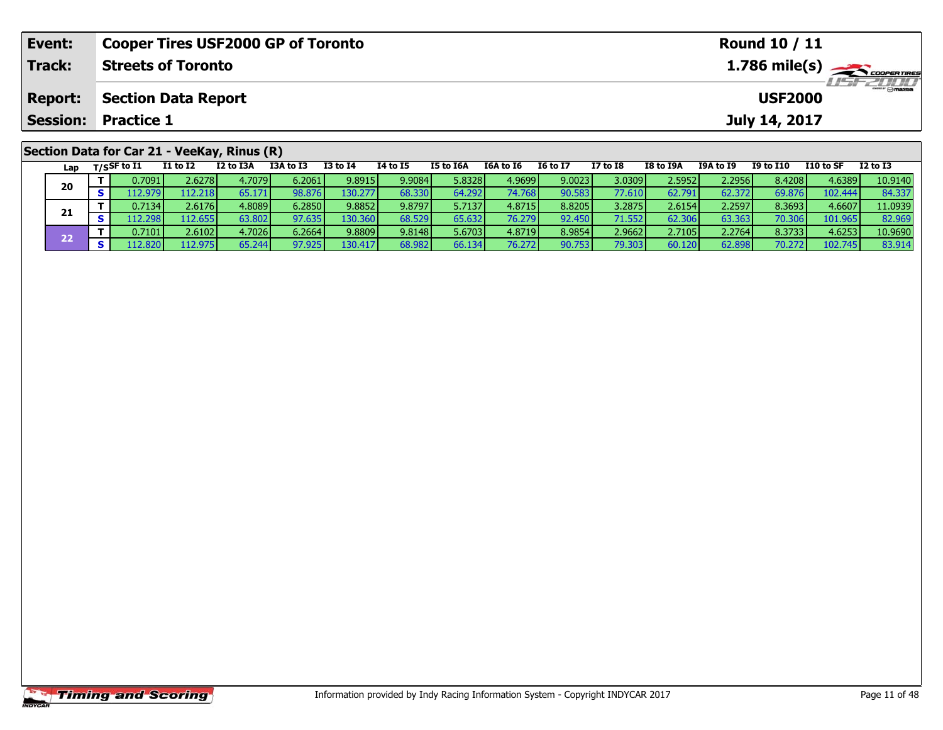| Event:         | <b>Cooper Tires USF2000 GP of Toronto</b>   |  |                                         |  |                |  |  |  |  |  |  |  |
|----------------|---------------------------------------------|--|-----------------------------------------|--|----------------|--|--|--|--|--|--|--|
| Track:         | <b>Streets of Toronto</b>                   |  | $1.786$ mile(s) $\leftarrow$ coorganges |  |                |  |  |  |  |  |  |  |
| <b>Report:</b> | Section Data Report                         |  |                                         |  | <b>USF2000</b> |  |  |  |  |  |  |  |
|                | <b>Session: Practice 1</b>                  |  |                                         |  | July 14, 2017  |  |  |  |  |  |  |  |
|                | Section Data for Car 21 - VeeKay, Rinus (R) |  |                                         |  |                |  |  |  |  |  |  |  |

| Lap | $T/S$ SF to $I1$ | I1 to I2 | I2 to I3A       | I3A to I3 | <b>I3 to I4</b> | 14 to 15 | <b>I5 to I6A</b> | I6A to I6       | <b>I6 to I7</b> | <b>I7 to I8</b> | I8 to I9A | I9A to I9 | I9 to I10 | I10 to SF | $I2$ to $I3$ |
|-----|------------------|----------|-----------------|-----------|-----------------|----------|------------------|-----------------|-----------------|-----------------|-----------|-----------|-----------|-----------|--------------|
| 20  | 0.7091           | 2.6278   | 4.7079          | 6.2061    | 9.8915          | 9.9084   | 5.8328l          | 4.9699          | 9.0023          | 3.0309          | 2.5952    | 2.2956    | 8.4208    | 4.6389    | 10.9140      |
|     | 12.979           | 112.218  | 65.171          | 98.876    | 130.2771        | 68.330   | 64.292           | 74.768          | 90.583          | 77.610          | 62.791    | 62.372    | 69.876    | 102.444   | 84.337       |
|     | 0.7134 l         | 2.6176   | 4.8089 <b>1</b> | 6.2850    | 9.8852          | 9.8797   | 5.7137           | 4.8715 <b>1</b> | 8.8205          | 3.2875          | 2.6154    | 2.2597    | 8.3693    | 4.6607    | 11.0939      |
| 21  | 12.298           | 12.655   | 63.802          | 97.635    | 130.360         | 68.529   | 65.632           | 76.279          | 92.450          | 71.552          | 62.306    | 63.363    | 70.306    | 101.965   | 82.969       |
| ככ  | 0.7101           | 2.6102   | 4.7026          | 6.2664V   | 9.8809          | 9.8148   | 5.6703           | 4.8719 <b>1</b> | 8.9854          | 2.9662          | 2.7105    | 2.2764    | 8.3733    | 4.6253    | 10.9690      |
|     | 112.820          | 112.975  | 65.244          | 97.925    | 130.417         | 68.982   | 66.134           | 76.272          | 90.753          | 79.303          | 60.120    | 62.898    | 70.272    | 102.745   | 83.914       |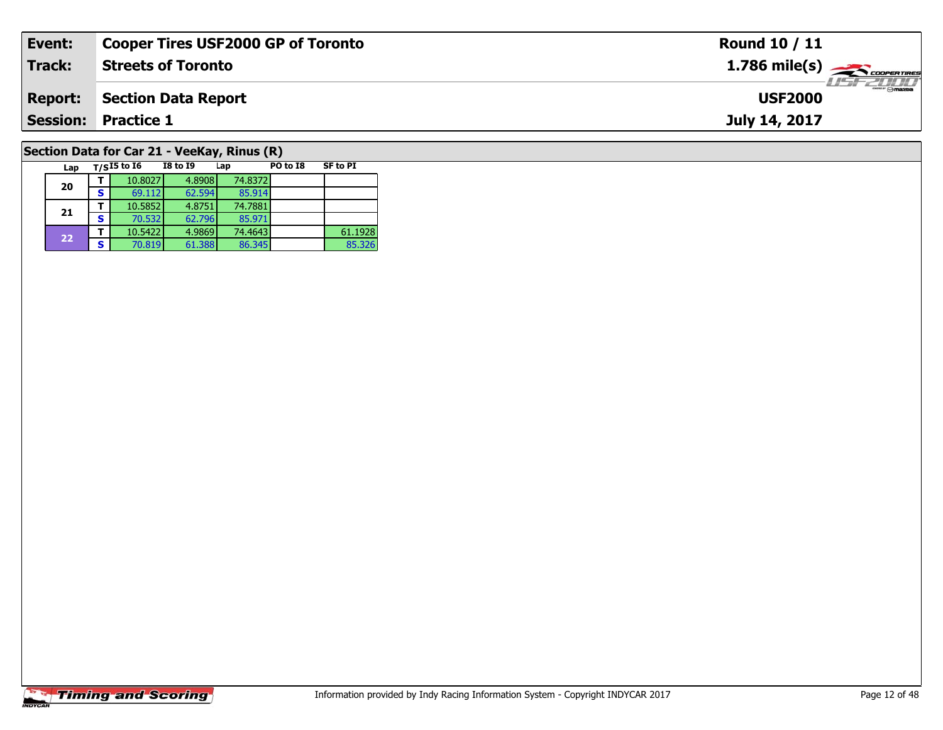| Event:                                      | <b>Cooper Tires USF2000 GP of Toronto</b> | <b>Round 10 / 11</b>                                      |  |  |  |  |  |  |
|---------------------------------------------|-------------------------------------------|-----------------------------------------------------------|--|--|--|--|--|--|
| Track:                                      | <b>Streets of Toronto</b>                 | $1.786$ mile(s) $\overbrace{\hspace{2.5cm}}$ coorer TIRES |  |  |  |  |  |  |
| <b>Report:</b>                              | Section Data Report                       | <b>USF2000</b>                                            |  |  |  |  |  |  |
|                                             | <b>Session: Practice 1</b>                | July 14, 2017                                             |  |  |  |  |  |  |
| Section Data for Car 21 - VeeKay, Rinus (R) |                                           |                                                           |  |  |  |  |  |  |

## **Section Data for Car 21 - VeeKay, Rinus (R)**

| Lap |   | $T/SI5$ to $I6$ | <b>I8 to I9</b> | Lap     | PO to I8 | <b>SF to PI</b> |
|-----|---|-----------------|-----------------|---------|----------|-----------------|
| 20  |   | 10.8027         | 4.8908          | 74.8372 |          |                 |
|     | S | 69.112          | 62.594          | 85.914  |          |                 |
| 21  |   | 10.5852         | 4.8751          | 74.7881 |          |                 |
|     | s | 70.532          | 62.796          | 85.971  |          |                 |
| 22  |   | 10.5422         | 4.9869          | 74.4643 |          | 61.1928         |
|     | S | 70.819          | 61.388          | 86.345  |          | 85.326          |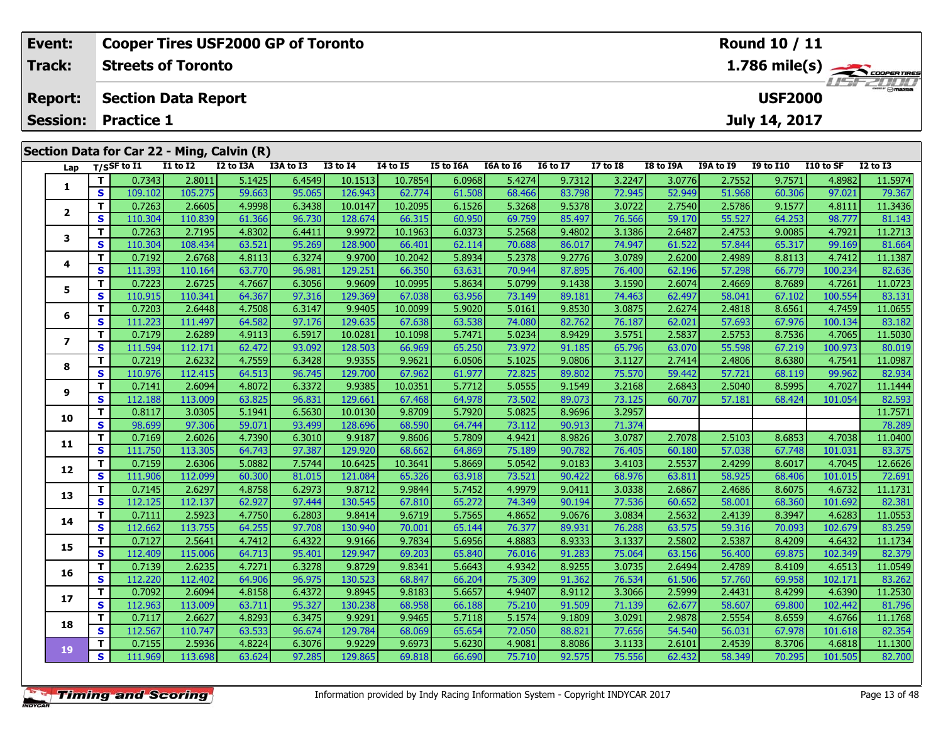| Event:          |          |                            |                 | <b>Cooper Tires USF2000 GP of Toronto</b>  |           |              |                      |           |           |                 |              |           |                  | <b>Round 10 / 11</b> |           |                                            |
|-----------------|----------|----------------------------|-----------------|--------------------------------------------|-----------|--------------|----------------------|-----------|-----------|-----------------|--------------|-----------|------------------|----------------------|-----------|--------------------------------------------|
| Track:          |          | <b>Streets of Toronto</b>  |                 |                                            |           |              |                      |           |           |                 |              |           |                  |                      |           | $1.786$ mile(s) $\rightarrow$ COOPER TIRES |
| <b>Report:</b>  |          | <b>Section Data Report</b> |                 |                                            |           |              |                      |           |           |                 |              |           |                  | <b>USF2000</b>       |           | <i><b>LISE 2000</b></i>                    |
| <b>Session:</b> |          | <b>Practice 1</b>          |                 |                                            |           |              |                      |           |           |                 |              |           |                  | July 14, 2017        |           |                                            |
|                 |          |                            |                 | Section Data for Car 22 - Ming, Calvin (R) |           |              |                      |           |           |                 |              |           |                  |                      |           |                                            |
|                 |          | Lap $T/SSF$ to I1          | <b>I1 to I2</b> | I2 to I3A                                  | I3A to I3 | $I3$ to $I4$ | <b>I4 to I5</b>      | I5 to I6A | I6A to I6 | <b>16 to 17</b> | $I7$ to $I8$ | I8 to I9A | <b>I9A to I9</b> | <b>I9 to I10</b>     | I10 to SF | $I2$ to $I3$                               |
|                 |          | 0.7343                     | 2.8011          | 5.1425                                     | 6.4549    | 10.1513      | 10.7854              | 6.0968    | 5.4274    | 9.7312          | 3.2247       | 3.0776    | 2.7552           | 9.7571               | 4.8982    | 11.5974                                    |
|                 | S.       | 109.102                    | 105.275         | 59.663                                     | 95.065    | 126.943      | 62.774               | 61.508    | 68.466    | 83.798          | 72.945       | 52.949    | 51.968           | 60.306               | 97.021    | 79.367                                     |
|                 |          | 0.7263                     | 2.6605          | 4.9998                                     | 6.3438    | 10.0147      | 10.2095              | 6.1526    | 5.3268    | 9.5378          | 3.0722       | 2.7540    | 2.5786           | 9.1577               | 4.8111    | 11.3436                                    |
|                 | <b>S</b> | 110.304                    | 110.839         | 61.366                                     | 96.730    | 128.674      | 66.315               | 60.950    | 69.759    | 85.497          | 76.566       | 59.170    | 55.527           | 64.253               | 98.777    | 81.143                                     |
| 3               |          | 0.7263                     | 2.7195          | 4.8302                                     | 6.4411    | 9.9972       | 10.1963              | 6.0373    | 5.2568    | 9.4802          | 3.1386       | 2.6487    | 2.4753           | 9.0085               | 4.7921    | 11.2713                                    |
|                 | S.       | 110.304                    | 108.434         | 63.521                                     | 95.269    | 128.900      | 66.401               | 62.114    | 70.688    | 86.017          | 74.947       | 61.522    | 57.844           | 65.317               | 99.169    | 81.664                                     |
|                 | тI       | 0.7192                     | 26768           | 4 8113                                     | 63274     | a aznol      | 10.2042 $\mathsf{I}$ | 5.8934    | 52378     | 97761           | 3 0789 L     | 2.62001   | 24989            | $8.8113$             | 4 7412    | 11 1387                                    |

| ◢              | S  | 110.304 | 110.839 | 61.366 | 96.730 | 128.674 | 66.315  | 60.950 | 69.759 | 85.497 | 76.566 | 59.170 | 55.527 | 64.253 | 98.777  | 81.143  |
|----------------|----|---------|---------|--------|--------|---------|---------|--------|--------|--------|--------|--------|--------|--------|---------|---------|
| з              | т  | 0.7263  | 2.7195  | 4.8302 | 6.4411 | 9.9972  | 10.1963 | 6.0373 | 5.2568 | 9.4802 | 3.1386 | 2.6487 | 2.4753 | 9.0085 | 4.7921  | 11.2713 |
|                | s  | 110.304 | 108.434 | 63.521 | 95.269 | 128.900 | 66.401  | 62.114 | 70.688 | 86.017 | 74.947 | 61.522 | 57.844 | 65.317 | 99.169  | 81.664  |
| 4              | т  | 0.7192  | 2.6768  | 4.8113 | 6.3274 | 9.9700  | 10.2042 | 5.8934 | 5.2378 | 9.2776 | 3.0789 | 2.6200 | 2.4989 | 8.8113 | 4.7412  | 11.1387 |
|                | S  | 111.393 | 110.164 | 63.770 | 96.981 | 129.251 | 66.350  | 63.631 | 70.944 | 87.895 | 76.400 | 62.196 | 57.298 | 66.779 | 100.234 | 82.636  |
| 5              | т  | 0.7223  | 2.6725  | 4.7667 | 6.3056 | 9.9609  | 10.0995 | 5.8634 | 5.0799 | 9.1438 | 3.1590 | 2.6074 | 2.4669 | 8.7689 | 4.7261  | 11.0723 |
|                | S  | 110.915 | 110.341 | 64.367 | 97.316 | 129.369 | 67.038  | 63.956 | 73.149 | 89.181 | 74.463 | 62.497 | 58.041 | 67.102 | 100.554 | 83.131  |
| 6              | т  | 0.7203  | 2.6448  | 4.7508 | 6.3147 | 9.9405  | 10.0099 | 5.9020 | 5.0161 | 9.8530 | 3.0875 | 2.6274 | 2.4818 | 8.6561 | 4.7459  | 11.0655 |
|                | S  | 111.223 | 111.497 | 64.582 | 97.176 | 129.635 | 67.638  | 63.538 | 74.080 | 82.762 | 76.187 | 62.021 | 57.693 | 67.976 | 100.134 | 83.182  |
| $\overline{ }$ | т  | 0.7179  | 2.6289  | 4.9113 | 6.5917 | 10.0281 | 10.1098 | 5.7471 | 5.0234 | 8.9429 | 3.5751 | 2.5837 | 2.5753 | 8.7536 | 4.7065  | 11.5030 |
|                | s  | 111.594 | 112.171 | 62.472 | 93.092 | 128.503 | 66.969  | 65.250 | 73.972 | 91.185 | 65.796 | 63.070 | 55.598 | 67.219 | 100.973 | 80.019  |
| 8              | т  | 0.7219  | 2.6232  | 4.7559 | 6.3428 | 9.9355  | 9.9621  | 6.0506 | 5.1025 | 9.0806 | 3.1127 | 2.7414 | 2.4806 | 8.6380 | 4.7541  | 11.0987 |
|                | S  | 110.976 | 112.415 | 64.513 | 96.745 | 129.700 | 67.962  | 61.977 | 72.825 | 89.802 | 75.570 | 59.442 | 57.721 | 68.119 | 99.962  | 82.934  |
| 9              | T. | 0.7141  | 2.6094  | 4.8072 | 6.3372 | 9.9385  | 10.0351 | 5.7712 | 5.0555 | 9.1549 | 3.2168 | 2.6843 | 2.5040 | 8.5995 | 4.7027  | 11.1444 |
|                | S  | 112.188 | 113.009 | 63.825 | 96.831 | 129.661 | 67.468  | 64.978 | 73.502 | 89.073 | 73.125 | 60.707 | 57.181 | 68.424 | 101.054 | 82.593  |
| 10             | т  | 0.8117  | 3.0305  | 5.1941 | 6.5630 | 10.0130 | 9.8709  | 5.7920 | 5.0825 | 8.9696 | 3.2957 |        |        |        |         | 11.7571 |
|                | S  | 98.699  | 97.306  | 59.071 | 93.499 | 128.696 | 68.590  | 64.744 | 73.112 | 90.913 | 71.374 |        |        |        |         | 78.289  |
| 11             | т  | 0.7169  | 2.6026  | 4.7390 | 6.3010 | 9.9187  | 9.8606  | 5.7809 | 4.9421 | 8.9826 | 3.0787 | 2.7078 | 2.5103 | 8.6853 | 4.7038  | 11.0400 |
|                | S  | 111.750 | 113.305 | 64.743 | 97.387 | 129.920 | 68.662  | 64.869 | 75.189 | 90.782 | 76.405 | 60.180 | 57.038 | 67.748 | 101.031 | 83.375  |
| 12             | т  | 0.7159  | 2.6306  | 5.0882 | 7.5744 | 10.6425 | 10.3641 | 5.8669 | 5.0542 | 9.0183 | 3.4103 | 2.5537 | 2.4299 | 8.6017 | 4.7045  | 12.6626 |
|                | S  | 111.906 | 112.099 | 60.300 | 81.015 | 121.084 | 65.326  | 63.918 | 73.521 | 90.422 | 68.976 | 63.811 | 58.925 | 68.406 | 101.015 | 72.691  |
| 13             | T. | 0.7145  | 2.6297  | 4.8758 | 6.2973 | 9.8712  | 9.9844  | 5.7452 | 4.9979 | 9.0411 | 3.0338 | 2.6867 | 2.4686 | 8.6075 | 4.6732  | 11.1731 |
|                | S  | 112.125 | 112.137 | 62.927 | 97.444 | 130.545 | 67.810  | 65.272 | 74.349 | 90.194 | 77.536 | 60.652 | 58.001 | 68.360 | 101.692 | 82.381  |
| 14             | т  | 0.7111  | 2.5923  | 4.7750 | 6.2803 | 9.8414  | 9.6719  | 5.7565 | 4.8652 | 9.0676 | 3.0834 | 2.5632 | 2.4139 | 8.3947 | 4.6283  | 11.0553 |
|                | S  | 112.662 | 113.755 | 64.255 | 97.708 | 130.940 | 70.001  | 65.144 | 76.377 | 89.931 | 76.288 | 63.575 | 59.316 | 70.093 | 102.679 | 83.259  |
| 15             | т  | 0.7127  | 2.5641  | 4.7412 | 6.4322 | 9.9166  | 9.7834  | 5.6956 | 4.8883 | 8.9333 | 3.1337 | 2.5802 | 2.5387 | 8.4209 | 4.6432  | 11.1734 |
|                | S  | 112.409 | 115.006 | 64.713 | 95.401 | 129.947 | 69.203  | 65.840 | 76.016 | 91.283 | 75.064 | 63.156 | 56.400 | 69.875 | 102.349 | 82.379  |
| 16             | T. | 0.7139  | 2.6235  | 4.7271 | 6.3278 | 9.8729  | 9.8341  | 5.6643 | 4.9342 | 8.9255 | 3.0735 | 2.6494 | 2.4789 | 8.4109 | 4.6513  | 11.0549 |
|                | S  | 112,220 | 112.402 | 64.906 | 96.975 | 130.523 | 68.847  | 66.204 | 75.309 | 91.362 | 76.534 | 61.506 | 57.760 | 69.958 | 102.171 | 83.262  |
| 17             | T. | 0.7092  | 2.6094  | 4.8158 | 6.4372 | 9.8945  | 9.8183  | 5.6657 | 4.9407 | 8.9112 | 3.3066 | 2.5999 | 2.4431 | 8.4299 | 4.6390  | 11.2530 |
|                | S. | 112.963 | 113.009 | 63.711 | 95.327 | 130.238 | 68.958  | 66.188 | 75.210 | 91.509 | 71.139 | 62.677 | 58.607 | 69.800 | 102.442 | 81.796  |
| 18             | т  | 0.7117  | 2.6627  | 4.8293 | 6.3475 | 9.9291  | 9.9465  | 5.7118 | 5.1574 | 9.1809 | 3.0291 | 2.9878 | 2.5554 | 8.6559 | 4.6766  | 11.1768 |
|                | S  | 112.567 | 110.747 | 63.533 | 96.674 | 129.784 | 68.069  | 65.654 | 72.050 | 88.821 | 77.656 | 54.540 | 56.031 | 67.978 | 101.618 | 82.354  |
| 19             | T. | 0.7155  | 2.5936  | 4.8224 | 6.3076 | 9.9229  | 9.6973  | 5.6230 | 4.9081 | 8.8086 | 3.1133 | 2.6101 | 2.4539 | 8.3706 | 4.6818  | 11.1300 |
|                | S  | 111.969 | 113.698 | 63.624 | 97.285 | 129.865 | 69.818  | 66.690 | 75.710 | 92.575 | 75.556 | 62.432 | 58.349 | 70.295 | 101.505 | 82.700  |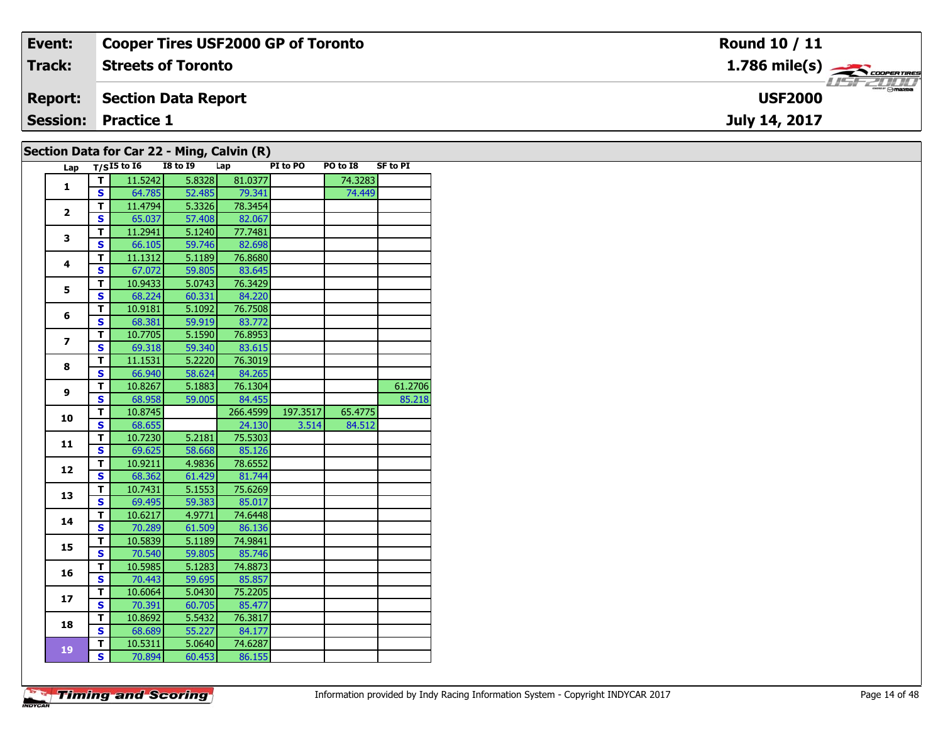| Event:                                         | Cooper Tires USF2000 GP of Toronto | Round 10 / 11                              |  |  |  |  |  |  |  |  |
|------------------------------------------------|------------------------------------|--------------------------------------------|--|--|--|--|--|--|--|--|
| <b>Track:</b>                                  | <b>Streets of Toronto</b>          | $1.786$ mile(s) $\rightarrow$ code ratings |  |  |  |  |  |  |  |  |
| <b>Report:</b>                                 | Section Data Report                | <b>USF2000</b>                             |  |  |  |  |  |  |  |  |
| <b>Session: Practice 1</b><br>July 14, 2017    |                                    |                                            |  |  |  |  |  |  |  |  |
| Section Data for Car $22$ - Ming. Calvin $(R)$ |                                    |                                            |  |  |  |  |  |  |  |  |

| ,,,,,,,,,      |                         | .v. v =<br>Lap $\overline{T/S15}$ to 16 | <b>I8 to I9</b> | - ''''3/ ``''''''''''<br>Lap | PI to PO | PO to I8 | SF to PI |
|----------------|-------------------------|-----------------------------------------|-----------------|------------------------------|----------|----------|----------|
|                | $\mathbf{T}$            | 11.5242                                 | 5.8328          | 81.0377                      |          | 74.3283  |          |
| 1              | S                       | 64.785                                  | 52.485          | 79.341                       |          | 74.449   |          |
|                | T.                      | 11.4794                                 | 5.3326          | 78.3454                      |          |          |          |
| $\overline{2}$ | S                       | 65.037                                  | 57.408          | 82.067                       |          |          |          |
|                | T.                      | 11.2941                                 | 5.1240          | 77.7481                      |          |          |          |
| 3              | S                       | 66.105                                  | 59.746          | 82.698                       |          |          |          |
|                | T.                      | 11.1312                                 | 5.1189          | 76.8680                      |          |          |          |
| 4              | S                       | 67.072                                  | 59.805          | 83.645                       |          |          |          |
|                | T                       | 10.9433                                 | 5.0743          | 76.3429                      |          |          |          |
| 5              | $\mathbf{s}$            | 68.224                                  | 60.331          | 84.220                       |          |          |          |
|                | T.                      | 10.9181                                 | 5.1092          | 76.7508                      |          |          |          |
| 6              | S                       | 68.381                                  | 59.919          | 83.772                       |          |          |          |
|                | T                       | 10.7705                                 | 5.1590          | 76.8953                      |          |          |          |
| $\overline{ }$ | S.                      | 69.318                                  | 59.340          | 83.615                       |          |          |          |
|                | T.                      | 11.1531                                 | 5.2220          | 76.3019                      |          |          |          |
| 8              | S                       | 66.940                                  | 58.624          | 84.265                       |          |          |          |
| 9              | T.                      | 10.8267                                 | 5.1883          | 76.1304                      |          |          | 61.2706  |
|                | S                       | 68.958                                  | 59.005          | 84.455                       |          |          | 85.218   |
| 10             | T.                      | 10.8745                                 |                 | 266.4599                     | 197.3517 | 65.4775  |          |
|                | S                       | 68.655                                  |                 | 24.130                       | 3.514    | 84.512   |          |
| 11             | T.                      | 10.7230                                 | 5.2181          | 75.5303                      |          |          |          |
|                | $\mathbf{s}$            | 69.625                                  | 58.668          | 85.126                       |          |          |          |
| 12             | T.                      | 10.9211                                 | 4.9836          | 78.6552                      |          |          |          |
|                | S                       | 68.362                                  | 61.429          | 81.744                       |          |          |          |
| 13             | T.                      | 10.7431                                 | 5.1553          | 75.6269                      |          |          |          |
|                | S                       | 69.495                                  | 59.383          | 85.017                       |          |          |          |
| 14             | T.                      | 10.6217                                 | 4.9771          | 74.6448                      |          |          |          |
|                | S                       | 70.289                                  | 61.509          | 86.136                       |          |          |          |
| 15             | T.                      | 10.5839                                 | 5.1189          | 74.9841                      |          |          |          |
|                | S                       | 70.540                                  | 59.805          | 85.746                       |          |          |          |
| 16             | T.                      | 10.5985                                 | 5.1283          | 74.8873                      |          |          |          |
|                | S                       | 70.443                                  | 59.695          | 85.857                       |          |          |          |
| 17             | $\overline{\mathsf{r}}$ | 10.6064                                 | 5.0430          | 75.2205                      |          |          |          |
|                | $\mathbf{s}$            | 70.391                                  | 60.705          | 85.477                       |          |          |          |
| 18             | T.                      | 10.8692                                 | 5.5432          | 76.3817                      |          |          |          |
|                | S.                      | 68.689                                  | 55.227          | 84.177                       |          |          |          |
| 19             | T.                      | 10.5311                                 | 5.0640          | 74.6287                      |          |          |          |
|                | $\overline{\mathsf{s}}$ | 70.894                                  | 60.453          | 86.155                       |          |          |          |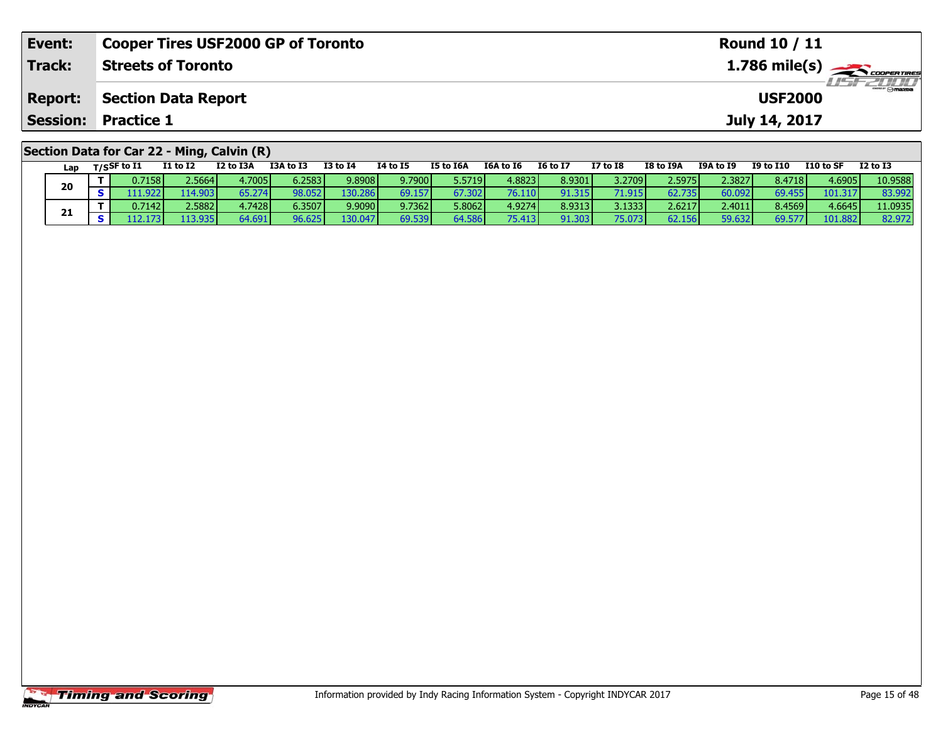| Event:          | <b>Cooper Tires USF2000 GP of Toronto</b>  | Round 10 / 11                                           |
|-----------------|--------------------------------------------|---------------------------------------------------------|
| Track:          | <b>Streets of Toronto</b>                  | $1.786$ mile(s) $\overbrace{\hspace{2cm}}$ coorer Times |
| <b>Report:</b>  | <b>Section Data Report</b>                 | <b>USF2000</b>                                          |
| <b>Session:</b> | <b>Practice 1</b>                          | July 14, 2017                                           |
|                 | Section Data for Car 22 - Ming, Calvin (R) |                                                         |

| Lap | T/SSF to I1     | <b>I1 to I2</b> | I2 to I3A       | I3A to I3       | <b>I3 to I4</b>  | 14 to 15 | I5 to I6A | I6A to I6 | <b>I6 to I7</b> | I7 to I8        | I8 to I9A | <b>I9A to I9</b> | <b>I9 to I10</b> | I10 to SF | <b>I2 to I3</b> |
|-----|-----------------|-----------------|-----------------|-----------------|------------------|----------|-----------|-----------|-----------------|-----------------|-----------|------------------|------------------|-----------|-----------------|
| 20  | 0.7158          | 2.5664          | 4.7005 <b>1</b> | 6.2583          | 9.8908           | 9.7900   | 5.5719    | 4.8823    | 8.9301          | 3.2709 <b>1</b> | 2.5975    | 2.3827           | 8.4718           | 4.6905    | 10.9588         |
|     | 1.9221          | 114.903         | 65.274          | 98.052          | 130.286          | 69.157   | 67.302    |           | 91.315          | 71.915          | 62.735    | 60.092           | 69.455           | 101.317   | 83.992          |
| 21  | $0.7142$ $\mid$ | 2.5882          | 4.7428 l        | 6.3507 <b>l</b> | 9.9090           | 9.7362   | 5.8062    | 4.9274    | 8.9313          | 3.1333          | 2.6217    | 2.4011           | 8.4569           | 4.6645    | 11.0935         |
|     |                 | 113.935         | 64.691          | 96.625          | 130.047 <b>1</b> | 69.539   | 64.586    | 75.413    | 91.303          | 75.073          | 62.156    | 59.632           | 69.577           | 101.882   | 82.972          |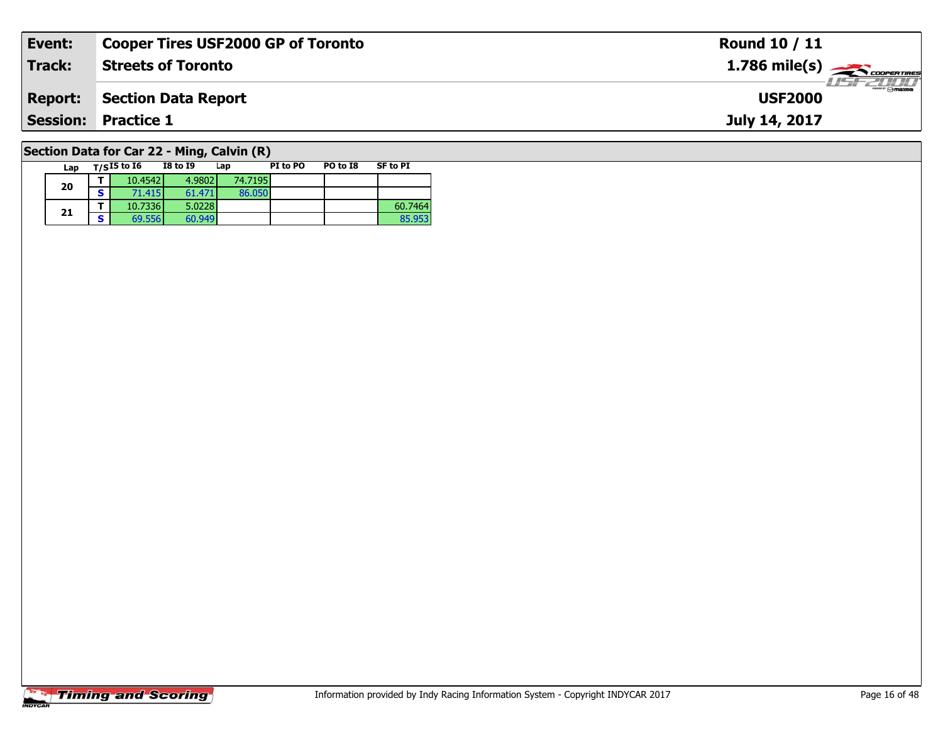| Event:                                      | <b>Cooper Tires USF2000 GP of Toronto</b> | Round 10 / 11                 |  |  |  |  |  |  |  |  |  |
|---------------------------------------------|-------------------------------------------|-------------------------------|--|--|--|--|--|--|--|--|--|
| <b>Track:</b>                               | <b>Streets of Toronto</b>                 | $1.786$ mile(s) $\rightarrow$ |  |  |  |  |  |  |  |  |  |
| <b>Report:</b>                              | Section Data Report                       | <b>USF2000</b>                |  |  |  |  |  |  |  |  |  |
| <b>Session: Practice 1</b><br>July 14, 2017 |                                           |                               |  |  |  |  |  |  |  |  |  |
| Section Data for Car 22 - Ming. Calvin (R)  |                                           |                               |  |  |  |  |  |  |  |  |  |

# **Section Data for Car 22 - Ming, Calvin (R)**

| Lap |   | $T/SI5$ to $I6$ | <b>I8 to I9</b> | Lap     | PI to PO | PO to I8 | <b>SF to PI</b> |
|-----|---|-----------------|-----------------|---------|----------|----------|-----------------|
| 20  |   | 10.4542         | 4.9802          | 74.7195 |          |          |                 |
|     | c | 71.415          | 61.471          | 86.050  |          |          |                 |
|     |   | 10.7336         | 5.0228          |         |          |          | 60.7464         |
| 21  | - | 69.556          | 60.949          |         |          |          | 85.953          |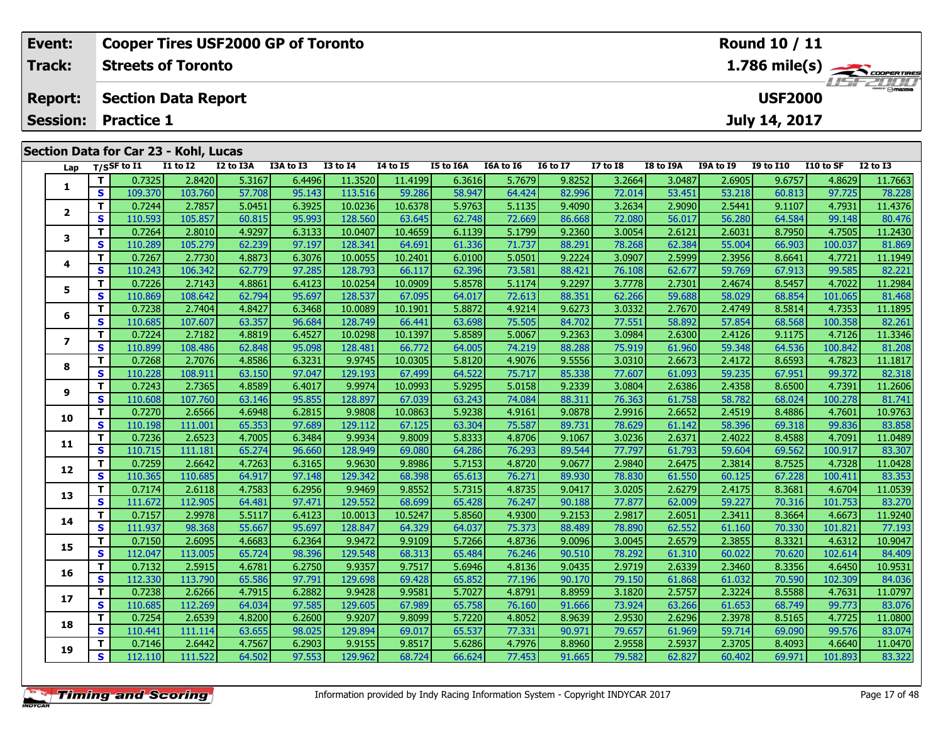| Event:          |            |                    | <b>Cooper Tires USF2000 GP of Toronto</b> |               |           |                 |                 |                  |           |                 |                 |                |                  | <b>Round 10 / 11</b> |                |              |
|-----------------|------------|--------------------|-------------------------------------------|---------------|-----------|-----------------|-----------------|------------------|-----------|-----------------|-----------------|----------------|------------------|----------------------|----------------|--------------|
| <b>Track:</b>   |            |                    | <b>Streets of Toronto</b>                 |               |           |                 | 1.786 mile(s)   |                  |           |                 |                 |                |                  |                      |                |              |
| <b>Report:</b>  |            |                    | <b>Section Data Report</b>                |               |           |                 |                 |                  |           |                 |                 |                |                  | <b>USF2000</b>       |                |              |
| <b>Session:</b> |            | <b>Practice 1</b>  |                                           |               |           |                 |                 |                  |           |                 |                 |                |                  | July 14, 2017        |                |              |
|                 |            |                    | Section Data for Car 23 - Kohl, Lucas     |               |           |                 |                 |                  |           |                 |                 |                |                  |                      |                |              |
|                 |            | Lap $T/S$ SF to I1 | I1 to I2                                  | I2 to I3A     | I3A to I3 | <b>I3 to I4</b> | <b>I4 to I5</b> | <b>I5 to I6A</b> | I6A to I6 | <b>I6 to I7</b> | <b>I7 to I8</b> | I8 to I9A      | <b>I9A to I9</b> | <b>I9 to I10</b>     | I10 to SF      | $I2$ to $I3$ |
|                 |            | 0.7325             | 2.8420                                    | 5.3167        | 6.4496    | 11.3520         | 11.4199         | 6.3616           | 5.7679    | 9.8252          | 3.2664          | 3.0487         | 2.6905           | 9.6757               | 4.8629         | 11.7663      |
| л.              | $\epsilon$ | 100220             | 102.760                                   | <b>EZZOOL</b> | CF 142    | 112E1c          | <b>EQ DOC</b>   | <b>CO 047</b>    | CAAOA     | lann ca         | 72.011          | <b>CO ACAL</b> | <b>CONTROL</b>   | $\epsilon$ 0.012     | <u>ומכל כמ</u> | 70,00        |

| 1                       | T.           | 0.7325  | 2.8420  | 5.3167 | 6.4496 | 11.3520 | 11.4199 | 6.3616 | 5.7679 | 9.8252 | 3.2664 | 3.0487 | 2.6905 | 9.6757 | 4.8629  | 11.7663 |
|-------------------------|--------------|---------|---------|--------|--------|---------|---------|--------|--------|--------|--------|--------|--------|--------|---------|---------|
|                         | $\mathbf{s}$ | 109.370 | 103.760 | 57.708 | 95.143 | 113.516 | 59.286  | 58.947 | 64.424 | 82.996 | 72.014 | 53.451 | 53.218 | 60.813 | 97.725  | 78.228  |
|                         | T.           | 0.7244  | 2.7857  | 5.0451 | 6.3925 | 10.0236 | 10.6378 | 5.9763 | 5.1135 | 9.4090 | 3.2634 | 2.9090 | 2.5441 | 9.1107 | 4.7931  | 11.4376 |
| $\mathbf{2}$            | S            | 110.593 | 105.857 | 60.815 | 95.993 | 128.560 | 63.645  | 62.748 | 72.669 | 86.668 | 72.080 | 56.017 | 56.280 | 64.584 | 99.148  | 80.476  |
|                         | Т            | 0.7264  | 2.8010  | 4.9297 | 6.3133 | 10.0407 | 10.4659 | 6.1139 | 5.1799 | 9.2360 | 3.0054 | 2.6121 | 2.6031 | 8.7950 | 4.7505  | 11.2430 |
| з                       | $\mathbf{s}$ | 110.289 | 105.279 | 62.239 | 97.197 | 128.341 | 64.691  | 61.336 | 71.737 | 88.291 | 78.268 | 62.384 | 55.004 | 66.903 | 100.037 | 81.869  |
|                         | T.           | 0.7267  | 2.7730  | 4.8873 | 6.3076 | 10.0055 | 10.2401 | 6.0100 | 5.0501 | 9.2224 | 3.0907 | 2.5999 | 2.3956 | 8.6641 | 4.7721  | 11.1949 |
| 4                       | S            | 110.243 | 106.342 | 62.779 | 97.285 | 128.793 | 66.117  | 62.396 | 73.581 | 88.421 | 76.108 | 62.677 | 59.769 | 67.913 | 99.585  | 82.221  |
|                         | т            | 0.7226  | 2.7143  | 4.8861 | 6.4123 | 10.0254 | 10.0909 | 5.8578 | 5.1174 | 9.2297 | 3.7778 | 2.7301 | 2.4674 | 8.5457 | 4.7022  | 11.2984 |
| 5                       | S            | 110.869 | 108.642 | 62.794 | 95.697 | 128.537 | 67.095  | 64.017 | 72.613 | 88.351 | 62.266 | 59.688 | 58.029 | 68.854 | 101.065 | 81.468  |
|                         | т            | 0.7238  | 2.7404  | 4.8427 | 6.3468 | 10.0089 | 10.1901 | 5.8872 | 4.9214 | 9.6273 | 3.0332 | 2.7670 | 2.4749 | 8.5814 | 4.7353  | 11.1895 |
| 6                       | S            | 110.685 | 107.607 | 63.357 | 96.684 | 128.749 | 66.441  | 63.698 | 75.505 | 84.702 | 77.551 | 58.892 | 57.854 | 68.568 | 100.358 | 82.261  |
|                         | т            | 0.7224  | 2.7182  | 4.8819 | 6.4527 | 10.0298 | 10.1397 | 5.8589 | 5.0067 | 9.2363 | 3.0984 | 2.6300 | 2.4126 | 9.1175 | 4.7126  | 11.3346 |
| $\overline{\mathbf{z}}$ | S            | 110.899 | 108.486 | 62.848 | 95.098 | 128.481 | 66.772  | 64.005 | 74.219 | 88.288 | 75.919 | 61.960 | 59.348 | 64.536 | 100.842 | 81.208  |
|                         | T            | 0.7268  | 2.7076  | 4.8586 | 6.3231 | 9.9745  | 10.0305 | 5.8120 | 4.9076 | 9.5556 | 3.0310 | 2.6673 | 2.4172 | 8.6593 | 4.7823  | 11.1817 |
| 8                       | S            | 110.228 | 108.911 | 63.150 | 97.047 | 129.193 | 67.499  | 64.522 | 75.717 | 85.338 | 77.607 | 61.093 | 59.235 | 67.951 | 99.372  | 82.318  |
|                         | т            | 0.7243  | 2.7365  | 4.8589 | 6.4017 | 9.9974  | 10.0993 | 5.9295 | 5.0158 | 9.2339 | 3.0804 | 2.6386 | 2.4358 | 8.6500 | 4.7391  | 11.2606 |
| 9                       | S            | 110.608 | 107.760 | 63.146 | 95.855 | 128.897 | 67.039  | 63.243 | 74.084 | 88.311 | 76.363 | 61.758 | 58.782 | 68.024 | 100.278 | 81.741  |
| 10                      | т            | 0.7270  | 2.6566  | 4.6948 | 6.2815 | 9.9808  | 10.0863 | 5.9238 | 4.9161 | 9.0878 | 2.9916 | 2.6652 | 2.4519 | 8.4886 | 4.7601  | 10.9763 |
|                         | S            | 110.198 | 111.001 | 65.353 | 97.689 | 129.112 | 67.125  | 63.304 | 75.587 | 89.731 | 78.629 | 61.142 | 58.396 | 69.318 | 99.836  | 83.858  |
|                         | T.           | 0.7236  | 2.6523  | 4.7005 | 6.3484 | 9.9934  | 9.8009  | 5.8333 | 4.8706 | 9.1067 | 3.0236 | 2.6371 | 2.4022 | 8.4588 | 4.7091  | 11.0489 |
| 11                      | <b>S</b>     | 110.715 | 111.181 | 65.274 | 96.660 | 128.949 | 69.080  | 64.286 | 76.293 | 89.544 | 77.797 | 61.793 | 59.604 | 69.562 | 100.917 | 83.307  |
|                         | т            | 0.7259  | 2.6642  | 4.7263 | 6.3165 | 9.9630  | 9.8986  | 5.7153 | 4.8720 | 9.0677 | 2.9840 | 2.6475 | 2.3814 | 8.7525 | 4.7328  | 11.0428 |
| 12                      | S            | 110.365 | 110.685 | 64.917 | 97.148 | 129.342 | 68.398  | 65.613 | 76.271 | 89.930 | 78.830 | 61.550 | 60.125 | 67.228 | 100.411 | 83.353  |
| 13                      | T.           | 0.7174  | 2.6118  | 4.7583 | 6.2956 | 9.9469  | 9.8552  | 5.7315 | 4.8735 | 9.0417 | 3.0205 | 2.6279 | 2.4175 | 8.3681 | 4.6704  | 11.0539 |
|                         | S            | 111.672 | 112.905 | 64.481 | 97.471 | 129.552 | 68.699  | 65.428 | 76.247 | 90.188 | 77.877 | 62.009 | 59.227 | 70.316 | 101.753 | 83.270  |
| 14                      | T.           | 0.7157  | 2.9978  | 5.5117 | 6.4123 | 10.0013 | 10.5247 | 5.8560 | 4.9300 | 9.2153 | 2.9817 | 2.6051 | 2.3411 | 8.3664 | 4.6673  | 11.9240 |
|                         | $\mathbf{s}$ | 111.937 | 98.368  | 55.667 | 95.697 | 128.847 | 64.329  | 64.037 | 75.373 | 88.489 | 78.890 | 62.552 | 61.160 | 70.330 | 101.821 | 77.193  |
| 15                      | т            | 0.7150  | 2.6095  | 4.6683 | 6.2364 | 9.9472  | 9.9109  | 5.7266 | 4.8736 | 9.0096 | 3.0045 | 2.6579 | 2.3855 | 8.3321 | 4.6312  | 10.9047 |
|                         | S            | 112.047 | 113.005 | 65.724 | 98.396 | 129.548 | 68.313  | 65.484 | 76.246 | 90.510 | 78.292 | 61.310 | 60.022 | 70.620 | 102.614 | 84.409  |
| 16                      | T.           | 0.7132  | 2.5915  | 4.6781 | 6.2750 | 9.9357  | 9.7517  | 5.6946 | 4.8136 | 9.0435 | 2.9719 | 2.6339 | 2.3460 | 8.3356 | 4.6450  | 10.9531 |
|                         | S            | 112.330 | 113.790 | 65.586 | 97.791 | 129.698 | 69.428  | 65.852 | 77.196 | 90.170 | 79.150 | 61.868 | 61.032 | 70.590 | 102.309 | 84.036  |
| 17                      | т            | 0.7238  | 2.6266  | 4.7915 | 6.2882 | 9.9428  | 9.9581  | 5.7027 | 4.8791 | 8.8959 | 3.1820 | 2.5757 | 2.3224 | 8.5588 | 4.7631  | 11.0797 |
|                         | S            | 110.685 | 112.269 | 64.034 | 97.585 | 129.605 | 67.989  | 65.758 | 76.160 | 91.666 | 73.924 | 63.266 | 61.653 | 68.749 | 99.773  | 83.076  |
| 18                      | т            | 0.7254  | 2.6539  | 4.8200 | 6.2600 | 9.9207  | 9.8099  | 5.7220 | 4.8052 | 8.9639 | 2.9530 | 2.6296 | 2.3978 | 8.5165 | 4.7725  | 11.0800 |
|                         | <b>S</b>     | 110.441 | 111.114 | 63.655 | 98.025 | 129.894 | 69.017  | 65.537 | 77.331 | 90.971 | 79.657 | 61.969 | 59.714 | 69.090 | 99.576  | 83.074  |
| 19                      | т            | 0.7146  | 2.6442  | 4.7567 | 6.2903 | 9.9155  | 9.8517  | 5.6286 | 4.7976 | 8.8960 | 2.9558 | 2.5937 | 2.3705 | 8.4093 | 4.6640  | 11.0470 |
|                         | S            | 112.110 | 111.522 | 64.502 | 97.553 | 129.962 | 68.724  | 66.624 | 77.453 | 91.665 | 79.582 | 62.827 | 60.402 | 69.971 | 101.893 | 83.322  |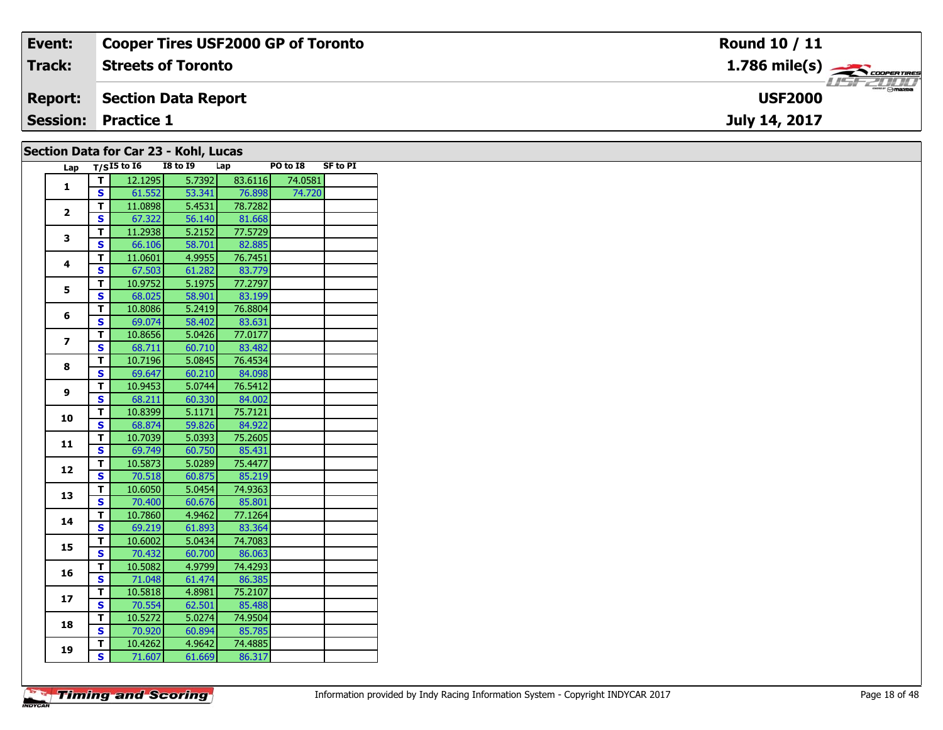| Event:         | <b>Cooper Tires USF2000 GP of Toronto</b> | <b>Round 10 / 11</b>                      |
|----------------|-------------------------------------------|-------------------------------------------|
| Track:         | <b>Streets of Toronto</b>                 | $1.786$ mile(s) $\rightarrow$ COOPERTIRES |
| <b>Report:</b> | Section Data Report                       | <b>USF2000</b>                            |
|                | <b>Session: Practice 1</b>                | July 14, 2017                             |
|                |                                           |                                           |

| Section Data for Car 23 - Kohl, Lucas |  |  |
|---------------------------------------|--|--|
|---------------------------------------|--|--|

| Lap                     |                         | $T/SI5$ to $I6$ | <b>I8 to 19</b> | Lap     | PO to I8 | <b>SF to PI</b> |
|-------------------------|-------------------------|-----------------|-----------------|---------|----------|-----------------|
|                         | т                       | 12.1295         | 5.7392          | 83.6116 | 74.0581  |                 |
| $\mathbf{1}$            | $\overline{\mathbf{s}}$ | 61.552          | 53.341          | 76.898  | 74.720   |                 |
|                         | T.                      | 11.0898         | 5.4531          | 78.7282 |          |                 |
| $\overline{2}$          | S                       | 67.322          | 56.140          | 81.668  |          |                 |
|                         | T                       | 11.2938         | 5.2152          | 77.5729 |          |                 |
| 3                       | S                       | 66.106          | 58.701          | 82.885  |          |                 |
| $\overline{\mathbf{4}}$ | T.                      | 11.0601         | 4.9955          | 76.7451 |          |                 |
|                         | S                       | 67.503          | 61.282          | 83.779  |          |                 |
| 5                       | T                       | 10.9752         | 5.1975          | 77.2797 |          |                 |
|                         | $\overline{\mathbf{s}}$ | 68.025          | 58.901          | 83.199  |          |                 |
| 6                       | T                       | 10.8086         | 5.2419          | 76.8804 |          |                 |
|                         | $\overline{\mathbf{s}}$ | 69.074          | 58.402          | 83.631  |          |                 |
| $\overline{ }$          | T                       | 10.8656         | 5.0426          | 77.0177 |          |                 |
|                         | S                       | 68.711          | 60.710          | 83.482  |          |                 |
| 8                       | T                       | 10.7196         | 5.0845          | 76.4534 |          |                 |
|                         | $\overline{\mathbf{s}}$ | 69.647          | 60.210          | 84.098  |          |                 |
| 9                       | T                       | 10.9453         | 5.0744          | 76.5412 |          |                 |
|                         | S                       | 68.211          | 60.330          | 84.002  |          |                 |
| 10                      | $\overline{\mathsf{r}}$ | 10.8399         | 5.1171          | 75.7121 |          |                 |
|                         | S                       | 68.874          | 59.826          | 84.922  |          |                 |
| 11                      | T                       | 10.7039         | 5.0393          | 75.2605 |          |                 |
|                         | S                       | 69.749          | 60.750          | 85.431  |          |                 |
| 12                      | т                       | 10.5873         | 5.0289          | 75.4477 |          |                 |
|                         | S                       | 70.518          | 60.875          | 85.219  |          |                 |
| 13                      | T                       | 10.6050         | 5.0454          | 74.9363 |          |                 |
|                         | S                       | 70.400          | 60.676          | 85.801  |          |                 |
| 14                      | T                       | 10.7860         | 4.9462          | 77.1264 |          |                 |
|                         | S                       | 69.219          | 61.893          | 83.364  |          |                 |
| 15                      | $\overline{\mathsf{r}}$ | 10.6002         | 5.0434          | 74.7083 |          |                 |
|                         | $\overline{\mathbf{s}}$ | 70.432          | 60.700          | 86.063  |          |                 |
| 16                      | T                       | 10.5082         | 4.9799          | 74.4293 |          |                 |
|                         | S                       | 71.048          | 61.474          | 86.385  |          |                 |
| 17                      | T                       | 10.5818         | 4.8981          | 75.2107 |          |                 |
|                         | S                       | 70.554          | 62.501          | 85.488  |          |                 |
| 18                      | T                       | 10.5272         | 5.0274          | 74.9504 |          |                 |
|                         | S                       | 70.920          | 60.894          | 85.785  |          |                 |
| 19                      | T                       | 10.4262         | 4.9642          | 74.4885 |          |                 |
|                         | S                       | 71.607          | 61.669          | 86.317  |          |                 |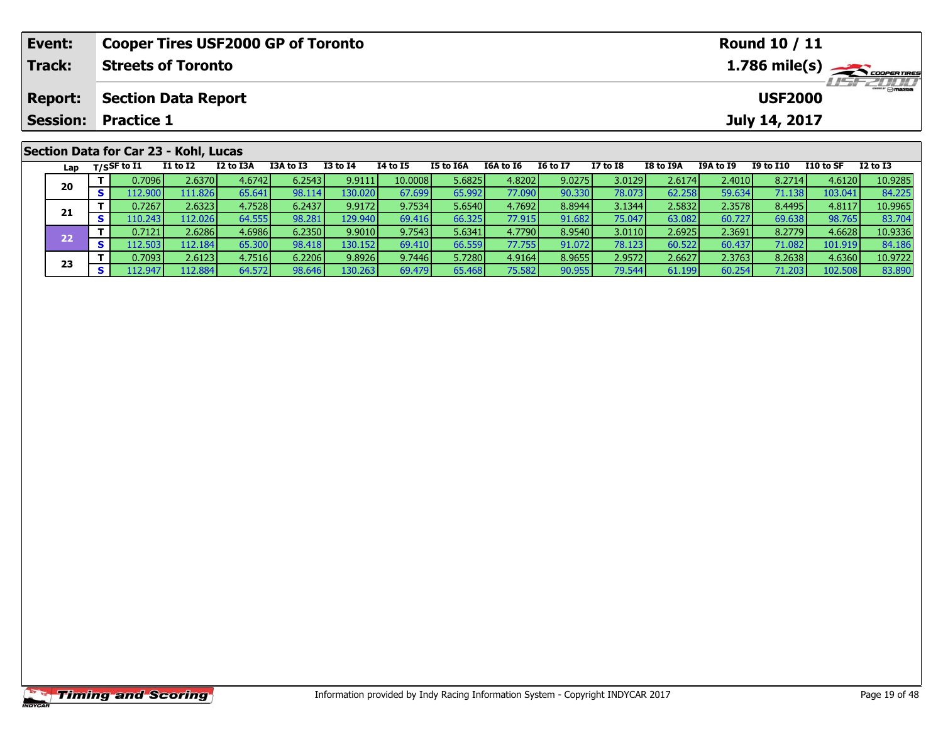| Event:                                |                           |                            | <b>Cooper Tires USF2000 GP of Toronto</b> |           |          | Round 10 / 11 |           |           |                 |                 |           |           |                  |           |                                                              |
|---------------------------------------|---------------------------|----------------------------|-------------------------------------------|-----------|----------|---------------|-----------|-----------|-----------------|-----------------|-----------|-----------|------------------|-----------|--------------------------------------------------------------|
| Track:                                | <b>Streets of Toronto</b> |                            |                                           |           |          |               |           |           |                 |                 |           |           |                  |           | $1.786$ mile(s) $\rightarrow$ coorganges<br><b>LISFELINI</b> |
| <b>Report:</b>                        |                           | <b>Section Data Report</b> |                                           |           |          |               |           |           |                 |                 |           |           | <b>USF2000</b>   |           |                                                              |
| <b>Session:</b>                       | <b>Practice 1</b>         |                            |                                           |           |          |               |           |           |                 |                 |           |           | July 14, 2017    |           |                                                              |
| Section Data for Car 23 - Kohl, Lucas |                           |                            |                                           |           |          |               |           |           |                 |                 |           |           |                  |           |                                                              |
| Lap                                   | T/SSF to I1               | <b>I1 to I2</b>            | I2 to I3A                                 | I3A to I3 | I3 to I4 | 14 to 15      | I5 to I6A | I6A to I6 | <b>I6 to I7</b> | <b>I7 to I8</b> | I8 to I9A | I9A to I9 | <b>I9 to I10</b> | I10 to SF | <b>I2 to I3</b>                                              |

0 | T | 0.7096| 2.6370| 4.6742| 6.2543| 9.9111| 10.0008| 5.6825| 4.8202| 9.0275| 3.0129| 2.6174| 2.4010| 8.2714| 4.6120| 10.9285<br>| S | 112.900| 111.826| 65.641| 98.114| 130.020| 67.699| 65.992| 77.090| 90.330| 78.073| 62.2

**<sup>T</sup>** 0.7267 2.6323 4.7528 6.2437 9.9172 9.7534 5.6540 4.7692 8.8944 3.1344 2.5832 2.3578 8.4495 4.8117 10.9965 **<sup>S</sup>** 110.243 112.026 64.555 98.281 129.940 69.416 66.325 77.915 91.682 75.047 63.082 60.727 69.638 98.765 83.704

2 T 0.7121 2.6286 4.6986 6.2350 9.9010 9.7543 5.6341 4.7790 8.9540 3.0110 2.6925 2.3691 8.2779 4.6628 10.9336<br>2 S 112.503 112.184 65.300 98.418 130.152 69.410 66.559 77.755 91.072 78.123 60.522 60.437 71.082 101.919 84.186

3 T 0.7093 2.6123 4.7516 6.2206 9.8926 9.7446 5.7280 4.9164 8.9655 2.9572 2.6627 2.3763 8.2638 4.6360 10.9722<br>S 112.947 112.884 64.572 98.646 130.263 69.479 65.468 75.582 90.955 79.544 61.199 60.254 71.203 102.508 83.890

**20**

**21**

**22**

**23**

83.704

84.186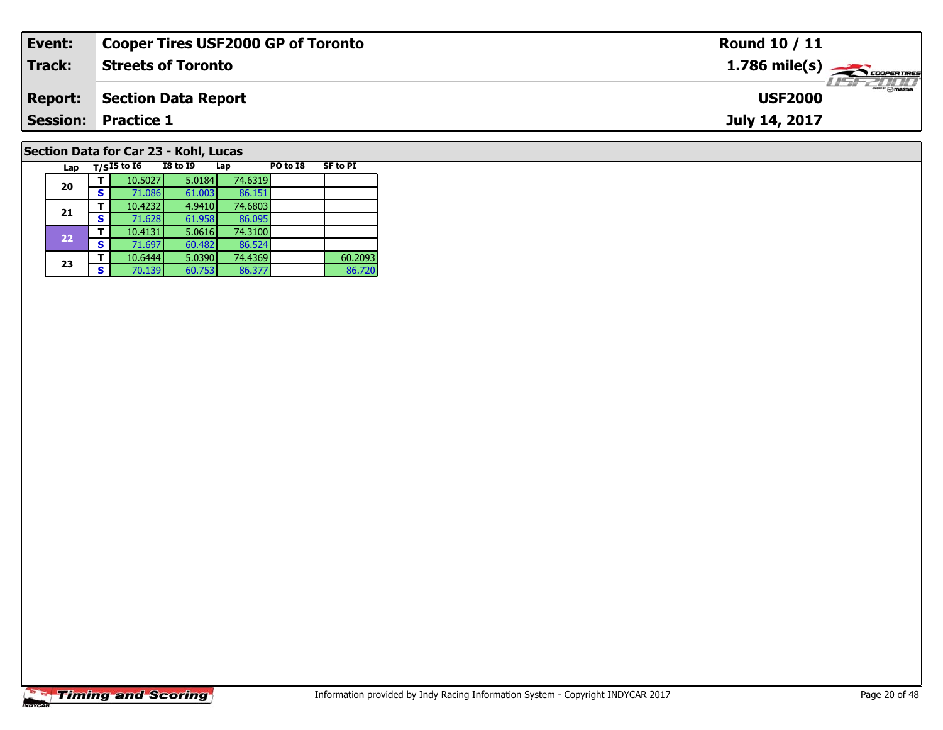| Event:         | <b>Cooper Tires USF2000 GP of Toronto</b> | Round 10 / 11  |
|----------------|-------------------------------------------|----------------|
| Track:         | <b>Streets of Toronto</b>                 |                |
| <b>Report:</b> | Section Data Report                       | <b>USF2000</b> |
|                | <b>Session: Practice 1</b>                | July 14, 2017  |
|                | Section Data for Car 23 - Kohl, Lucas     |                |

| Lap |   | $T/SI5$ to $\overline{16}$ | <b>I8 to 19</b> | Lap     | PO to I8 | <b>SF to PI</b> |
|-----|---|----------------------------|-----------------|---------|----------|-----------------|
| 20  |   | 10.5027                    | 5.0184          | 74.6319 |          |                 |
|     | S | 71.086                     | 61.003          | 86.151  |          |                 |
|     |   | 10.4232                    | 4.9410          | 74.6803 |          |                 |
| 21  | s | 71.628                     | 61.958          | 86.095  |          |                 |
| 22  |   | 10.4131                    | 5.0616          | 74.3100 |          |                 |
|     | s | 71.697                     | 60.482          | 86.524  |          |                 |
|     |   | 10.6444                    | 5.0390          | 74.4369 |          | 60.2093         |
| 23  | S | 70.139                     | 60.753          | 86.377  |          | 86.720          |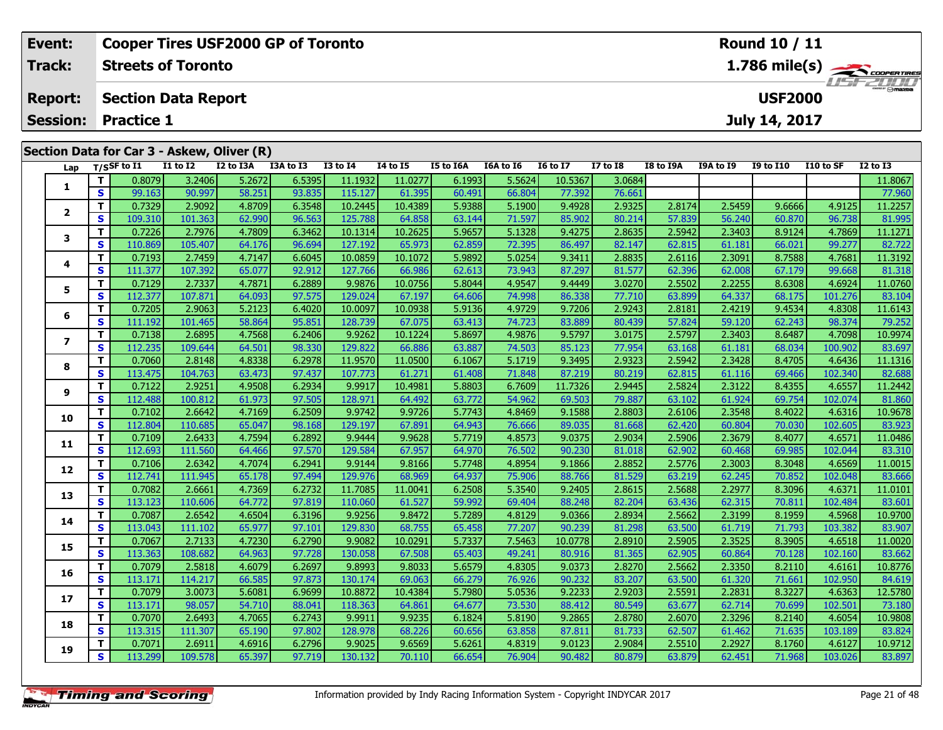| <b>Cooper Tires USF2000 GP of Toronto</b><br>Event:                                      |                                                                |    |                   |                 |           |           |                                        |          |                  |             |                 |                 |           | <b>Round 10 / 11</b> |                  |                              |                                            |
|------------------------------------------------------------------------------------------|----------------------------------------------------------------|----|-------------------|-----------------|-----------|-----------|----------------------------------------|----------|------------------|-------------|-----------------|-----------------|-----------|----------------------|------------------|------------------------------|--------------------------------------------|
| Track:<br><b>Streets of Toronto</b>                                                      |                                                                |    |                   |                 |           |           |                                        |          |                  |             |                 |                 |           |                      |                  |                              | $1.786$ mile(s) $\rightarrow$ COOPER TIRES |
|                                                                                          | <b>USF2000</b><br><b>Section Data Report</b><br><b>Report:</b> |    |                   |                 |           |           |                                        |          |                  |             |                 |                 |           |                      |                  | LISFE D'Onazo                |                                            |
|                                                                                          | <b>Session:</b>                                                |    | <b>Practice 1</b> |                 |           |           |                                        |          |                  |             |                 |                 |           |                      | July 14, 2017    |                              |                                            |
| Section Data for Car 3 - Askew, Oliver (R)                                               |                                                                |    |                   |                 |           |           |                                        |          |                  |             |                 |                 |           |                      |                  |                              |                                            |
|                                                                                          |                                                                |    | Lap T/SSF to I1   | <b>I1 to I2</b> | I2 to I3A | I3A to I3 | <b>I3 to I4</b>                        | 14 to 15 | <b>I5 to I6A</b> | I6A to I6   | <b>16 to 17</b> | <b>I7 to I8</b> | I8 to I9A | <b>I9A to I9</b>     | <b>I9 to I10</b> | I10 to SF                    | $I2$ to $I3$                               |
|                                                                                          |                                                                |    | 0.8079            | 3.2406          | 5.2672    | 6.5395    | 11.1932                                | 11.0277  | 6.1993           | 5.5624      | 10.5367         | 3.0684          |           |                      |                  |                              | 11.8067                                    |
|                                                                                          |                                                                | S. | 99.163            | 90.997          | 58.251    | 93.835    | 115.127                                | 61.395   | 60.491           | 66.804      | 77.392          | 76.661          |           |                      |                  |                              | 77.960                                     |
| 4.8709<br>6.3548<br>10.2445<br>5.9388<br>5.1900<br>9.4928<br>2.9092<br>10.4389<br>0.7329 |                                                                |    |                   |                 |           |           |                                        |          |                  |             |                 | 2.9325          | 2.8174    | 2.5459               | 9.6666           | 4.9125                       | 11.2257                                    |
|                                                                                          |                                                                | S. | 109.310           | 101.363         | 62.990    | 96.563    | 125.788                                | 64.858   | 63.144           | 71.597      | 85.902          | 80.214          | 57.839    | 56.240               | 60.870           | 96.738                       | 81.995                                     |
|                                                                                          |                                                                |    | ------            |                 | .         | .         | <b><i>Charles Committee States</i></b> |          | - - - - - -      | - . - - - 1 | ------          | . <b>.</b>      | -----     | -----                | . <b>.</b>       | $\sim$ 100 $\sim$ 100 $\sim$ |                                            |

| 1            | T            | 0.8079  | 3.2406  | 5.2672 | 6.5395 | 11.1932 | 11.0277 | 6.1993 | 5.5624 | 10.5367 | 3.0684 |        |        |        |         | 11.8067 |
|--------------|--------------|---------|---------|--------|--------|---------|---------|--------|--------|---------|--------|--------|--------|--------|---------|---------|
|              | $\mathbf{s}$ | 99.163  | 90.997  | 58.251 | 93.835 | 115.127 | 61.395  | 60.491 | 66.804 | 77.392  | 76.661 |        |        |        |         | 77.960  |
|              | т            | 0.7329  | 2.9092  | 4.8709 | 6.3548 | 10.2445 | 10.4389 | 5.9388 | 5.1900 | 9.4928  | 2.9325 | 2.8174 | 2.5459 | 9.6666 | 4.9125  | 11.2257 |
| $\mathbf{2}$ | S            | 109.310 | 101.363 | 62.990 | 96.563 | 125.788 | 64.858  | 63.144 | 71.597 | 85.902  | 80.214 | 57.839 | 56.240 | 60.870 | 96.738  | 81.995  |
|              | T            | 0.7226  | 2.7976  | 4.7809 | 6.3462 | 10.1314 | 10.2625 | 5.9657 | 5.1328 | 9.4275  | 2.8635 | 2.5942 | 2.3403 | 8.9124 | 4.7869  | 11.1271 |
| 3            | S            | 110.869 | 105.407 | 64.176 | 96.694 | 127.192 | 65.973  | 62.859 | 72.395 | 86.497  | 82.147 | 62.815 | 61.181 | 66.021 | 99.277  | 82.722  |
|              | T            | 0.7193  | 2.7459  | 4.7147 | 6.6045 | 10.0859 | 10.1072 | 5.9892 | 5.0254 | 9.3411  | 2.8835 | 2.6116 | 2.3091 | 8.7588 | 4.7681  | 11.3192 |
| 4            | S            | 111.377 | 107.392 | 65.077 | 92.912 | 127.766 | 66.986  | 62.613 | 73.943 | 87.297  | 81.577 | 62.396 | 62.008 | 67.179 | 99.668  | 81.318  |
|              | T            | 0.7129  | 2.7337  | 4.7871 | 6.2889 | 9.9876  | 10.0756 | 5.8044 | 4.9547 | 9.4449  | 3.0270 | 2.5502 | 2.2255 | 8.6308 | 4.6924  | 11.0760 |
| 5            | S            | 112.377 | 107.871 | 64.093 | 97.575 | 129.024 | 67.197  | 64.606 | 74.998 | 86.338  | 77.710 | 63.899 | 64.337 | 68.175 | 101.276 | 83.104  |
|              | т            | 0.7205  | 2.9063  | 5.2123 | 6.4020 | 10.0097 | 10.0938 | 5.9136 | 4.9729 | 9.7206  | 2.9243 | 2.8181 | 2.4219 | 9.4534 | 4.8308  | 11.6143 |
| 6            | S            | 111.192 | 101.465 | 58.864 | 95.851 | 128.739 | 67.075  | 63.413 | 74.723 | 83.889  | 80.439 | 57.824 | 59.120 | 62.243 | 98.374  | 79.252  |
|              | T.           | 0.7138  | 2.6895  | 4.7568 | 6.2406 | 9.9262  | 10.1224 | 5.8697 | 4.9876 | 9.5797  | 3.0175 | 2.5797 | 2.3403 | 8.6487 | 4.7098  | 10.9974 |
| 7            | S            | 112.235 | 109.644 | 64.501 | 98.330 | 129.822 | 66.886  | 63.887 | 74.503 | 85.123  | 77.954 | 63.168 | 61.181 | 68.034 | 100.902 | 83.697  |
|              | т            | 0.7060  | 2.8148  | 4.8338 | 6.2978 | 11.9570 | 11.0500 | 6.1067 | 5.1719 | 9.3495  | 2.9323 | 2.5942 | 2.3428 | 8.4705 | 4.6436  | 11.1316 |
| 8            | S            | 113.475 | 104.763 | 63.473 | 97.437 | 107.773 | 61.271  | 61.408 | 71.848 | 87.219  | 80.219 | 62.815 | 61.116 | 69.466 | 102.340 | 82.688  |
|              | т            | 0.7122  | 2.9251  | 4.9508 | 6.2934 | 9.9917  | 10.4981 | 5.8803 | 6.7609 | 11.7326 | 2.9445 | 2.5824 | 2.3122 | 8.4355 | 4.6557  | 11.2442 |
| 9            | S            | 112.488 | 100.812 | 61.973 | 97.505 | 128.971 | 64.492  | 63.772 | 54.962 | 69.503  | 79.887 | 63.102 | 61.924 | 69.754 | 102.074 | 81.860  |
| 10           | т            | 0.7102  | 2.6642  | 4.7169 | 6.2509 | 9.9742  | 9.9726  | 5.7743 | 4.8469 | 9.1588  | 2.8803 | 2.6106 | 2.3548 | 8.4022 | 4.6316  | 10.9678 |
|              | S            | 112.804 | 110.685 | 65.047 | 98.168 | 129.197 | 67.891  | 64.943 | 76.666 | 89.035  | 81.668 | 62.420 | 60.804 | 70.030 | 102.605 | 83.923  |
| 11           | т            | 0.7109  | 2.6433  | 4.7594 | 6.2892 | 9.9444  | 9.9628  | 5.7719 | 4.8573 | 9.0375  | 2.9034 | 2.5906 | 2.3679 | 8.4077 | 4.6571  | 11.0486 |
|              | S            | 112.693 | 111.560 | 64.466 | 97.570 | 129.584 | 67.957  | 64.970 | 76.502 | 90.230  | 81.018 | 62.902 | 60.468 | 69.985 | 102.044 | 83.310  |
|              | т            | 0.7106  | 2.6342  | 4.7074 | 6.2941 | 9.9144  | 9.8166  | 5.7748 | 4.8954 | 9.1866  | 2.8852 | 2.5776 | 2.3003 | 8.3048 | 4.6569  | 11.0015 |
| 12           | $\mathbf{s}$ | 112.741 | 111.945 | 65.178 | 97.494 | 129.976 | 68.969  | 64.937 | 75.906 | 88.766  | 81.529 | 63.219 | 62.245 | 70.852 | 102.048 | 83.666  |
| 13           | т            | 0.7082  | 2.6661  | 4.7369 | 6.2732 | 11.7085 | 11.0041 | 6.2508 | 5.3540 | 9.2405  | 2.8615 | 2.5688 | 2.2977 | 8.3096 | 4.6371  | 11.0101 |
|              | $\mathbf{s}$ | 113.123 | 110.606 | 64.772 | 97.819 | 110.060 | 61.527  | 59.992 | 69.404 | 88.248  | 82.204 | 63.436 | 62.315 | 70.811 | 102.484 | 83.601  |
| 14           | т            | 0.7087  | 2.6542  | 4.6504 | 6.3196 | 9.9256  | 9.8472  | 5.7289 | 4.8129 | 9.0366  | 2.8934 | 2.5662 | 2.3199 | 8.1959 | 4.5968  | 10.9700 |
|              | S            | 113.043 | 111.102 | 65.977 | 97.101 | 129.830 | 68.755  | 65.458 | 77.207 | 90.239  | 81.298 | 63.500 | 61.719 | 71.793 | 103.382 | 83.907  |
| 15           | T            | 0.7067  | 2.7133  | 4.7230 | 6.2790 | 9.9082  | 10.0291 | 5.7337 | 7.5463 | 10.0778 | 2.8910 | 2.5905 | 2.3525 | 8.3905 | 4.6518  | 11.0020 |
|              | S            | 113.363 | 108.682 | 64.963 | 97.728 | 130.058 | 67.508  | 65.403 | 49.241 | 80.916  | 81.365 | 62.905 | 60.864 | 70.128 | 102.160 | 83.662  |
| 16           | T            | 0.7079  | 2.5818  | 4.6079 | 6.2697 | 9.8993  | 9.8033  | 5.6579 | 4.8305 | 9.0373  | 2.8270 | 2.5662 | 2.3350 | 8.2110 | 4.6161  | 10.8776 |
|              | S            | 113.171 | 114.217 | 66.585 | 97.873 | 130.174 | 69.063  | 66.279 | 76.926 | 90.232  | 83.207 | 63.500 | 61.320 | 71.661 | 102.950 | 84.619  |
| 17           | т            | 0.7079  | 3.0073  | 5.6081 | 6.9699 | 10.8872 | 10.4384 | 5.7980 | 5.0536 | 9.2233  | 2.9203 | 2.5591 | 2.2831 | 8.3227 | 4.6363  | 12.5780 |
|              | S            | 113.171 | 98.057  | 54.710 | 88.041 | 118.363 | 64.861  | 64.677 | 73.530 | 88.412  | 80.549 | 63.677 | 62.714 | 70.699 | 102.501 | 73.180  |
| 18           | т            | 0.7070  | 2.6493  | 4.7065 | 6.2743 | 9.9911  | 9.9235  | 6.1824 | 5.8190 | 9.2865  | 2.8780 | 2.6070 | 2.3296 | 8.2140 | 4.6054  | 10.9808 |
|              | S            | 113.315 | 111.307 | 65.190 | 97.802 | 128.978 | 68.226  | 60.656 | 63.858 | 87.811  | 81.733 | 62.507 | 61.462 | 71.635 | 103.189 | 83.824  |
| 19           | т            | 0.7071  | 2.6911  | 4.6916 | 6.2796 | 9.9025  | 9.6569  | 5.6261 | 4.8319 | 9.0123  | 2.9084 | 2.5510 | 2.2927 | 8.1760 | 4.6127  | 10.9712 |
|              | $\mathbf{s}$ | 113.299 | 109.578 | 65.397 | 97.719 | 130.132 | 70.110  | 66.654 | 76.904 | 90.482  | 80.879 | 63.879 | 62.451 | 71.968 | 103.026 | 83.897  |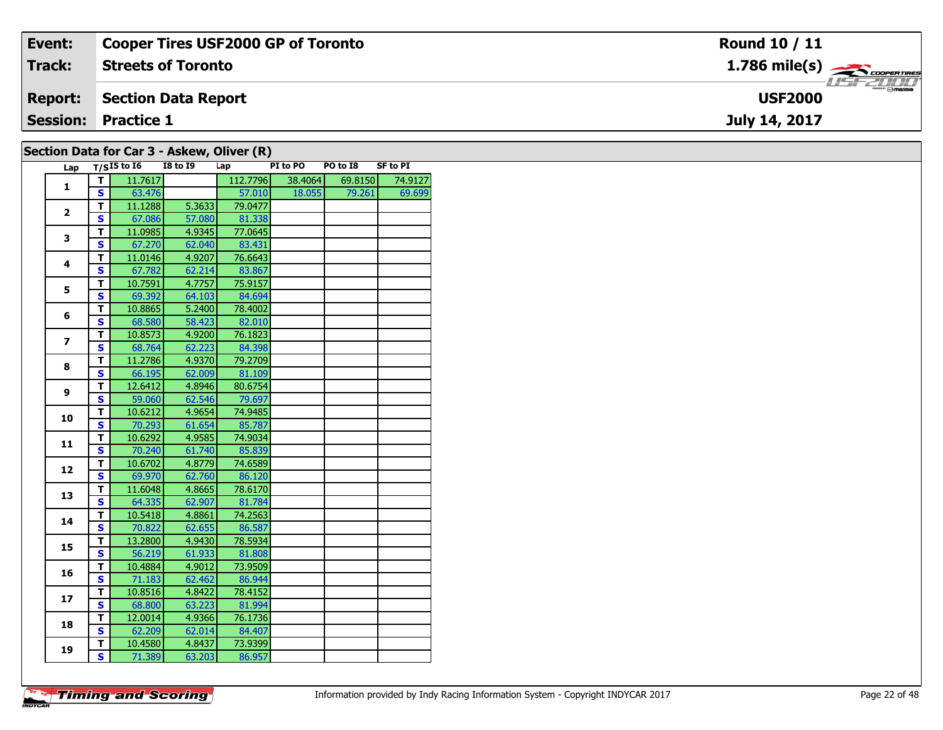| Event:         | Cooper Tires USF2000 GP of Toronto         | <b>Round 10 / 11</b>                                   |
|----------------|--------------------------------------------|--------------------------------------------------------|
| <b>Track:</b>  | <b>Streets of Toronto</b>                  | $1.786$ mile(s) $\overbrace{\hspace{2cm}}$ coorentment |
| <b>Report:</b> | Section Data Report                        | <b>LISF 2000</b><br><b>USF2000</b>                     |
|                | <b>Session: Practice 1</b>                 | July 14, 2017                                          |
|                | Section Data for Car 3 - Askew, Oliver (R) |                                                        |

|              |                         |                                 |                 |        | $\cdots$ . The state of $\cdots$ |          |          |                 |
|--------------|-------------------------|---------------------------------|-----------------|--------|----------------------------------|----------|----------|-----------------|
|              |                         | Lap $T/\overline{S^{15}}$ to 16 | <b>I8 to I9</b> |        | Lap                              | PI to PO | PO to I8 | <b>SF to PI</b> |
|              | $\mathbf{T}$            | 11.7617                         |                 |        | 112.7796                         | 38.4064  | 69.8150  | 74.9127         |
| 1            | $\mathbf{s}$            | 63.476                          |                 |        | 57.010                           | 18.055   | 79.261   | 69.699          |
|              | T                       | 11.1288                         |                 | 5.3633 | 79.0477                          |          |          |                 |
| $\mathbf{2}$ | S                       | 67.086                          |                 | 57.080 | 81.338                           |          |          |                 |
|              | T                       | 11.0985                         |                 | 4.9345 | 77.0645                          |          |          |                 |
| 3            | $\overline{\mathbf{s}}$ | 67.270                          |                 | 62.040 | 83.431                           |          |          |                 |
|              | $\mathbf{T}$            | 11.0146                         |                 | 4.9207 | 76.6643                          |          |          |                 |
| 4            | <b>S</b>                | 67.782                          |                 | 62.214 | 83.867                           |          |          |                 |
|              | T                       | 10.7591                         |                 | 4.7757 | 75.9157                          |          |          |                 |
| 5            | S                       | 69.392                          |                 | 64.103 | 84.694                           |          |          |                 |
|              | T                       | 10.8865                         |                 | 5.2400 | 78.4002                          |          |          |                 |
| 6            | <b>S</b>                | 68.580                          |                 | 58.423 | 82.010                           |          |          |                 |
|              | T                       | 10.8573                         |                 | 4.9200 | 76.1823                          |          |          |                 |
| 7            | S                       | 68.764                          |                 | 62.223 | 84.398                           |          |          |                 |
|              | $\overline{\mathsf{T}}$ | 11.2786                         |                 | 4.9370 | 79.2709                          |          |          |                 |
| 8            | $\overline{\mathbf{s}}$ | 66.195                          |                 | 62.009 | 81.109                           |          |          |                 |
|              | $\overline{\mathsf{r}}$ | 12.6412                         |                 | 4.8946 | 80.6754                          |          |          |                 |
| 9            | $\mathbf{s}$            | 59.060                          |                 | 62.546 | 79.697                           |          |          |                 |
|              | T                       | 10.6212                         |                 | 4.9654 | 74.9485                          |          |          |                 |
| 10           | $\overline{\mathbf{s}}$ | 70.293                          |                 | 61.654 | 85.787                           |          |          |                 |
|              | $\mathbf{T}$            | 10.6292                         |                 | 4.9585 | 74.9034                          |          |          |                 |
| 11           | $\mathbf{s}$            | 70.240                          |                 | 61.740 | 85.839                           |          |          |                 |
|              | $\mathbf{T}$            | 10.6702                         |                 | 4.8779 | 74.6589                          |          |          |                 |
| 12           | S                       | 69.970                          |                 | 62.760 | 86.120                           |          |          |                 |
|              |                         |                                 |                 |        |                                  |          |          |                 |
| 13           | T                       | 11.6048                         |                 | 4.8665 | 78.6170                          |          |          |                 |
|              | $\overline{\mathbf{s}}$ | 64.335                          |                 | 62.907 | 81.784                           |          |          |                 |
| 14           | $\overline{\mathsf{r}}$ | 10.5418                         |                 | 4.8861 | 74.2563                          |          |          |                 |
|              | S                       | 70.822                          |                 | 62.655 | 86.587                           |          |          |                 |
| 15           | $\mathbf{T}$            | 13.2800                         |                 | 4.9430 | 78.5934                          |          |          |                 |
|              | S                       | 56.219                          |                 | 61.933 | 81.808                           |          |          |                 |
| 16           | T                       | 10.4884                         |                 | 4.9012 | 73.9509                          |          |          |                 |
|              | $\mathbf{s}$            | 71.183                          |                 | 62.462 | 86.944                           |          |          |                 |
| 17           | $\overline{\mathbf{r}}$ | 10.8516                         |                 | 4.8422 | 78.4152                          |          |          |                 |
|              | <b>S</b>                | 68.800                          |                 | 63.223 | 81.994                           |          |          |                 |
|              | $\mathbf T$             | 12.0014                         |                 | 4.9366 | 76.1736                          |          |          |                 |
| 18           | $\overline{\mathbf{s}}$ | 62.209                          |                 | 62.014 | 84.407                           |          |          |                 |
|              | $\mathbf{T}$            | 10.4580                         |                 | 4.8437 | 73.9399                          |          |          |                 |
| 19           | $\mathsf{S}$            | 71.389                          |                 | 63.203 | 86.957                           |          |          |                 |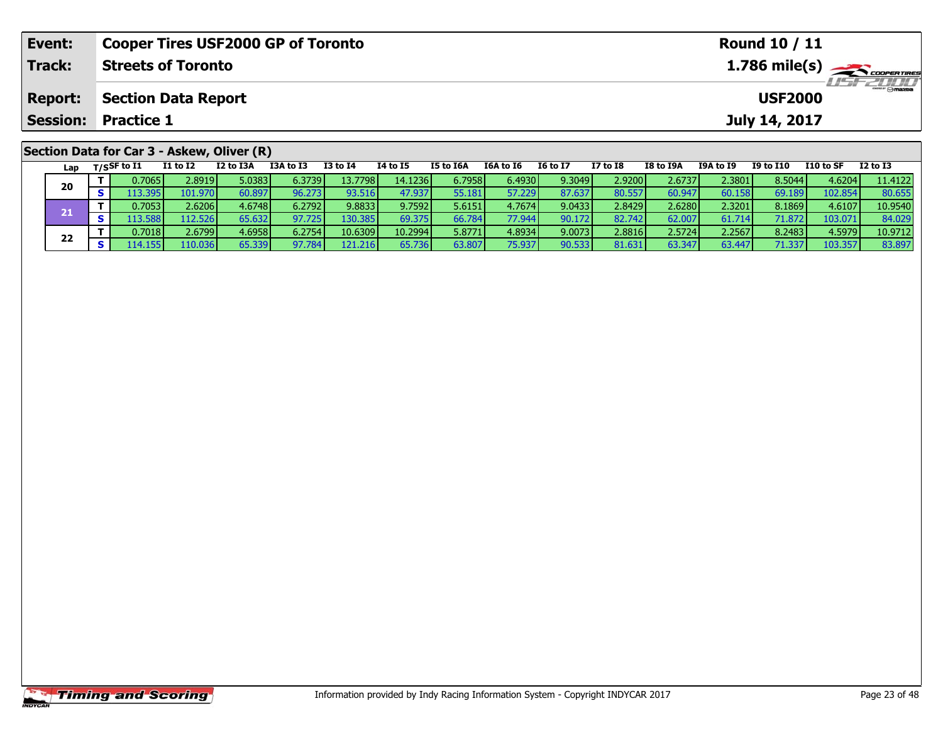| Event:         | <b>Cooper Tires USF2000 GP of Toronto</b>  |                                              |           |                                          |          | <b>Round 10 / 11</b> |           |          |          |           |           |               |           |          |  |
|----------------|--------------------------------------------|----------------------------------------------|-----------|------------------------------------------|----------|----------------------|-----------|----------|----------|-----------|-----------|---------------|-----------|----------|--|
| Track:         | <b>Streets of Toronto</b>                  |                                              |           | $1.786$ mile(s) $\rightarrow$ coorganges |          |                      |           |          |          |           |           |               |           |          |  |
| <b>Report:</b> |                                            | <b>Section Data Report</b><br><b>USF2000</b> |           |                                          |          |                      |           |          |          |           |           |               |           |          |  |
|                | <b>Session: Practice 1</b>                 |                                              |           |                                          |          |                      |           |          |          |           |           | July 14, 2017 |           |          |  |
|                | Section Data for Car 3 - Askew, Oliver (R) |                                              |           |                                          |          |                      |           |          |          |           |           |               |           |          |  |
|                | Lap $T/S$ SF to I1<br>I1 to I2             | I2 to I3A                                    | I3A to I3 | I3 to I4                                 | 14 to 15 | I5 to I6A            | I6A to I6 | I6 to I7 | I7 to I8 | I8 to I9A | I9A to I9 | I9 to I10     | I10 to SF | I2 to I3 |  |

|  | $- - -$ | $\overline{\phantom{a}}$ |              |                  |                 |        |                  |         |        |          |          |         |                 |                 |        |         |         |
|--|---------|--------------------------|--------------|------------------|-----------------|--------|------------------|---------|--------|----------|----------|---------|-----------------|-----------------|--------|---------|---------|
|  | 20      |                          | 0.7065       | 2.8919           | 5.0383 <b>F</b> | 6.3739 | 13.7798 <b>I</b> | 14.1236 | 6.7958 | 6.4930   | 9.3049   | 2.9200V | 2.6737          | 2.3801 <b>l</b> | 8.5044 | 4.6204  | 11.4122 |
|  |         |                          | .395F        | 101.970 <b>I</b> | 50.897          | 96.273 | 93.516           | 47.937  | 55.181 | 57.229   | 37.637   | 80.557  | 60.947          | 158 I           | 69.189 | 102.854 | 80.655  |
|  |         |                          | 0.7053       | 2.6206           | 4.6748          | 6.2792 | 9.8833           | 9.7592  | 5.6151 | 4.7674   | 9.0433   | 2.8429  | 2.6280 <b>l</b> | 2.3201          | 8.1869 | 4.6107  | 10.9540 |
|  |         |                          | 3.588        | 112.526 <b>I</b> | 65.632          | 97.725 | 130.385          | 69.375  | 66.784 | 77 Q44 L | 90.172 l | 82.742  | 62.00           | 714 I<br>61.    | 71.872 | 103.0.  | 84.029  |
|  |         |                          | 0.7018       | 2.6799           | 4.6958          | 6.2754 | 10.6309          | 10.2994 | 5.8771 | 4.8934   | 9.0073   | 2.8816  | 2.5724          | 2.25671         | 8.2483 | 4.5979' | 10.9712 |
|  | 22      |                          | 1.155<br>114 | 10.036           | 65.339          | 97.784 | 121.216          | 65.736  | 63.807 | 75.9371  | 90.533   | 81.631  | 63.347          | 63.447          | 71.337 | 103.357 | 83.897  |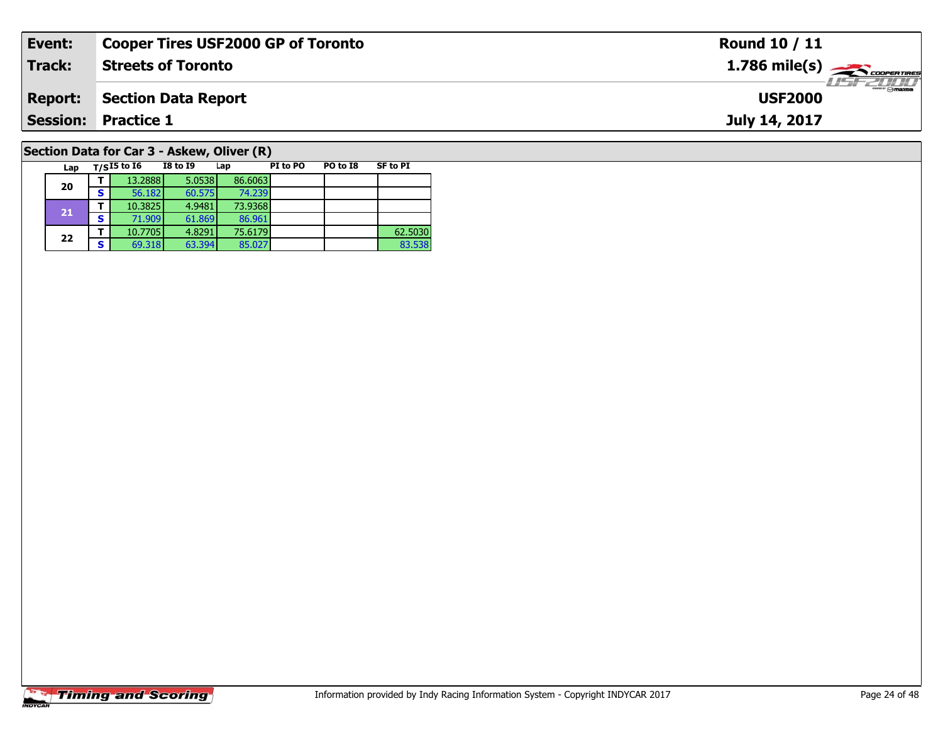| Event:          | <b>Cooper Tires USF2000 GP of Toronto</b>              |                 | <b>Round 10 / 11</b>                              |
|-----------------|--------------------------------------------------------|-----------------|---------------------------------------------------|
| Track:          | <b>Streets of Toronto</b>                              |                 | $1.786$ mile(s) $\rightarrow$<br><b>LISF 2000</b> |
| <b>Report:</b>  | <b>Section Data Report</b>                             |                 | <b>USF2000</b>                                    |
| <b>Session:</b> | <b>Practice 1</b>                                      |                 | July 14, 2017                                     |
|                 | Section Data for Car 3 - Askew, Oliver (R)             |                 |                                                   |
| Lap             | T/SI5 to I6<br>PO to I8<br>I8 to I9<br>PI to PO<br>Lap | <b>SF to PI</b> |                                                   |

83.538

# **Timing and Scoring**

**20**

**21**

**22**

**<sup>T</sup>** 13.2888 5.0538 86.6063 **<sup>S</sup>** 56.182 60.575 74.239

**<sup>T</sup>** 10.3825 4.9481 73.9368 **<sup>S</sup>** 71.909 61.869 86.961

74.239<br>73.9368

86.961<br>75.6179

**T** 10.7705 4.8291 75.6179 1882 62.5030<br> **S** 69.318 63.394 85.027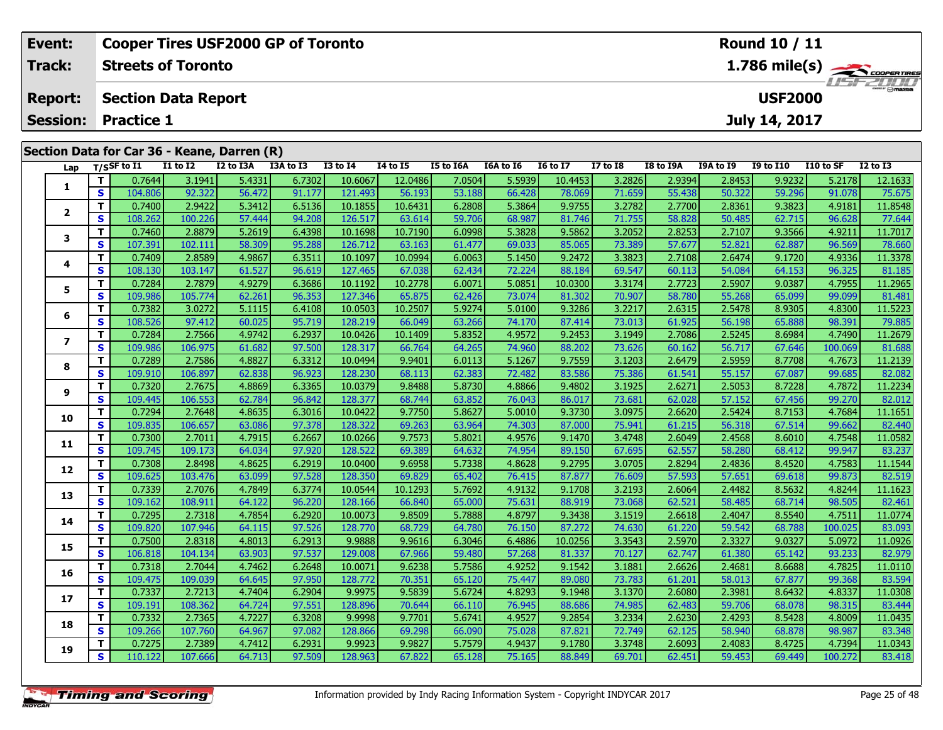| Event:          |                                 |                   |                            | <b>Cooper Tires USF2000 GP of Toronto</b>   |           |                 |                 |           |           |                 |                 |           |                  | <b>Round 10 / 11</b> |           |                                         |
|-----------------|---------------------------------|-------------------|----------------------------|---------------------------------------------|-----------|-----------------|-----------------|-----------|-----------|-----------------|-----------------|-----------|------------------|----------------------|-----------|-----------------------------------------|
| Track:          |                                 |                   | <b>Streets of Toronto</b>  |                                             |           |                 |                 |           |           |                 |                 |           |                  |                      |           | $1.786$ mile(s) $\leftarrow$ coorganges |
| <b>Report:</b>  |                                 |                   | <b>Section Data Report</b> |                                             |           |                 |                 |           |           |                 |                 |           |                  | <b>USF2000</b>       |           | <b>LISTZULU</b>                         |
| <b>Session:</b> |                                 | <b>Practice 1</b> |                            |                                             |           |                 |                 |           |           |                 |                 |           |                  | July 14, 2017        |           |                                         |
|                 |                                 |                   |                            | Section Data for Car 36 - Keane, Darren (R) |           |                 |                 |           |           |                 |                 |           |                  |                      |           |                                         |
|                 | Lap $T/S$ SF to $\overline{11}$ |                   | <b>I1 to I2</b>            | I2 to I3A                                   | I3A to I3 | <b>I3 to I4</b> | <b>I4 to I5</b> | I5 to I6A | I6A to I6 | <b>I6 to I7</b> | <b>I7 to I8</b> | I8 to I9A | <b>I9A to I9</b> | <b>I9 to I10</b>     | I10 to SF | <b>I2 to I3</b>                         |
|                 |                                 | 0.7644            | 3.1941                     | 5.4331                                      | 6.7302    | 10.6067         | 12.0486         | 7.0504    | 5.5939    | 10.4453         | 3.2826          | 2.9394    | 2.8453           | 9.9232               | 5.2178    | 12.1633                                 |
| ÷               | s                               | 104.8061          | 92.322                     | 56.472                                      | 91.1771   | 121.493         | 56.193          | 53.188    | 66.428    | 78.069          | 71.659          | 55.438    | 50.3221          | 59.296               | 91.078    | 75.675                                  |

2 | T | 0.7400| 2.9422| 5.3412| 6.5136| 10.1855| 10.6431| 6.2808| 5.3864| 9.9755| 3.2782| 2.7700| 2.8361| 9.3823| 4.9181| 11.8548<br>2 | S | 108.262| 100.226| 57.444| 94.208| 126.517| 63.614| 59.706| 68.987| 81.746| 71.755| 5

3 T 0.7460 2.8879 5.2619 6.4398 10.1698 10.7190 6.0998 5.3828 9.5862 3.2052 2.8253 2.7107 9.3566 4.9211 11.7017<br>S S 107.391 102.111 58.309 95.288 126.712 63.163 61.477 69.033 85.065 73.389 57.677 52.821 62.887 96.569 78.66

**<sup>T</sup>** 0.7409 2.8589 4.9867 6.3511 10.1097 10.0994 6.0063 5.1450 9.2472 3.3823 2.7108 2.6474 9.1720 4.9336 11.3378 **<sup>S</sup>** 108.130 103.147 61.527 96.619 127.465 67.038 62.434 72.224 88.184 69.547 60.113 54.084 64.153 96.325 81.185

5 | T | 0.7284| 2.7879| 4.9279| 6.3686| 10.1192| 10.2778| 6.0071| 5.0851| 10.0300| 3.3174| 2.7723| 2.5907| 9.0387| 4.7955| 11.2965<br>| S | 109.986| 105.774| 62.261| 96.353| 127.346| 65.875| 62.426| 73.074| 81.302| 70.907| 58

**<sup>T</sup>** 0.7382 3.0272 5.1115 6.4108 10.0503 10.2507 5.9274 5.0100 9.3286 3.2217 2.6315 2.5478 8.9305 4.8300 11.5223 **<sup>S</sup>** 108.526 97.412 60.025 95.719 128.219 66.049 63.266 74.170 87.414 73.013 61.925 56.198 65.888 98.391 79.885

7 | T | 0.7284| 2.7566| 4.9742| 6.2937| 10.0426| 10.1409| 5.8352| 4.9572| 9.2453| 3.1949| 2.7086| 2.5245| 8.6984| 4.7490| 11.2679<br>7 | S | 109.986 106.975 | 61.682 | 97.500 128.317 | 66.764 | 64.265 | 74.960 | 88.202 | 73.6

8 T | 0.7289 2.7586 4.8827 6.3312 10.0494 9.9401 6.0113 5.1267 9.7559 3.1203 2.6479 2.5959 8.7708 4.7673 11.2139<br>8 S 109.910 106.897 62.838 96.923 128.230 68.113 62.383 72.482 83.586 75.386 61.541 55.157 67.087 99.685 82.0

11.2234 11.2234 11.2234 11.2234 128.365| 10.0379| 9.8488| 5.8730| 4.8866| 9.4802| 3.1925| 2.6271| 2.5053| 8.7228| 4.7872| 11.2234<br>S | 109.445| 106.553| 62.784| 96.842| 128.377| 68.744| 63.852| 76.043| 86.017| 73.681| 62.0

0 T 0.7294 2.7648 4.8635 6.3016 10.0422 9.7750 5.8627 5.0010 9.3730 3.0975 2.6620 2.5424 8.7153 4.7684 11.1651<br>S 109.835 106.657 63.086 97.378 128.322 69.263 63.964 74.303 87.000 75.941 61.215 56.318 67.514 99.662 82.440

**<sup>T</sup>** 0.7300 2.7011 4.7915 6.2667 10.0266 9.7573 5.8021 4.9576 9.1470 3.4748 2.6049 2.4568 8.6010 4.7548 11.0582 **<sup>S</sup>** 109.745 109.173 64.034 97.920 128.522 69.389 64.632 74.954 89.150 67.695 62.557 58.280 68.412 99.947 83.237

2 T 0.7308 2.8498 4.8625 6.2919 10.0400 9.6958 5.7338 4.8628 9.2795 3.0705 2.8294 2.4836 8.4520 4.7583 11.1544<br>2 S 109.625 103.476 63.099 97.528 128.350 69.829 65.402 76.415 87.877 76.609 57.593 57.651 69.618 99.873 82.519

3 T 0.7339 2.7076 4.7849 6.3774 10.0544 10.1293 5.7692 4.9132 9.1708 3.2193 2.6064 2.4482 8.5632 4.8244 11.1623<br>S 109.162 108.911 64.122 96.220 128.166 66.840 65.000 75.631 88.919 73.068 62.521 58.485 68.714 98.505 82.461

4 T 0.7295| 2.7318| 4.7854| 6.2920| 10.0073| 9.8509| 5.7888| 4.8797| 9.3438| 3.1519| 2.6618| 2.4047| 8.5540| 4.7511| 11.0774<br>- S 109.820| 107.946| 64.115| 97.526| 128.770| 68.729| 64.780| 76.150| 87.272| 74.630| 61.220| 59

5 T 0.7500 2.8318 4.8013 6.2913 9.9888 9.9616 6.3046 6.4886 10.0256 3.3543 2.5970 2.3327 9.0327 5.0972 11.0926<br>5 S 106.818 104.134 63.903 97.537 129.008 67.966 59.480 57.268 81.337 70.127 62.747 61.380 65.142 93.233 82.979

**<sup>T</sup>** 0.7318 2.7044 4.7462 6.2648 10.0071 9.6238 5.7586 4.9252 9.1542 3.1881 2.6626 2.4681 8.6688 4.7825 11.0110 **<sup>S</sup>** 109.475 109.039 64.645 97.950 128.772 70.351 65.120 75.447 89.080 73.783 61.201 58.013 67.877 99.368 83.594

7 T 0.7337 2.7213 4.7404 6.2904 9.9975 9.5839 5.6724 4.8293 9.1948 3.1370 2.6080 2.3981 8.6432 4.8337 11.0308<br>7 S 109.191 108.362 64.724 97.551 128.896 70.644 66.110 76.945 88.686 74.985 62.483 59.706 68.078 98.315 83.444

8 T 0.7332 2.7365 4.7227 6.3208 9.9998 9.7701 5.6741 4.9527 9.2854 3.2334 2.6230 2.4293 8.5428 4.8009 11.0435<br>8 S 109.266 107.760 64.967 97.082 128.866 69.298 66.090 75.028 87.821 72.749 62.125 58.940 68.878 98.987 83.348

**<sup>T</sup>** 0.7275 2.7389 4.7412 6.2931 9.9923 9.9827 5.7579 4.9437 9.1780 3.3748 2.6093 2.4083 8.4725 4.7394 11.0343 **<sup>S</sup>** 110.122 107.666 64.713 97.509 128.963 67.822 65.128 75.165 88.849 69.701 62.451 59.453 69.449 100.272 83.418

| <b>Timing and Scoring</b> |  |
|---------------------------|--|
|                           |  |

**2**

**3**

**4**

**5**

**6**

**7**

**8**

**9**

**10**

**11**

**12**

**13**

**14**

**15**

**16**

**17**

**18**

**19**

77.644

81.185

81.688

82.012

83.093

83.444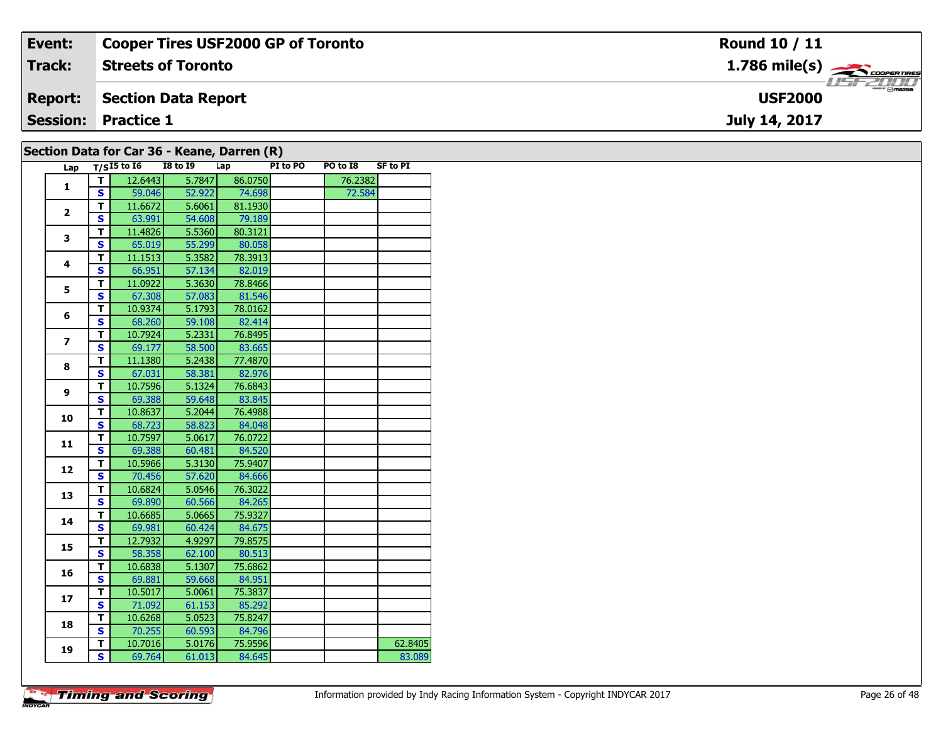| Event:         | Cooper Tires USF2000 GP of Toronto              | <b>Round 10 / 11</b>                                      |
|----------------|-------------------------------------------------|-----------------------------------------------------------|
| <b>Track:</b>  | <b>Streets of Toronto</b>                       | $1.786$ mile(s) $\overbrace{\hspace{2.5cm}}$ coorer TIRES |
| <b>Report:</b> | Section Data Report                             | <b>USF2000</b>                                            |
|                | <b>Session: Practice 1</b>                      | July 14, 2017                                             |
|                | Section Data for Car $36$ - Keane, Darren $(R)$ |                                                           |

|                |                         | Lap $T/\overline{S^{15}}$ to 16 | <b>I8 to 19</b> |        | $\frac{1}{2}$ iverse non-extraction $\binom{1}{2}$<br>Lap | PI to PO | PO to I8 | <b>SF to PI</b> |
|----------------|-------------------------|---------------------------------|-----------------|--------|-----------------------------------------------------------|----------|----------|-----------------|
|                | T.                      | 12.6443                         |                 | 5.7847 | 86.0750                                                   |          | 76.2382  |                 |
| 1              | <b>S</b>                | 59.046                          |                 | 52.922 | 74.698                                                    |          | 72.584   |                 |
|                | т                       | 11.6672                         |                 | 5.6061 | 81.1930                                                   |          |          |                 |
| 2              | $\mathbf{s}$            | 63.991                          |                 | 54.608 | 79.189                                                    |          |          |                 |
| 3              | T.                      | 11.4826                         |                 | 5.5360 | 80.3121                                                   |          |          |                 |
|                | <b>S</b>                | 65.019                          |                 | 55.299 | 80.058                                                    |          |          |                 |
| 4              | T                       | 11.1513                         |                 | 5.3582 | 78.3913                                                   |          |          |                 |
|                | S                       | 66.951                          |                 | 57.134 | 82.019                                                    |          |          |                 |
| 5              | Т                       | 11.0922                         |                 | 5.3630 | 78.8466                                                   |          |          |                 |
|                | $\mathbf{s}$            | 67.308                          |                 | 57.083 | 81.546                                                    |          |          |                 |
| 6              | т                       | 10.9374                         |                 | 5.1793 | 78.0162                                                   |          |          |                 |
|                | $\mathbf{s}$            | 68.260                          |                 | 59.108 | 82.414                                                    |          |          |                 |
|                | т                       | 10.7924                         |                 | 5.2331 | 76.8495                                                   |          |          |                 |
| $\overline{z}$ | $\mathbf{s}$            | 69.177                          |                 | 58.500 | 83.665                                                    |          |          |                 |
| 8              | T                       | 11.1380                         |                 | 5.2438 | 77.4870                                                   |          |          |                 |
|                | <b>S</b>                | 67.031                          |                 | 58.381 | 82.976                                                    |          |          |                 |
|                | T                       | 10.7596                         |                 | 5.1324 | 76.6843                                                   |          |          |                 |
| 9              | S                       | 69.388                          |                 | 59.648 | 83.845                                                    |          |          |                 |
|                | T                       | 10.8637                         |                 | 5.2044 | 76.4988                                                   |          |          |                 |
| 10             | $\mathbf{s}$            | 68.723                          |                 | 58.823 | 84.048                                                    |          |          |                 |
|                | т                       | 10.7597                         |                 | 5.0617 | 76.0722                                                   |          |          |                 |
| 11             | S                       | 69.388                          |                 | 60.481 | 84.520                                                    |          |          |                 |
|                | т                       | 10.5966                         |                 | 5.3130 | 75.9407                                                   |          |          |                 |
| 12             | $\mathbf{s}$            | 70.456                          |                 | 57.620 | 84.666                                                    |          |          |                 |
|                | T.                      | 10.6824                         |                 | 5.0546 | 76.3022                                                   |          |          |                 |
| 13             | S                       | 69.890                          |                 | 60.566 | 84.265                                                    |          |          |                 |
|                | T                       | 10.6685                         |                 | 5.0665 | 75.9327                                                   |          |          |                 |
| 14             | S                       | 69.981                          |                 | 60.424 | 84.675                                                    |          |          |                 |
|                | T                       | 12.7932                         |                 | 4.9297 | 79.8575                                                   |          |          |                 |
| 15             | S                       | 58.358                          |                 | 62.100 | 80.513                                                    |          |          |                 |
|                | т                       | 10.6838                         |                 | 5.1307 | 75.6862                                                   |          |          |                 |
| 16             | $\mathbf{s}$            | 69.881                          |                 | 59.668 | 84.951                                                    |          |          |                 |
|                | т                       | 10.5017                         |                 | 5.0061 | 75.3837                                                   |          |          |                 |
| 17             | $\mathbf{s}$            | 71.092                          |                 | 61.153 | 85.292                                                    |          |          |                 |
|                | T                       | 10.6268                         |                 | 5.0523 | 75.8247                                                   |          |          |                 |
| 18             | S                       | 70.255                          |                 | 60.593 | 84.796                                                    |          |          |                 |
|                | T.                      | 10.7016                         |                 | 5.0176 | 75.9596                                                   |          |          | 62.8405         |
| 19             | $\overline{\mathbf{s}}$ | 69.764                          |                 | 61.013 | 84.645                                                    |          |          | 83.089          |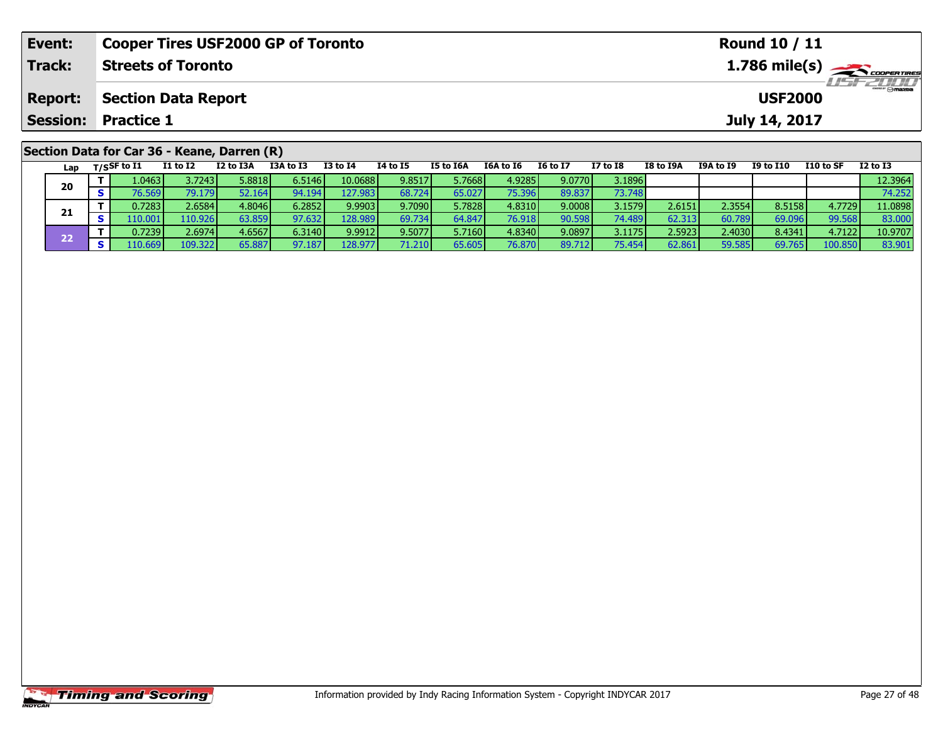| Event:         | <b>Cooper Tires USF2000 GP of Toronto</b>                                                                         | Round 10 / 11                                                                                                           |
|----------------|-------------------------------------------------------------------------------------------------------------------|-------------------------------------------------------------------------------------------------------------------------|
| Track:         | <b>Streets of Toronto</b>                                                                                         | $1.786$ mile(s) $\overbrace{\hspace{2cm}}$ coorentmen                                                                   |
| <b>Report:</b> | Section Data Report                                                                                               | <b>USF2000</b>                                                                                                          |
|                | <b>Session: Practice 1</b>                                                                                        | July 14, 2017                                                                                                           |
|                | Section Data for Car 36 - Keane, Darren (R)<br><b>TOA 1- TO</b><br><b>TO LA TA</b><br>TE LA TEA<br><b>TALL TE</b> | <b>TC 1- TT</b><br><b>TT 1. TO</b><br><b>TO L. TIO</b><br><b>FAA 1- CE</b><br>TO L. TOA<br>TOA LA TO<br><b>TO 44 TO</b> |

| Lap | T/SSF to I1     | I1 to I2 | I2 to I3A | I3A to I3 | <b>I3 to I4</b> | 14 to 15 | <b>I5 to I6A</b> | I6A to I6 | <b>I6 to I7</b> | <b>I7 to I8</b> | I8 to I9A | <b>I9A to I9</b> | I9 to I10 | <b>I10 to SF</b> | $12$ to $13$ |
|-----|-----------------|----------|-----------|-----------|-----------------|----------|------------------|-----------|-----------------|-----------------|-----------|------------------|-----------|------------------|--------------|
|     | l.0463 <b>l</b> | 3.72431  | 5.8818    | 6.5146    | 10.0688         | 9.8517   | 5.7668           | 4.9285    | 9.0770          | 3.1896          |           |                  |           |                  | 12.3964      |
| 20  | 76.569 N        | 79.179   | 52.164 l  | $-4.194$  | 127.983         | 68.724   | 65.027           | 75.396    | 89.837          | 73.748          |           |                  |           |                  | 74.252       |
| 21  | 0.7283          | 2.6584   | 4.8046    | 6.2852    | 9.9903          | 9.7090   | 5.7828           | 4.8310    | 9.0008          | 3.1579          | 2.6151    | 2.3554           | 8.5158    | 4.7729           | 11.0898      |
|     |                 | 110.926  | 63.859V   | 97.632    | 128.989         | 69.734   | 64.847           | 76.918    | 90.598          | 74.489          | 62.313    | 60.789           | 69.096    | 99.568           | 83.000       |
| フフ  | 0.7239          | 2.6974   | 4.6567    | 6.3140    | 9.9912          | 9.5077   | 5.7160           | 4.8340    | 9.0897          | 3.1175          | 2.5923    | 2.4030           | 8.4341    | 4.7122           | 10.9707      |
|     | .10.669         | 109.322  | 65.887    | 97.187    | 128.977         | 71.210   | 65.605           | 76.870    | 89.712          | 75.454          | 62.861    | 59.585           | 69.765    | 100.850          | 83.901       |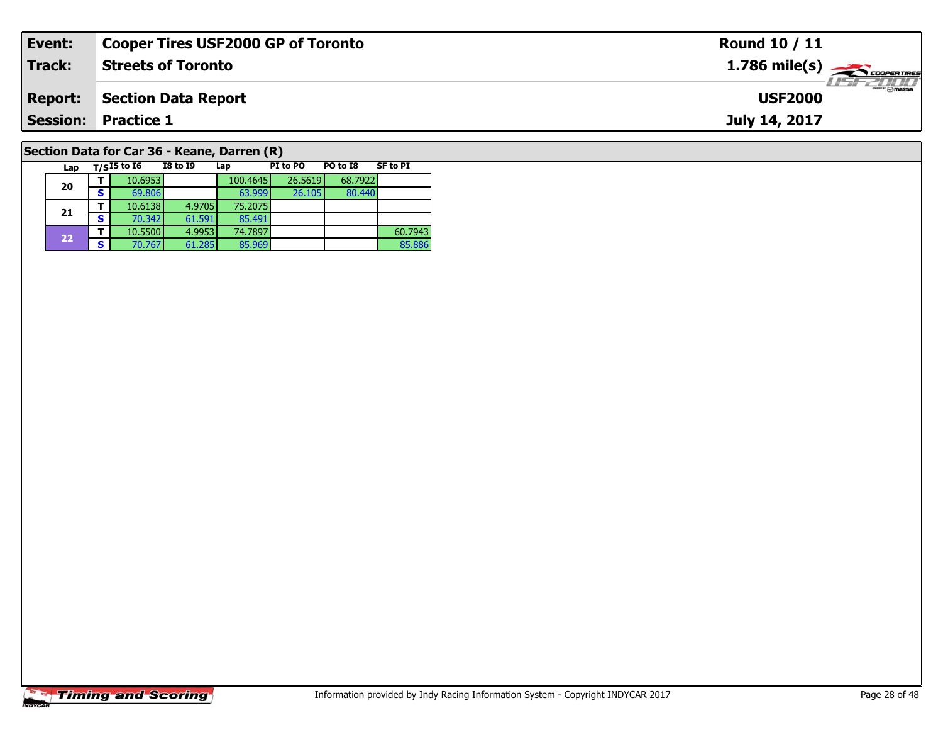| Event:         | <b>Cooper Tires USF2000 GP of Toronto</b>   | Round 10 / 11                   |
|----------------|---------------------------------------------|---------------------------------|
| Track:         | <b>Streets of Toronto</b>                   |                                 |
| <b>Report:</b> | <b>Section Data Report</b>                  | $\frac{1}{2}$<br><b>USF2000</b> |
|                | <b>Session: Practice 1</b>                  | July 14, 2017                   |
|                | Section Data for Car 36 - Keane, Darren (R) |                                 |

# **Timing and Scoring**

**20**

**21**

**22**

Lap T/S<sup>I5</sup> to I6 I8 to I9 Lap PI to PO PO to I8 SF to PI

85.491<br>74.7897

**T** 10.5500 4.9953 74.7897 860.7943<br>**S** 70.767 61.285 85.969 85.886

80.440

85.886

**d T** 10.6953 100.4645 26.5619 68.7922<br>**S** 69.806 63.999 26.105 80.440

**<sup>T</sup>** 10.6138 4.9705 75.2075 **<sup>S</sup>** 70.342 61.591 85.491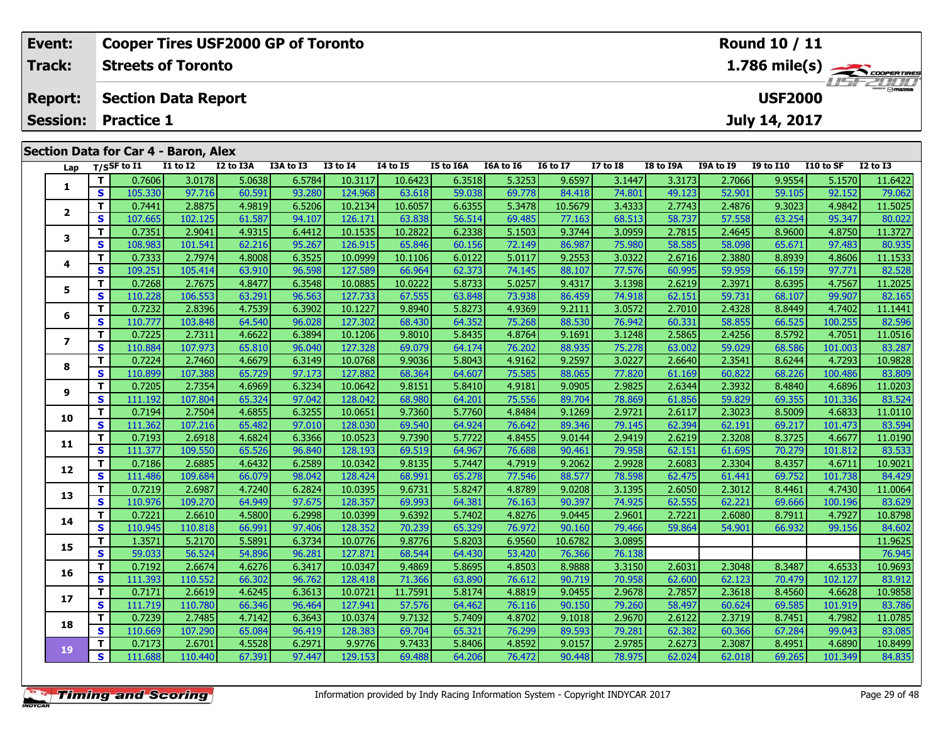| Event:          |                                             | <b>Cooper Tires USF2000 GP of Toronto</b> |           |           |          |          |                  |           |                 |                 |           |           | <b>Round 10 / 11</b> |           |                                           |
|-----------------|---------------------------------------------|-------------------------------------------|-----------|-----------|----------|----------|------------------|-----------|-----------------|-----------------|-----------|-----------|----------------------|-----------|-------------------------------------------|
| Track:          |                                             | <b>Streets of Toronto</b>                 |           |           |          |          |                  |           |                 |                 |           |           |                      |           | $1.786 \text{ mile(s)}$<br><b>USFZULU</b> |
| <b>Report:</b>  |                                             | <b>Section Data Report</b>                |           |           |          |          |                  |           |                 |                 |           |           | <b>USF2000</b>       |           |                                           |
| <b>Session:</b> | <b>Practice 1</b>                           |                                           |           |           |          |          |                  |           |                 |                 |           |           | July 14, 2017        |           |                                           |
|                 | <b>Section Data for Car 4 - Baron, Alex</b> |                                           |           |           |          |          |                  |           |                 |                 |           |           |                      |           |                                           |
| Lap             | T/SSF to $\mathbf{I1}$                      | <b>I1 to I2</b>                           | I2 to I3A | I3A to I3 | I3 to I4 | 14 to 15 | <b>I5 to I6A</b> | I6A to I6 | <b>I6 to I7</b> | <b>I7 to I8</b> | I8 to I9A | I9A to I9 | <b>I9 to I10</b>     | I10 to SF | <b>I2 to I3</b>                           |
|                 | 0.7606                                      | 3.0178                                    | 5.0638    | 6.5784    | 10.3117  | 10.6423  | 6.3518           | 5.3253    | 9.6597          | 3.1447          | 3.3173    | 2.7066    | 9.9554               | 5.1570    | 11.6422                                   |

|                         | T            | 0.7606  | 3.0178  | 5.0638 | 6.5784 | 10.3117 | 10.6423 | 6.3518 | 5.3253 | 9.6597  | 3.1447 | 3.3173 | 2.7066 | 9.9554 | 5.1570  | 11.6422 |
|-------------------------|--------------|---------|---------|--------|--------|---------|---------|--------|--------|---------|--------|--------|--------|--------|---------|---------|
| 1                       | $\mathbf{s}$ | 105.330 | 97.716  | 60.591 | 93.280 | 124.968 | 63.618  | 59.038 | 69.778 | 84.418  | 74.801 | 49.123 | 52.901 | 59.105 | 92.152  | 79.062  |
|                         | T            | 0.7441  | 2.8875  | 4.9819 | 6.5206 | 10.2134 | 10.6057 | 6.6355 | 5.3478 | 10.5679 | 3.4333 | 2.7743 | 2.4876 | 9.3023 | 4.9842  | 11.5025 |
| $\overline{\mathbf{2}}$ | S            | 107.665 | 102.125 | 61.587 | 94.107 | 126.171 | 63.838  | 56.514 | 69.485 | 77.163  | 68.513 | 58.737 | 57.558 | 63.254 | 95.347  | 80.022  |
|                         | Т            | 0.7351  | 2.9041  | 4.9315 | 6.4412 | 10.1535 | 10.2822 | 6.2338 | 5.1503 | 9.3744  | 3.0959 | 2.7815 | 2.4645 | 8.9600 | 4.8750  | 11.3727 |
| 3                       | S            | 108.983 | 101.541 | 62.216 | 95.267 | 126.915 | 65.846  | 60.156 | 72.149 | 86.987  | 75.980 | 58.585 | 58.098 | 65.671 | 97.483  | 80.935  |
|                         | Т            | 0.7333  | 2.7974  | 4.8008 | 6.3525 | 10.0999 | 10.1106 | 6.0122 | 5.0117 | 9.2553  | 3.0322 | 2.6716 | 2.3880 | 8.8939 | 4.8606  | 11.1533 |
| 4                       | S            | 109.251 | 105.414 | 63.910 | 96.598 | 127.589 | 66.964  | 62.373 | 74.145 | 88.107  | 77.576 | 60.995 | 59.959 | 66.159 | 97.771  | 82.528  |
| 5                       | T            | 0.7268  | 2.7675  | 4.8477 | 6.3548 | 10.0885 | 10.0222 | 5.8733 | 5.0257 | 9.4317  | 3.1398 | 2.6219 | 2.3971 | 8.6395 | 4.7567  | 11.2025 |
|                         | $\mathbf{s}$ | 110.228 | 106.553 | 63.291 | 96.563 | 127.733 | 67.555  | 63.848 | 73.938 | 86.459  | 74.918 | 62.151 | 59.731 | 68.107 | 99.907  | 82.165  |
| 6                       | Т            | 0.7232  | 2.8396  | 4.7539 | 6.3902 | 10.1227 | 9.8940  | 5.8273 | 4.9369 | 9.2111  | 3.0572 | 2.7010 | 2.4328 | 8.8449 | 4.7402  | 11.1441 |
|                         | $\mathbf{s}$ | 110.777 | 103.848 | 64.540 | 96.028 | 127.302 | 68.430  | 64.352 | 75.268 | 88.530  | 76.942 | 60.331 | 58.855 | 66.525 | 100.255 | 82.596  |
| $\overline{\mathbf{z}}$ | Т            | 0.7225  | 2.7311  | 4.6622 | 6.3894 | 10.1206 | 9.8010  | 5.8435 | 4.8764 | 9.1691  | 3.1248 | 2.5865 | 2.4256 | 8.5792 | 4.7051  | 11.0516 |
|                         | $\mathbf{s}$ | 110.884 | 107.973 | 65.810 | 96.040 | 127.328 | 69.079  | 64.174 | 76.202 | 88.935  | 75.278 | 63.002 | 59.029 | 68.586 | 101.003 | 83.287  |
| 8                       | Т            | 0.7224  | 2.7460  | 4.6679 | 6.3149 | 10.0768 | 9.9036  | 5.8043 | 4.9162 | 9.2597  | 3.0227 | 2.6640 | 2.3541 | 8.6244 | 4.7293  | 10.9828 |
|                         | S            | 110.899 | 107.388 | 65.729 | 97.173 | 127.882 | 68.364  | 64.607 | 75.585 | 88.065  | 77.820 | 61.169 | 60.822 | 68.226 | 100.486 | 83.809  |
| 9                       | Т            | 0.7205  | 2.7354  | 4.6969 | 6.3234 | 10.0642 | 9.8151  | 5.8410 | 4.9181 | 9.0905  | 2.9825 | 2.6344 | 2.3932 | 8.4840 | 4.6896  | 11.0203 |
|                         | S            | 111.192 | 107.804 | 65.324 | 97.042 | 128.042 | 68.980  | 64.201 | 75.556 | 89.704  | 78.869 | 61.856 | 59.829 | 69.355 | 101.336 | 83.524  |
|                         | Т            | 0.7194  | 2.7504  | 4.6855 | 6.3255 | 10.0651 | 9.7360  | 5.7760 | 4.8484 | 9.1269  | 2.9721 | 2.6117 | 2.3023 | 8.5009 | 4.6833  | 11.0110 |
| 10                      | S            | 111.362 | 107.216 | 65.482 | 97.010 | 128.030 | 69.540  | 64.924 | 76.642 | 89.346  | 79.145 | 62.394 | 62.191 | 69.217 | 101.473 | 83.594  |
|                         | т            | 0.7193  | 2.6918  | 4.6824 | 6.3366 | 10.0523 | 9.7390  | 5.7722 | 4.8455 | 9.0144  | 2.9419 | 2.6219 | 2.3208 | 8.3725 | 4.6677  | 11.0190 |
| 11                      | S            | 111.377 | 109.550 | 65.526 | 96.840 | 128.193 | 69.519  | 64.967 | 76.688 | 90.461  | 79.958 | 62.151 | 61.695 | 70.279 | 101.812 | 83.533  |
|                         | Т            | 0.7186  | 2.6885  | 4.6432 | 6.2589 | 10.0342 | 9.8135  | 5.7447 | 4.7919 | 9.2062  | 2.9928 | 2.6083 | 2.3304 | 8.4357 | 4.6711  | 10.9021 |
| 12                      | S            | 111.486 | 109.684 | 66.079 | 98.042 | 128.424 | 68.99   | 65.278 | 77.546 | 88.577  | 78.598 | 62.475 | 61.441 | 69.752 | 101.738 | 84.429  |
| 13                      | $\mathbf{T}$ | 0.7219  | 2.6987  | 4.7240 | 6.2824 | 10.0395 | 9.6731  | 5.8247 | 4.8789 | 9.0208  | 3.1395 | 2.6050 | 2.3012 | 8.4461 | 4.7430  | 11.0064 |
|                         | $\mathbf{s}$ | 110.976 | 109.270 | 64.949 | 97.675 | 128.357 | 69.993  | 64.381 | 76.163 | 90.397  | 74.925 | 62.555 | 62.221 | 69.666 | 100.196 | 83.629  |
| 14                      | Т            | 0.7221  | 2.6610  | 4.5800 | 6.2998 | 10.0399 | 9.6392  | 5.7402 | 4.8276 | 9.0445  | 2.9601 | 2.7221 | 2.6080 | 8.7911 | 4.7927  | 10.8798 |
|                         | $\mathbf{s}$ | 110.945 | 110.818 | 66.991 | 97.406 | 128.352 | 70.239  | 65.329 | 76.972 | 90.160  | 79.466 | 59.864 | 54.901 | 66.932 | 99.156  | 84.602  |
| 15                      | T            | 1.3571  | 5.2170  | 5.5891 | 6.3734 | 10.0776 | 9.8776  | 5.8203 | 6.9560 | 10.6782 | 3.0895 |        |        |        |         | 11.9625 |
|                         | S            | 59.033  | 56.524  | 54.896 | 96.281 | 127.871 | 68.544  | 64.430 | 53.420 | 76.366  | 76.138 |        |        |        |         | 76.945  |
| 16                      | Т            | 0.7192  | 2.6674  | 4.6276 | 6.3417 | 10.0347 | 9.4869  | 5.8695 | 4.8503 | 8.9888  | 3.3150 | 2.6031 | 2.3048 | 8.3487 | 4.6533  | 10.9693 |
|                         | S            | 111.393 | 110.552 | 66.302 | 96.762 | 128.418 | 71.366  | 63.890 | 76.612 | 90.719  | 70.958 | 62.600 | 62.123 | 70.479 | 102.127 | 83.912  |
| 17                      | T            | 0.7171  | 2.6619  | 4.6245 | 6.3613 | 10.0721 | 11.7591 | 5.8174 | 4.8819 | 9.0455  | 2.9678 | 2.7857 | 2.3618 | 8.4560 | 4.6628  | 10.9858 |
|                         | $\mathbf{s}$ | 111.719 | 110.780 | 66.346 | 96.464 | 127.941 | 57.576  | 64.462 | 76.116 | 90.150  | 79.260 | 58.497 | 60.624 | 69.585 | 101.919 | 83.786  |
| 18                      | Т            | 0.7239  | 2.7485  | 4.7142 | 6.3643 | 10.0374 | 9.7132  | 5.7409 | 4.8702 | 9.1018  | 2.9670 | 2.6122 | 2.3719 | 8.7451 | 4.7982  | 11.0785 |
|                         | S            | 110.669 | 107.290 | 65.084 | 96.419 | 128.383 | 69.704  | 65.321 | 76.299 | 89.593  | 79.281 | 62.382 | 60.366 | 67.284 | 99.043  | 83.085  |
| 19                      | Т            | 0.7173  | 2.6701  | 4.5528 | 6.2971 | 9.9776  | 9.7433  | 5.8406 | 4.8592 | 9.0157  | 2.9785 | 2.6273 | 2.3087 | 8.4951 | 4.6890  | 10.8499 |
|                         | S            | 111.688 | 110.440 | 67.391 | 97.447 | 129.153 | 69.488  | 64.206 | 76.472 | 90.448  | 78.975 | 62.024 | 62.018 | 69.265 | 101.349 | 84.835  |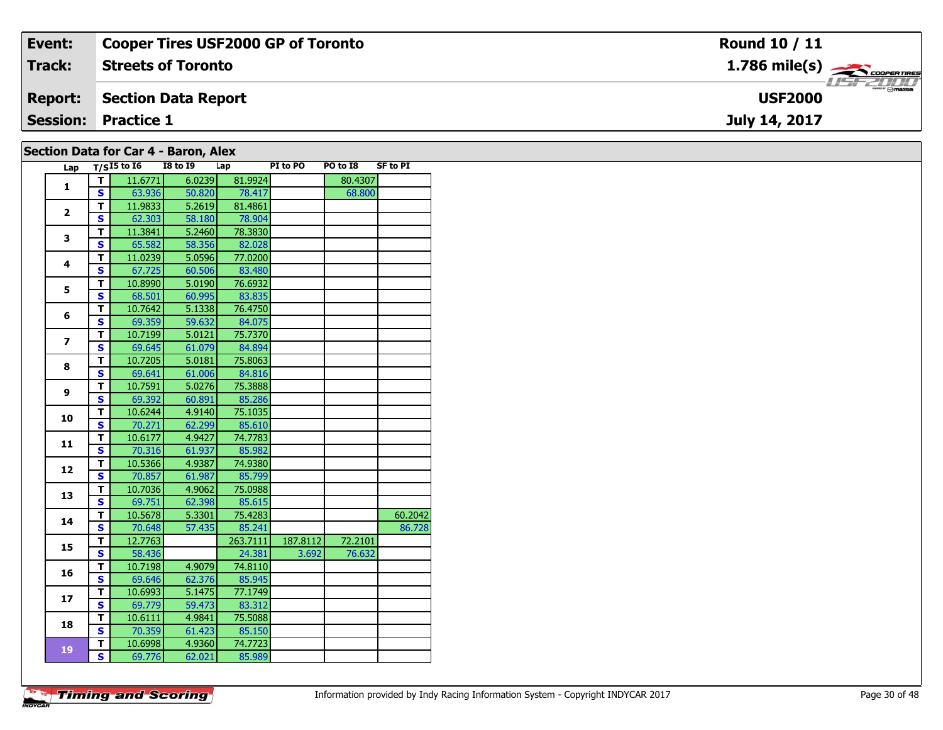| Event:         | <b>Cooper Tires USF2000 GP of Toronto</b> | <b>Round 10 / 11</b>          |
|----------------|-------------------------------------------|-------------------------------|
| Track:         | <b>Streets of Toronto</b>                 | $1.786$ mile(s) $\rightarrow$ |
| <b>Report:</b> | Section Data Report                       | <b>USF2000</b>                |
|                | <b>Session: Practice 1</b>                | July 14, 2017                 |
|                | Section Data for Car 4 - Baron, Alex      |                               |

| Lap            |                         | $T/SI5$ to $\overline{16}$ | ,,,,<br><b>I8 to I9</b> | Lap      | PI to PO | PO to I8 | <b>SF to PI</b> |
|----------------|-------------------------|----------------------------|-------------------------|----------|----------|----------|-----------------|
|                | т                       | 11.6771                    | 6.0239                  | 81.9924  |          | 80.4307  |                 |
| $\mathbf{1}$   | S                       | 63.936                     | 50.820                  | 78.417   |          | 68.800   |                 |
|                | T                       | 11.9833                    | 5.2619                  | 81.4861  |          |          |                 |
| $\overline{2}$ | S                       | 62.303                     | 58.180                  | 78.904   |          |          |                 |
|                | т                       | 11.3841                    | 5.2460                  | 78.3830  |          |          |                 |
| 3              | S                       | 65.582                     | 58.356                  | 82.028   |          |          |                 |
|                | T                       | 11.0239                    | 5.0596                  | 77.0200  |          |          |                 |
| 4              | S                       | 67.725                     | 60.506                  | 83.480   |          |          |                 |
|                | т                       | 10.8990                    | 5.0190                  | 76.6932  |          |          |                 |
| 5              | $\overline{\mathbf{s}}$ | 68.501                     | 60.995                  | 83.835   |          |          |                 |
|                | T                       | 10.7642                    | 5.1338                  | 76.4750  |          |          |                 |
| 6              | S                       | 69.359                     | 59.632                  | 84.075   |          |          |                 |
| $\overline{ }$ | T                       | 10.7199                    | 5.0121                  | 75.7370  |          |          |                 |
|                | $\overline{\mathbf{s}}$ | 69.645                     | 61.079                  | 84.894   |          |          |                 |
| 8              | T                       | 10.7205                    | 5.0181                  | 75.8063  |          |          |                 |
|                | S                       | 69.641                     | 61.006                  | 84.816   |          |          |                 |
| 9              | T                       | 10.7591                    | 5.0276                  | 75.3888  |          |          |                 |
|                | S                       | 69.392                     | 60.891                  | 85.286   |          |          |                 |
| 10             | T                       | 10.6244                    | 4.9140                  | 75.1035  |          |          |                 |
|                | $\overline{\mathbf{s}}$ | 70.271                     | 62.299                  | 85.610   |          |          |                 |
| 11             | T                       | 10.6177                    | 4.9427                  | 74.7783  |          |          |                 |
|                | S                       | 70.316                     | 61.937                  | 85.982   |          |          |                 |
| 12             | т                       | 10.5366                    | 4.9387                  | 74.9380  |          |          |                 |
|                | S                       | 70.857                     | 61.987                  | 85.799   |          |          |                 |
| 13             | T                       | 10.7036                    | 4.9062                  | 75.0988  |          |          |                 |
|                | S                       | 69.751                     | 62.398                  | 85.615   |          |          |                 |
| 14             | т                       | 10.5678                    | 5.3301                  | 75.4283  |          |          | 60.2042         |
|                | S                       | 70.648                     | 57.435                  | 85.241   |          |          | 86.728          |
| 15             | T                       | 12.7763                    |                         | 263.7111 | 187.8112 | 72.2101  |                 |
|                | S                       | 58.436                     |                         | 24.381   | 3.692    | 76.632   |                 |
| 16             | T                       | 10.7198                    | 4.9079                  | 74.8110  |          |          |                 |
|                | S                       | 69.646                     | 62.376                  | 85.945   |          |          |                 |
| 17             | T                       | 10.6993                    | 5.1475                  | 77.1749  |          |          |                 |
|                | $\overline{\mathbf{s}}$ | 69.779                     | 59.473                  | 83.312   |          |          |                 |
| 18             | T                       | 10.6111                    | 4.9841                  | 75.5088  |          |          |                 |
|                | $\mathbf{s}$            | 70.359                     | 61.423                  | 85.150   |          |          |                 |
| 19             | т                       | 10.6998                    | 4.9360                  | 74.7723  |          |          |                 |
|                | S                       | 69.776                     | 62.021                  | 85.989   |          |          |                 |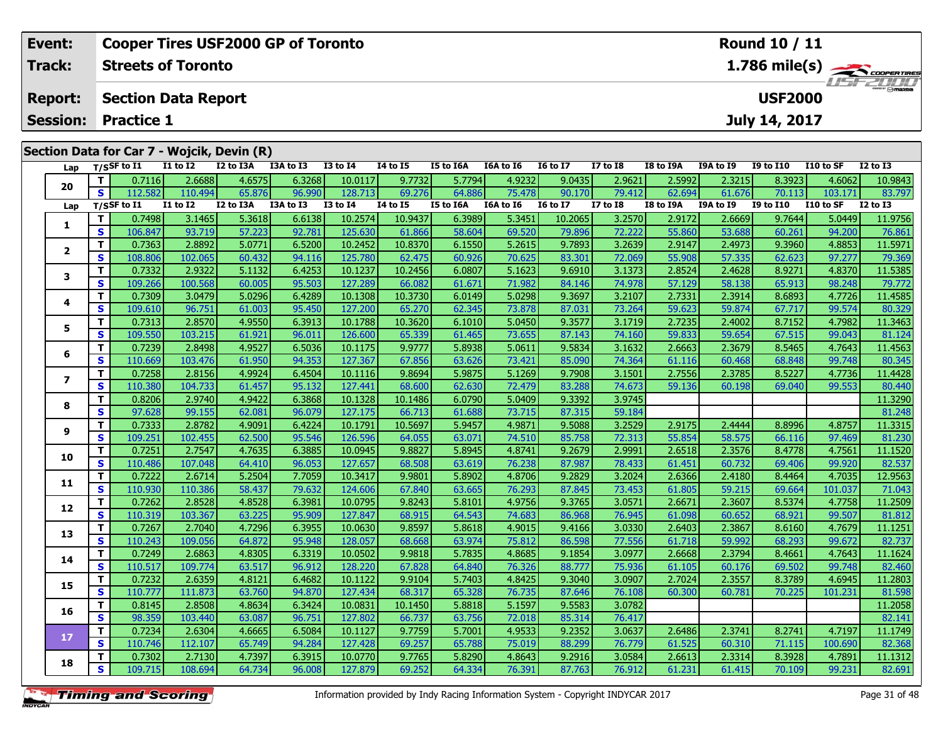|                                            | <b>Cooper Tires USF2000 GP of Toronto</b><br>Event: |                                              |                 |           |           |                 |          |                  |           |                 |                                                                              | Round 10 / 11 |           |                  |            |                 |  |
|--------------------------------------------|-----------------------------------------------------|----------------------------------------------|-----------------|-----------|-----------|-----------------|----------|------------------|-----------|-----------------|------------------------------------------------------------------------------|---------------|-----------|------------------|------------|-----------------|--|
| <b>Track:</b><br><b>Streets of Toronto</b> |                                                     |                                              |                 |           |           |                 |          |                  |           |                 | $1.786$ mile(s) $\overbrace{\hspace{2.5cm}}^{3.786 \text{ cm}$<br>$H = FZHH$ |               |           |                  |            |                 |  |
| <b>Report:</b>                             |                                                     | <b>USF2000</b><br><b>Section Data Report</b> |                 |           |           |                 |          |                  |           |                 |                                                                              |               |           |                  |            |                 |  |
|                                            | <b>Session:</b>                                     | <b>Practice 1</b>                            |                 |           |           |                 |          |                  |           |                 |                                                                              |               |           | July 14, 2017    |            |                 |  |
|                                            |                                                     | Section Data for Car 7 - Wojcik, Devin (R)   |                 |           |           |                 |          |                  |           |                 |                                                                              |               |           |                  |            |                 |  |
|                                            |                                                     |                                              |                 |           |           |                 |          |                  |           |                 |                                                                              |               |           |                  |            |                 |  |
|                                            |                                                     | Lap $T/S$ SF to I1                           | <b>I1 to I2</b> | I2 to I3A | I3A to I3 | <b>I3 to I4</b> | 14 to 15 | <b>I5 to I6A</b> | I6A to I6 | <b>I6 to I7</b> | <b>I7 to I8</b>                                                              | I8 to I9A     | I9A to I9 | <b>I9 to I10</b> | I 10 to SF | <b>I2 to I3</b> |  |

| Lap                     |              | $1/5$ <sub>2</sub> to 11 | 17 M 17         | 12 W 13A  | TSW TO TS | 13 W 14         | 14 W 13      | <b>13 TO TOW</b> | TOW TO TO | 10 W 17               | 17 W 10      | 10 IU 19A | <b>198 W 19</b> | <b>12 to 110</b> | LLU LU SF | 17 M 19         |
|-------------------------|--------------|--------------------------|-----------------|-----------|-----------|-----------------|--------------|------------------|-----------|-----------------------|--------------|-----------|-----------------|------------------|-----------|-----------------|
| 20                      | т            | 0.7116                   | 2.6688          | 4.6575    | 6.3268    | 10.0117         | 9.7732       | 5.7794           | 4.9232    | 9.0435                | 2.9621       | 2.5992    | 2.3215          | 8.3923           | 4.6062    | 10.9843         |
|                         | S            | 112.582                  | 110.494         | 65.876    | 96.990    | 128.713         | 69.276       | 64.886           | 75.478    | 90.170                | 79.412       | 62.694    | 61.676          | 70.113           | 103.171   | 83.797          |
| Lap                     |              | $T/S$ SF to $I1$         | <b>I1 to I2</b> | I2 to I3A | I3A to I3 | <b>I3 to 14</b> | $I4$ to $I5$ | <b>I5 to I6A</b> | I6A to I6 | I6 to $\overline{I7}$ | $I7$ to $I8$ | I8 to I9A | I9A to I9       | <b>I9 to I10</b> | I10 to SF | <b>I2 to I3</b> |
| 1                       | T            | 0.7498                   | 3.1465          | 5.3618    | 6.6138    | 10.2574         | 10.9437      | 6.3989           | 5.3451    | 10.2065               | 3.2570       | 2.9172    | 2.6669          | 9.7644           | 5.0449    | 11.9756         |
|                         | $\mathbf{s}$ | 106.847                  | 93.719          | 57.223    | 92.781    | 125.630         | 61.866       | 58.604           | 69.520    | 79.896                | 72.222       | 55.860    | 53.688          | 60.261           | 94.200    | 76.861          |
| $\overline{\mathbf{2}}$ | T            | 0.7363                   | 2.8892          | 5.0771    | 6.5200    | 10.2452         | 10.8370      | 6.1550           | 5.2615    | 9.7893                | 3.2639       | 2.9147    | 2.4973          | 9.3960           | 4.8853    | 11.5971         |
|                         | $\mathbf{s}$ | 108.806                  | 102.065         | 60.432    | 94.116    | 125,780         | 62.475       | 60.926           | 70.625    | 83.301                | 72.069       | 55.908    | 57.335          | 62.623           | 97.277    | 79.369          |
| 3                       | T            | 0.7332                   | 2.9322          | 5.1132    | 6.4253    | 10.1237         | 10.2456      | 6.0807           | 5.1623    | 9.6910                | 3.1373       | 2.8524    | 2.4628          | 8.9271           | 4.8370    | 11.5385         |
|                         | S            | 109.266                  | 100.568         | 60.005    | 95.503    | 127.289         | 66.082       | 61.671           | 71.982    | 84.146                | 74.978       | 57.129    | 58.138          | 65.913           | 98.248    | 79.772          |
| 4                       | Т            | 0.7309                   | 3.0479          | 5.0296    | 6.4289    | 10.1308         | 10.3730      | 6.0149           | 5.0298    | 9.3697                | 3.2107       | 2.7331    | 2.3914          | 8.6893           | 4.7726    | 11.4585         |
|                         | $\mathbf{s}$ | 109.610                  | 96.751          | 61.003    | 95.450    | 127,200         | 65.270       | 62.345           | 73.878    | 87.031                | 73.264       | 59.623    | 59.874          | 67.717           | 99.574    | 80.329          |
| 5                       | Т            | 0.7313                   | 2.8570          | 4.9550    | 6.3913    | 10.1788         | 10.3620      | 6.1010           | 5.0450    | 9.3577                | 3.1719       | 2.7235    | 2.4002          | 8.7152           | 4.7982    | 11.3463         |
|                         | S            | 109.550                  | 103.215         | 61.921    | 96.011    | 126.600         | 65.339       | 61.465           | 73.655    | 87.143                | 74.160       | 59.833    | 59.654          | 67.515           | 99.043    | 81.124          |
| 6                       | $\mathbf{T}$ | 0.7239                   | 2.8498          | 4.9527    | 6.5036    | 10.1175         | 9.9777       | 5.8938           | 5.0611    | 9.5834                | 3.1632       | 2.6663    | 2.3679          | 8.5465           | 4.7643    | 11.4563         |
|                         | S            | 110.669                  | 103.476         | 61.950    | 94.353    | 127.367         | 67.856       | 63.626           | 73.421    | 85.090                | 74.364       | 61.116    | 60.468          | 68.848           | 99.748    | 80.345          |
| $\overline{\mathbf{z}}$ | $\mathbf{T}$ | 0.7258                   | 2.8156          | 4.9924    | 6.4504    | 10.1116         | 9.8694       | 5.9875           | 5.1269    | 9.7908                | 3.1501       | 2.7556    | 2.3785          | 8.5227           | 4.7736    | 11.4428         |
|                         | S            | 110.380                  | 104.733         | 61.457    | 95.132    | 127.441         | 68.600       | 62.630           | 72.479    | 83.288                | 74.673       | 59.136    | 60.198          | 69.040           | 99.553    | 80.440          |
| 8                       | Т            | 0.8206                   | 2.9740          | 4.9422    | 6.3868    | 10.1328         | 10.1486      | 6.0790           | 5.0409    | 9.3392                | 3.9745       |           |                 |                  |           | 11.3290         |
|                         | S            | 97.628                   | 99.155          | 62.081    | 96.079    | 127.175         | 66.713       | 61.688           | 73.715    | 87.315                | 59.184       |           |                 |                  |           | 81.248          |
| 9                       | Т            | 0.7333                   | 2.8782          | 4.9091    | 6.4224    | 10.1791         | 10.5697      | 5.9457           | 4.9871    | 9.5088                | 3.2529       | 2.9175    | 2.4444          | 8.8996           | 4.8757    | 11.3315         |
|                         | S            | 109.251                  | 102.455         | 62.500    | 95.546    | 126.596         | 64.055       | 63.071           | 74.510    | 85.758                | 72.313       | 55.854    | 58.575          | 66.116           | 97.469    | 81.230          |
| 10                      | T            | 0.7251                   | 2.7547          | 4.7635    | 6.3885    | 10.0945         | 9.8827       | 5.8945           | 4.8741    | 9.2679                | 2.9991       | 2.6518    | 2.3576          | 8.4778           | 4.7561    | 11.1520         |
|                         | S            | 110.486                  | 107.048         | 64.410    | 96.053    | 127.657         | 68.508       | 63.619           | 76.238    | 87.987                | 78.433       | 61.451    | 60.732          | 69.406           | 99.920    | 82.537          |
| 11                      | Т            | 0.7222                   | 2.6714          | 5.2504    | 7.7059    | 10.3417         | 9.9801       | 5.8902           | 4.8706    | 9.2829                | 3.2024       | 2.6366    | 2.4180          | 8.4464           | 4.7035    | 12.9563         |
|                         | S            | 110.930                  | 110.386         | 58.437    | 79.632    | 124.606         | 67.840       | 63.665           | 76.293    | 87.845                | 73.453       | 61.805    | 59.215          | 69.664           | 101.037   | 71.043          |
| 12                      | $\mathbf{T}$ | 0.7262                   | 2.8528          | 4.8528    | 6.3981    | 10.0795         | 9.8243       | 5.8101           | 4.9756    | 9.3765                | 3.0571       | 2.6671    | 2.3607          | 8.5374           | 4.7758    | 11.2509         |
|                         | S            | 110.319                  | 103.367         | 63.225    | 95.909    | 127.847         | 68.915       | 64.543           | 74.683    | 86.968                | 76.945       | 61.098    | 60.652          | 68.921           | 99.507    | 81.812          |
| 13                      | T            | 0.7267                   | 2.7040          | 4.7296    | 6.3955    | 10.0630         | 9.8597       | 5.8618           | 4.9015    | 9.4166                | 3.0330       | 2.6403    | 2.3867          | 8.6160           | 4.7679    | 11.1251         |
|                         | S            | 110.243                  | 109.056         | 64.872    | 95.948    | 128.057         | 68.668       | 63.974           | 75.812    | 86.598                | 77.556       | 61.718    | 59.992          | 68.293           | 99.672    | 82.737          |
| 14                      | T            | 0.7249                   | 2.6863          | 4.8305    | 6.3319    | 10.0502         | 9.9818       | 5.7835           | 4.8685    | 9.1854                | 3.0977       | 2.6668    | 2.3794          | 8.4661           | 4.7643    | 11.1624         |
|                         | S            | 110.517                  | 109.774         | 63.517    | 96.912    | 128.220         | 67.828       | 64.840           | 76.326    | 88.777                | 75.936       | 61.105    | 60.176          | 69.502           | 99.748    | 82.460          |
| 15                      | Т            | 0.7232                   | 2.6359          | 4.8121    | 6.4682    | 10.1122         | 9.9104       | 5.7403           | 4.8425    | 9.3040                | 3.0907       | 2.7024    | 2.3557          | 8.3789           | 4.6945    | 11.2803         |
|                         | S            | 110.777                  | 111.873         | 63.760    | 94.870    | 127.434         | 68.317       | 65.328           | 76.735    | 87.646                | 76.108       | 60.300    | 60.781          | 70.225           | 101.231   | 81.598          |
| 16                      | $\mathbf{T}$ | 0.8145                   | 2.8508          | 4.8634    | 6.3424    | 10.0831         | 10.1450      | 5.8818           | 5.1597    | 9.5583                | 3.0782       |           |                 |                  |           | 11.2058         |
|                         | S            | 98.359                   | 103.440         | 63.087    | 96.751    | 127.802         | 66.737       | 63.756           | 72.018    | 85.314                | 76.417       |           |                 |                  |           | 82.141          |
| 17                      | T            | 0.7234                   | 2.6304          | 4.6665    | 6.5084    | 10.1127         | 9.7759       | 5.7001           | 4.9533    | 9.2352                | 3.0637       | 2.6486    | 2.3741          | 8.2741           | 4.7197    | 11.1749         |
|                         | S            | 110.746                  | 112.107         | 65.749    | 94.284    | 127.428         | 69.257       | 65.788           | 75.019    | 88.299                | 76.779       | 61.525    | 60.310          | 71.115           | 100.690   | 82.368          |
| 18                      | т            | 0.7302                   | 2.7130          | 4.7397    | 6.3915    | 10.0770         | 9.7765       | 5.8290           | 4.8643    | 9.2916                | 3.0584       | 2.6613    | 2.3314          | 8.3928           | 4.7891    | 11.1312         |
|                         | $\mathbf{s}$ | 109.715                  | 108.694         | 64.734    | 96.008    | 127.879         | 69.252       | 64.334           | 76.391    | 87.763                | 76.912       | 61.231    | 61.415          | 70.109           | 99.231    | 82.691          |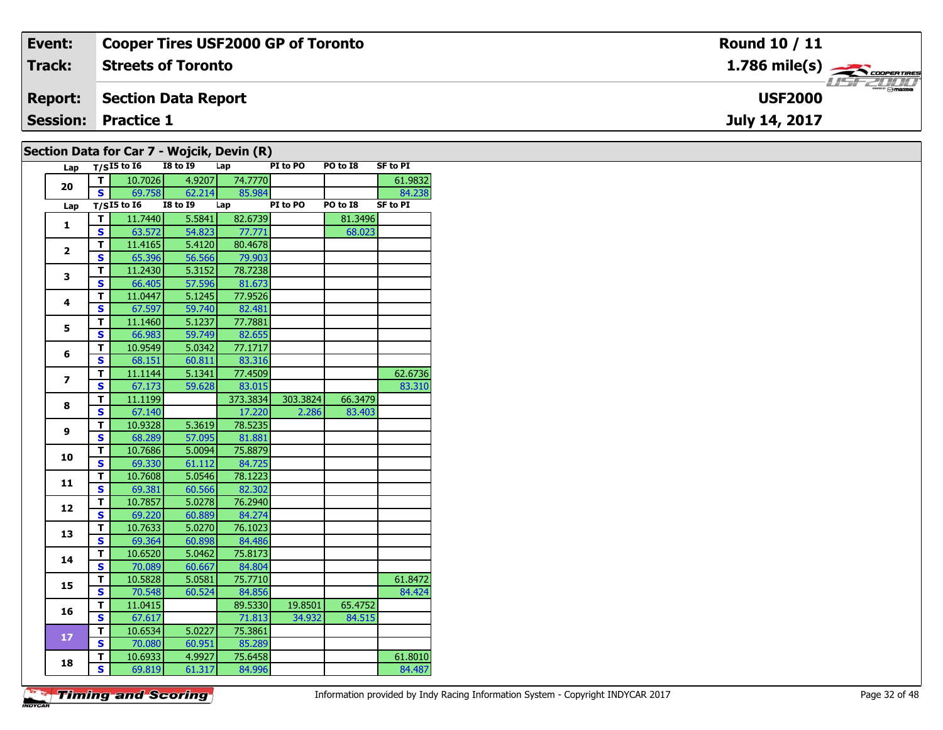| Event:         | <b>Cooper Tires USF2000 GP of Toronto</b>                                                                                 | <b>Round 10 / 11</b>         |
|----------------|---------------------------------------------------------------------------------------------------------------------------|------------------------------|
| Track:         | <b>Streets of Toronto</b>                                                                                                 | $1.786$ mile(s) $\leftarrow$ |
| <b>Report:</b> | Section Data Report                                                                                                       | <b>USF2000</b>               |
|                | <b>Session: Practice 1</b>                                                                                                | July 14, 2017                |
|                | $C_{\text{c}}$ channels and $C_{\text{c}}$ $\sim$ $C_{\text{c}}$ $\sim$ $T$ . We called $D_{\text{c}}$ and $D_{\text{c}}$ |                              |

| Lap                     |                         | $T/SI5$ to $I6$            | <b>I8 to 19</b> | Lap      | PI to PO | PO to I8 | <b>SF to PI</b> |
|-------------------------|-------------------------|----------------------------|-----------------|----------|----------|----------|-----------------|
| 20                      | т                       | 10.7026                    | 4.9207          | 74.7770  |          |          | 61.9832         |
|                         | S                       | 69.758                     | 62.214          | 85.984   |          |          | 84.238          |
| Lap                     |                         | $T/SI5$ to $\overline{16}$ | <b>I8 to 19</b> | Lap      | PI to PO | PO to I8 | <b>SF to PI</b> |
| 1                       | т                       | 11.7440                    | 5.5841          | 82.6739  |          | 81.3496  |                 |
|                         | S                       | 63.572                     | 54.823          | 77.771   |          | 68.023   |                 |
| $\mathbf{2}$            | T.                      | 11.4165                    | 5.4120          | 80.4678  |          |          |                 |
|                         | $\mathbf{s}$            | 65.396                     | 56.566          | 79.903   |          |          |                 |
| 3                       | T                       | 11.2430                    | 5.3152          | 78.7238  |          |          |                 |
|                         | S                       | 66.405                     | 57.596          | 81.673   |          |          |                 |
| 4                       | T                       | 11.0447                    | 5.1245          | 77.9526  |          |          |                 |
|                         | $\mathbf{s}$            | 67.597                     | 59.740          | 82.481   |          |          |                 |
| 5                       | T                       | 11.1460                    | 5.1237          | 77.7881  |          |          |                 |
|                         | $\mathbf{s}$            | 66.983                     | 59.749          | 82.655   |          |          |                 |
| 6                       | T                       | 10.9549                    | 5.0342          | 77.1717  |          |          |                 |
|                         | $\mathbf{s}$            | 68.151                     | 60.811          | 83.316   |          |          |                 |
| $\overline{\mathbf{z}}$ | T                       | 11.1144                    | 5.1341          | 77.4509  |          |          | 62.6736         |
|                         | $\mathbf{s}$            | 67.173                     | 59.628          | 83.015   |          |          | 83.310          |
|                         | T                       | 11.1199                    |                 | 373.3834 | 303.3824 | 66.3479  |                 |
| 8                       | $\mathbf{s}$            | 67.140                     |                 | 17.220   | 2.286    | 83.403   |                 |
| 9                       | T                       | 10.9328                    | 5.3619          | 78.5235  |          |          |                 |
|                         | S                       | 68.289                     | 57.095          | 81.881   |          |          |                 |
|                         | T                       | 10.7686                    | 5.0094          | 75.8879  |          |          |                 |
| 10                      | $\mathbf{s}$            | 69.330                     | 61.112          | 84.725   |          |          |                 |
| 11                      | T                       | 10.7608                    | 5.0546          | 78.1223  |          |          |                 |
|                         | $\overline{\mathbf{s}}$ | 69.381                     | 60.566          | 82.302   |          |          |                 |
| 12                      | T                       | 10.7857                    | 5.0278          | 76.2940  |          |          |                 |
|                         | $\mathbf s$             | 69.220                     | 60.889          | 84.274   |          |          |                 |
|                         | т                       | 10.7633                    | 5.0270          | 76.1023  |          |          |                 |
| 13                      | $\mathbf{s}$            | 69.364                     | 60.898          | 84.486   |          |          |                 |
| 14                      | T                       | 10.6520                    | 5.0462          | 75.8173  |          |          |                 |
|                         | $\overline{\mathbf{s}}$ | 70.089                     | 60.667          | 84.804   |          |          |                 |
|                         | T                       | 10.5828                    | 5.0581          | 75.7710  |          |          | 61.8472         |
| 15                      | $\mathbf s$             | 70.548                     | 60.524          | 84.856   |          |          | 84.424          |
|                         | т                       | 11.0415                    |                 | 89.5330  | 19.8501  | 65.4752  |                 |
| 16                      | $\mathbf{s}$            | 67.617                     |                 | 71.813   | 34.932   | 84.515   |                 |
|                         | T                       | 10.6534                    | 5.0227          | 75.3861  |          |          |                 |
| 17                      | $\mathbf{s}$            | 70.080                     | 60.951          | 85.289   |          |          |                 |
|                         | T                       | 10.6933                    | 4.9927          | 75.6458  |          |          | 61.8010         |
| 18                      | S                       | 69.819                     | 61.317          | 84.996   |          |          | 84.487          |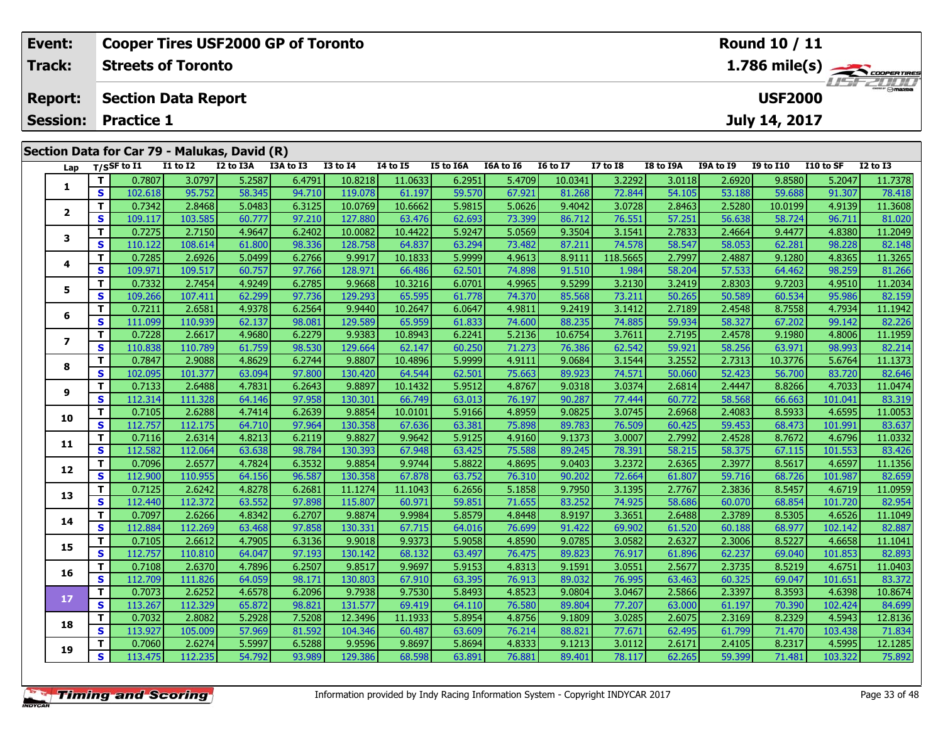| Event:                          | <b>Cooper Tires USF2000 GP of Toronto</b> |                   |                           |                                              |           |                 |          |           |           |                 |                 |                | <b>Round 10 / 11</b> |           |           |                 |  |  |
|---------------------------------|-------------------------------------------|-------------------|---------------------------|----------------------------------------------|-----------|-----------------|----------|-----------|-----------|-----------------|-----------------|----------------|----------------------|-----------|-----------|-----------------|--|--|
| Track:                          |                                           |                   | <b>Streets of Toronto</b> |                                              |           |                 |          |           |           |                 |                 | 1.786 mile(s)  |                      |           |           |                 |  |  |
| <b>Report:</b>                  | <b>Section Data Report</b>                |                   |                           |                                              |           |                 |          |           |           |                 |                 | <b>USF2000</b> |                      |           |           |                 |  |  |
| <b>Session:</b>                 |                                           | <b>Practice 1</b> |                           |                                              |           |                 |          |           |           |                 |                 | July 14, 2017  |                      |           |           |                 |  |  |
|                                 |                                           |                   |                           | Section Data for Car 79 - Malukas, David (R) |           |                 |          |           |           |                 |                 |                |                      |           |           |                 |  |  |
| Lap $T/S$ SF to $\overline{11}$ |                                           |                   | I1 to I2                  | I2 to I3A                                    | I3A to I3 | <b>I3 to I4</b> | 14 to 15 | I5 to I6A | I6A to I6 | <b>I6 to I7</b> | <b>I7 to I8</b> | I8 to I9A      | I9A to I9            | I9 to I10 | I10 to SF | <b>I2 to I3</b> |  |  |
|                                 |                                           | 0.78071           | 3.0797                    | 5.2587                                       | 6.4791    | 10.8218         | 11.0633  | 6.2951    | 5.4709    | 10.0341         | 3.2292          | 3.0118         | 2.6920               | 9.8580    | 5.2047    | 11.7378         |  |  |
|                                 | S.                                        | 102.618           | 95.752                    | 58.345                                       | 94.710    | 119.078         | 61.197   | 59.570    | 67.921    | 81.268          | 72.844          | 54.105         | 53.188               | 59.688    | 91.307    | 78.418          |  |  |

2 | T | 0.7342| 2.8468| 5.0483| 6.3125| 10.0769| 10.6662| 5.9815| 5.0626| 9.4042| 3.0728| 2.8463| 2.5280| 10.0199| 4.9139| 11.3608<br>2 | S | 109.117| 103.585| 60.777| 97.210| 127.880| 63.476| 62.693| 73.399| 86.712| 76.551|

3 T 0.7275 2.7150 4.9647 6.2402 10.0082 10.4422 5.9247 5.0569 9.3504 3.1541 2.7833 2.4664 9.4477 4.8380 11.2049<br>S S 110.122 108.614 61.800 98.336 128.758 64.837 63.294 73.482 87.211 74.578 58.547 58.053 62.281 98.228 82.14

4 | **T** | 0.7285| 2.6926| 5.0499| 6.2766| 9.9917| 10.1833| 5.9999| 4.9613| 8.9111| 118.5665| 2.7997| 2.4887| 9.1280| 4.8365| 11.3265<br>- S | 109.971 109.517| 60.757| 97.766| 128.971| 66.486| 62.501| 74.898| 91.510| 1.984| 58

5 | T | 0.7332| 2.7454| 4.9249| 6.2785| 9.9668| 10.3216| 6.0701| 4.9965| 9.5299| 3.2130| 3.2419| 2.8303| 9.7203| 4.9510| 11.2034<br>5 | S | 109.266| 107.411| 62.299| 97.736| 129.293| 65.595| 61.778| 74.370| 85.568| 73.211| 50

**<sup>T</sup>** 0.7211 2.6581 4.9378 6.2564 9.9440 10.2647 6.0647 4.9811 9.2419 3.1412 2.7189 2.4548 8.7558 4.7934 11.1942 **<sup>S</sup>** 111.099 110.939 62.137 98.081 129.589 65.959 61.833 74.600 88.235 74.885 59.934 58.327 67.202 99.142 82.226

7 | T | 0.7228| 2.6617| 4.9680| 6.2279| 9.9383| 10.8943| 6.2241| 5.2136| 10.6754| 3.7611| 2.7195| 2.4578| 9.1980| 4.8006| 11.1959<br>7 | S | 110.838 110.789| 61.759| 98.530| 129.664| 62.147| 60.250| 71.273| 76.386| 62.542| 59

8 | T | 0.7847| 2.9088| 4.8629| 6.2744| 9.8807| 10.4896| 5.9999| 4.9111| 9.0684| 3.1544| 3.2552| 2.7313| 10.3776| 5.6764| 11.1373<br>| S | 102.095| 101.377| 63.094| 97.800| 130.420| 64.544| 62.501| 75.663| 89.923| 74.571| 50.

**<sup>T</sup>** 0.7133 2.6488 4.7831 6.2643 9.8897 10.1432 5.9512 4.8767 9.0318 3.0374 2.6814 2.4447 8.8266 4.7033 11.0474 **<sup>S</sup>** 112.314 111.328 64.146 97.958 130.301 66.749 63.013 76.197 90.287 77.444 60.772 58.568 66.663 101.041 83.319

0 | **T** | 0.7105| 2.6288| 4.7414| 6.2639| 9.8854| 10.0101| 5.9166| 4.8959| 9.0825| 3.0745| 2.6968| 2.4083| 8.5933| 4.6595| 11.0053<br>| S | 112.757| 112.175| 64.710| 97.964| 130.358| 67.636| 63.381| 75.898| 89.783| 76.509| 60

|    |    | 0.7116  | 2.6314  | 4.8213 | 6.2119 | 9.8827   | 9.9642    | 5.9125 | 4.9160 | 9.1373 | 3.0007 | 2.7992          | 2.4528 | 8.7672 | 4.6796  | 11.0332 |
|----|----|---------|---------|--------|--------|----------|-----------|--------|--------|--------|--------|-----------------|--------|--------|---------|---------|
| 11 | S. | 112.582 | 112.064 | 63.638 | 98.784 | 130.3931 | 67.948    | 63.425 | 75.588 | 89.245 | 78.391 | 58.215          | 58.375 | 67.115 | 101.553 | 83.426  |
|    |    | 0.7096  | 2.6577  | 4.7824 | 6.3532 | 9.8854   | 9.9744    | 5.8822 | 4.8695 | 9.0403 | 3.2372 | 2.6365          | 2.3977 | 8.5617 | 4.6597  | 11.1356 |
| 12 | S  | 112.900 | 110.955 | 64.156 | 96.587 | 130.358  | 67.878    | 63.752 | 76.310 | 90.202 | 72.664 | 61.807          | 59.716 | 68.726 | 101.987 | 82.659  |
|    |    | 0.7125  | 2.6242  | 4.8278 | 6.2681 | 11.1274  | 11.1043 l | 6.2656 | 5.1858 | 9.7950 | 3.1395 | 2.7767          | 2.3836 | 8.5457 | 4.6719  | 11.0959 |
| 13 | S. | 112.440 | 112.372 | 63.552 | 97.898 | 115.807  | 60.971    | 59.851 | 71.655 | 83.252 | 74.925 | 58.686          | 60.070 | 68.854 | 101.720 | 82.954  |
|    |    | 0.7097  | 2.6266  | 4.8342 | 6.2707 | 9.8874   | 9.9984    | 5.8579 | 4.8448 | 8.9197 | 3.3651 | 2.6488          | 2.3789 | 8.5305 | 4.6526  | 11.1049 |
| 14 | S. | 112.884 | 112.269 | 63.468 | 97.858 | 130.331  | 67.715    | 64.016 | 76.699 | 91.422 | 69.902 | 61.520          | 60.188 | 68.977 | 102.142 | 82.887  |
| 15 |    | 0.7105  | 2.6612  | 4.7905 | 6.3136 | 9.9018   | 9.9373    | 5.9058 | 4.8590 | 9.0785 | 3.0582 | 2.6327          | 2.3006 | 8.5227 | 4.6658  | 11.1041 |
|    | S  | 112.757 | 110.810 | 64.047 | 97.193 | 130.1421 | 68.132    | 63.497 | 76.475 | 89.823 | 76.917 | 61.896          | 62.237 | 69.040 | 101.853 | 82.893  |
|    |    | 0.7108  | 2.6370  | 4.7896 | 6.2507 | 9.8517   | 9.9697    | 5.9153 | 4.8313 | 9.1591 | 3.0551 | 2.5677          | 2.3735 | 8.5219 | 4.6751  | 11.0403 |
| 16 | S. | 112.709 | 111.826 | 64.059 | 98.171 | 130.8031 | 67.910    | 63.395 | 76.913 | 89.032 | 76.995 | 63.463          | 60.325 | 69.047 | 101.651 | 83.372  |
|    |    | 0.7073  | 2.6252  | 4.6578 | 6.2096 | 9.7938   | 9.7530    | 5.8493 | 4.8523 | 9.0804 | 3.0467 | 2.5866          | 2.3397 | 8.3593 | 4.6398  | 10.8674 |
| 17 | S  | 113.267 | 112.329 | 65.872 | 98.821 | 131.577  | 69.419    | 64.110 | 76.580 | 89,804 | 77.207 | 63.000 <b>1</b> | 61.197 | 70.390 | 102.424 | 84.699  |
| 18 |    | 0.7032  | 2.8082  | 5.2928 | 7.5208 | 12.3496  | 11.1933   | 5.8954 | 4.8756 | 9.1809 | 3.0285 | 2.6075          | 2.3169 | 8.2329 | 4.5943  | 12.8136 |
|    | S. | 113.927 | 105.009 | 57.969 | 81.592 | 104.346  | 60.487    | 63.609 | 76.214 | 88.821 | 77.671 | 62.495          | 61.799 | 71.470 | 103.438 | 71.834  |
| 19 |    | 0.7060  | 2.6274  | 5.5997 | 6.5288 | 9.9596   | 9.8697    | 5.8694 | 4.8333 | 9.1213 | 3.0112 | 2.6171          | 2.4105 | 8.2317 | 4.5995  | 12.1285 |
|    | S. | 113.475 | 112.235 | 54.792 | 93.989 | 129.386  | 68.598    | 63.891 | 76.881 | 89.401 | 78.117 | 62.265          | 59.399 | 71.481 | 103.322 | 75.892  |
|    |    |         |         |        |        |          |           |        |        |        |        |                 |        |        |         |         |
|    |    |         |         |        |        |          |           |        |        |        |        |                 |        |        |         |         |

**2**

**3**

**4**

**5**

**6**

**7**

**8**

**9**

**10**

81.266

82.214

83.319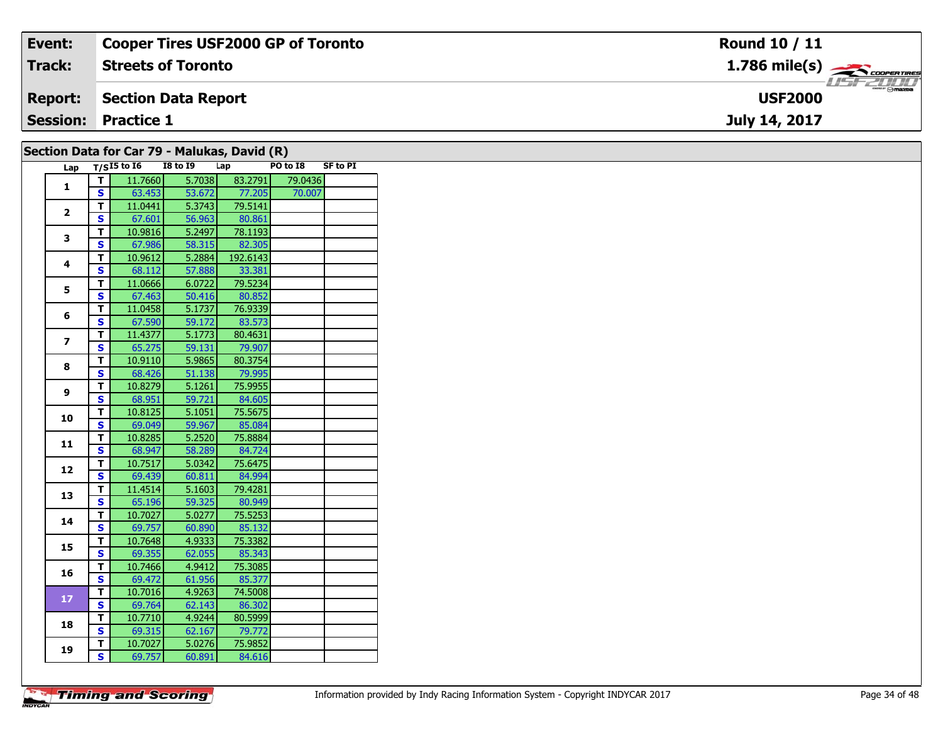| Event:         | <b>Cooper Tires USF2000 GP of Toronto</b> | Round 10 / 11                             |
|----------------|-------------------------------------------|-------------------------------------------|
| Track:         | <b>Streets of Toronto</b>                 | $1.786$ mile(s) $\rightarrow$ COOPERTIRES |
| <b>Report:</b> | Section Data Report                       | <b>Omazoa</b><br><b>USF2000</b>           |
|                | <b>Session: Practice 1</b>                | July 14, 2017                             |
|                |                                           |                                           |

| Lap             |                         | $T/SI5$ to $I6$ | <b>I8 to 19</b> | Lap      | PO to I8 | <b>SF to PI</b> |
|-----------------|-------------------------|-----------------|-----------------|----------|----------|-----------------|
|                 | т                       | 11.7660         | 5.7038          | 83.2791  | 79.0436  |                 |
| $\mathbf{1}$    | $\overline{\mathbf{s}}$ | 63.453          | 53.672          | 77.205   | 70.007   |                 |
|                 | T                       | 11.0441         | 5.3743          | 79.5141  |          |                 |
| $\overline{2}$  | $\overline{\mathbf{s}}$ | 67.601          | 56.963          | 80.861   |          |                 |
|                 | т                       | 10.9816         | 5.2497          | 78.1193  |          |                 |
| 3               | $\overline{\mathbf{s}}$ | 67.986          | 58.315          | 82.305   |          |                 |
|                 | Ŧ                       | 10.9612         | 5.2884          | 192.6143 |          |                 |
| 4               | $\overline{\mathbf{s}}$ | 68.112          | 57.888          | 33.381   |          |                 |
|                 | T                       | 11.0666         | 6.0722          | 79.5234  |          |                 |
| 5               | $\overline{\mathbf{s}}$ | 67.463          | 50.416          | 80.852   |          |                 |
|                 | T                       | 11.0458         | 5.1737          | 76.9339  |          |                 |
| 6               | S                       | 67.590          | 59.172          | 83.573   |          |                 |
|                 | T.                      | 11.4377         | 5.1773          | 80.4631  |          |                 |
| $\overline{ }$  | $\overline{\mathbf{s}}$ | 65.275          | 59.131          | 79.907   |          |                 |
|                 | $\overline{\mathsf{r}}$ | 10.9110         | 5.9865          | 80.3754  |          |                 |
| 8               | S                       | 68.426          | 51.138          | 79.995   |          |                 |
|                 | T                       | 10.8279         | 5.1261          | 75.9955  |          |                 |
| 9               | $\overline{\mathbf{s}}$ | 68.951          | 59.721          | 84.605   |          |                 |
|                 | T                       | 10.8125         | 5.1051          | 75.5675  |          |                 |
| 10              | $\overline{\mathbf{s}}$ | 69.049          | 59.967          | 85.084   |          |                 |
|                 | T.                      | 10.8285         | 5.2520          | 75.8884  |          |                 |
| 11              | S                       | 68.947          | 58.289          | 84.724   |          |                 |
|                 | T                       | 10.7517         | 5.0342          | 75.6475  |          |                 |
| 12              | S                       | 69.439          | 60.811          | 84.994   |          |                 |
|                 | T.                      | 11.4514         | 5.1603          | 79.4281  |          |                 |
| 13              | S                       | 65.196          | 59.325          | 80.949   |          |                 |
|                 | T                       | 10.7027         | 5.0277          | 75.5253  |          |                 |
| 14              | $\overline{\mathbf{s}}$ | 69.757          | 60.890          | 85.132   |          |                 |
|                 | T.                      | 10.7648         | 4.9333          | 75.3382  |          |                 |
| 15              | S                       | 69.355          | 62.055          | 85.343   |          |                 |
| 16              | $\overline{\mathsf{r}}$ | 10.7466         | 4.9412          | 75.3085  |          |                 |
|                 | S                       | 69.472          | 61.956          | 85.377   |          |                 |
| 17 <sup>2</sup> | T                       | 10.7016         | 4.9263          | 74.5008  |          |                 |
|                 | $\overline{\mathbf{s}}$ | 69.764          | 62.143          | 86.302   |          |                 |
| 18              | $\overline{\mathsf{r}}$ | 10.7710         | 4.9244          | 80.5999  |          |                 |
|                 | $\overline{\mathbf{s}}$ | 69.315          | 62.167          | 79.772   |          |                 |
| 19              | т                       | 10.7027         | 5.0276          | 75.9852  |          |                 |
|                 | $\overline{\mathbf{s}}$ | 69.757          | 60.891          | 84.616   |          |                 |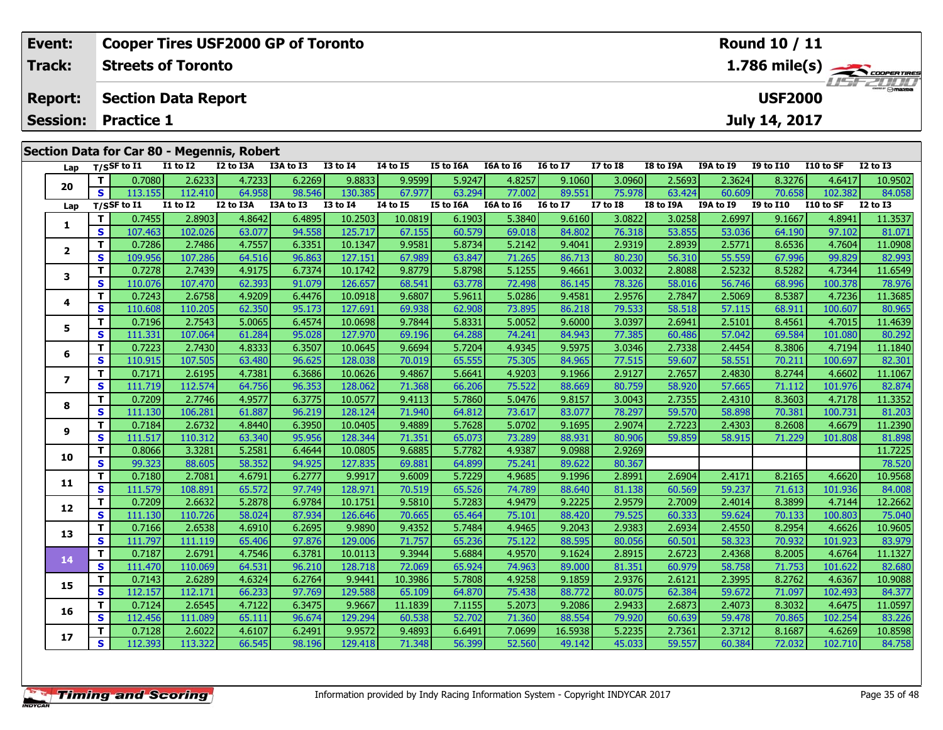| Event:         | <b>Cooper Tires USF2000 GP of Toronto</b>  |                  |               |           |           |                 |         |           |           | Round 10 / 11     |                |                 |
|----------------|--------------------------------------------|------------------|---------------|-----------|-----------|-----------------|---------|-----------|-----------|-------------------|----------------|-----------------|
| <b>Track:</b>  | <b>Streets of Toronto</b>                  | <b>LISFELINI</b> |               |           |           |                 |         |           |           |                   |                |                 |
| <b>Report:</b> | <b>Section Data Report</b>                 |                  |               |           |           |                 |         |           |           | <b>USF2000</b>    |                |                 |
|                | <b>Session: Practice 1</b>                 |                  |               |           |           |                 |         |           |           | July 14, 2017     |                |                 |
|                |                                            |                  |               |           |           |                 |         |           |           |                   |                |                 |
|                | Section Data for Car 80 - Megennis, Robert |                  |               |           |           |                 |         |           |           |                   |                |                 |
|                | $\blacksquare$                             | TO AA TA         | <b>TALATE</b> | TE 44 TCA | TCA LA TC | <b>TC 14 TT</b> | T7.4.70 | TO LA TOA | TOA LA TO | <b>TO 14 TH 0</b> | <b>11044CE</b> | <b>TO 44 TO</b> |

| Lap                      |              | $T/S$ SF to I1 | <b>I1 to I2</b> | I2 to I3A | I3A to I3 | <b>I3 to I4</b> | <b>I4 to I5</b> | I5 to I6A        | I6A to I6 | <b>16 to 17</b>       | <b>I7 to I8</b> | I8 to I9A | I9A to I9 | <b>I9 to I10</b> | I10 to SF | <b>I2 to I3</b> |
|--------------------------|--------------|----------------|-----------------|-----------|-----------|-----------------|-----------------|------------------|-----------|-----------------------|-----------------|-----------|-----------|------------------|-----------|-----------------|
| 20                       | T.           | 0.7080         | 2.6233          | 4.7233    | 6.2269    | 9.8833          | 9.9599          | 5.9247           | 4.8257    | 9.1060                | 3.0960          | 2.5693    | 2.3624    | 8.3276           | 4.6417    | 10.9502         |
|                          | S            | 113.155        | 112.410         | 64.958    | 98.546    | 130.385         | 67.977          | 63.294           | 77.002    | 89.551                | 75.978          | 63.424    | 60.609    | 70.658           | 102.382   | 84.058          |
| Lap                      |              | T/SSF to I1    | <b>I1 to I2</b> | I2 to I3A | I3A to I3 | <b>I3 to 14</b> | 14 to 15        | <b>I5 to I6A</b> | I6A to I6 | I6 to $\overline{17}$ | <b>I7 to I8</b> | I8 to I9A | I9A to I9 | <b>I9 to I10</b> | I10 to SF | <b>I2 to I3</b> |
| 1                        | T            | 0.7455         | 2.8903          | 4.8642    | 6.4895    | 10.2503         | 10.0819         | 6.1903           | 5.3840    | 9.6160                | 3.0822          | 3.0258    | 2.6997    | 9.1667           | 4.8941    | 11.3537         |
|                          | <b>S</b>     | 107.463        | 102.026         | 63.077    | 94.558    | 125.717         | 67.155          | 60.579           | 69.018    | 84.802                | 76.318          | 53.855    | 53.036    | 64.190           | 97.102    | 81.071          |
| $\overline{2}$           | т            | 0.7286         | 2.7486          | 4.7557    | 6.3351    | 10.1347         | 9.9581          | 5.8734           | 5.2142    | 9.4041                | 2.9319          | 2.8939    | 2.5771    | 8.6536           | 4.7604    | 11.0908         |
|                          | $\mathbf{s}$ | 109.956        | 107.286         | 64.516    | 96.863    | 127.151         | 67.989          | 63.847           | 71.265    | 86.713                | 80.230          | 56.310    | 55.559    | 67.996           | 99.829    | 82.993          |
| 3                        | т            | 0.7278         | 2.7439          | 4.9175    | 6.7374    | 10.1742         | 9.8779          | 5.8798           | 5.1255    | 9.4661                | 3.0032          | 2.8088    | 2.5232    | 8.5282           | 4.7344    | 11.6549         |
|                          | S            | 110.076        | 107.470         | 62.393    | 91.079    | 126.657         | 68.541          | 63.778           | 72.498    | 86.145                | 78.326          | 58.016    | 56.746    | 68.996           | 100.378   | 78.976          |
| 4                        | Т            | 0.7243         | 2.6758          | 4.9209    | 6.4476    | 10.0918         | 9.6807          | 5.9611           | 5.0286    | 9.4581                | 2.9576          | 2.7847    | 2.5069    | 8.5387           | 4.7236    | 11.3685         |
|                          | $\mathbf{s}$ | 110.608        | 110.205         | 62.350    | 95.173    | 127.691         | 69.938          | 62.908           | 73.895    | 86.218                | 79.533          | 58.518    | 57.115    | 68.911           | 100.607   | 80.965          |
| 5                        | Т            | 0.7196         | 2.7543          | 5.0065    | 6.4574    | 10.0698         | 9.7844          | 5.8331           | 5.0052    | 9.6000                | 3.0397          | 2.6941    | 2.5101    | 8.4561           | 4.7015    | 11.4639         |
|                          | S            | 111.331        | 107.064         | 61.284    | 95.028    | 127.970         | 69.196          | 64.288           | 74.241    | 84.943                | 77.385          | 60.486    | 57.042    | 69.584           | 101.080   | 80.292          |
| 6                        | Т            | 0.7223         | 2.7430          | 4.8333    | 6.3507    | 10.0645         | 9.6694          | 5.7204           | 4.9345    | 9.5975                | 3.0346          | 2.7338    | 2.4454    | 8.3806           | 4.7194    | 11.1840         |
|                          | $\mathbf{s}$ | 110.915        | 107.505         | 63.480    | 96.625    | 128.038         | 70.019          | 65.555           | 75.305    | 84.965                | 77.515          | 59.607    | 58.551    | 70.211           | 100.697   | 82.301          |
| $\overline{\phantom{a}}$ | Т            | 0.7171         | 2.6195          | 4.7381    | 6.3686    | 10.0626         | 9.4867          | 5.6641           | 4.9203    | 9.1966                | 2.9127          | 2.7657    | 2.4830    | 8.2744           | 4.6602    | 11.1067         |
|                          | S            | 111.719        | 112.574         | 64.756    | 96.353    | 128.062         | 71.368          | 66.206           | 75.522    | 88.669                | 80.759          | 58.920    | 57.665    | 71.112           | 101.976   | 82.874          |
| 8                        | Т            | 0.7209         | 2.7746          | 4.9577    | 6.3775    | 10.0577         | 9.4113          | 5.7860           | 5.0476    | 9.8157                | 3.0043          | 2.7355    | 2.4310    | 8.3603           | 4.7178    | 11.3352         |
|                          | S            | 111.130        | 106.281         | 61.887    | 96.219    | 128.124         | 71.940          | 64.812           | 73.617    | 83.077                | 78.297          | 59.570    | 58.898    | 70.381           | 100.731   | 81.203          |
| 9                        | Т            | 0.7184         | 2.6732          | 4.8440    | 6.3950    | 10.0405         | 9.4889          | 5.7628           | 5.0702    | 9.1695                | 2.9074          | 2.7223    | 2.4303    | 8.2608           | 4.6679    | 11.2390         |
|                          | S            | 111.517        | 110.312         | 63.340    | 95.956    | 128.344         | 71.351          | 65.073           | 73.289    | 88.931                | 80.906          | 59.859    | 58.915    | 71.229           | 101.808   | 81.898          |
| 10                       | т            | 0.8066         | 3.3281          | 5.2581    | 6.4644    | 10.0805         | 9.6885          | 5.7782           | 4.9387    | 9.0988                | 2.9269          |           |           |                  |           | 11.7225         |
|                          | $\mathbf{s}$ | 99.323         | 88.605          | 58.352    | 94.925    | 127.835         | 69.881          | 64.899           | 75.241    | 89.622                | 80.367          |           |           |                  |           | 78.520          |
| 11                       | T.           | 0.7180         | 2.7081          | 4.6791    | 6.2777    | 9.9917          | 9.6009          | 5.7229           | 4.9685    | 9.1996                | 2.8991          | 2.6904    | 2.4171    | 8.2165           | 4.6620    | 10.9568         |
|                          | S            | 111.579        | 108.891         | 65.572    | 97.749    | 128.971         | 70.519          | 65.526           | 74.789    | 88.640                | 81.138          | 60.569    | 59.237    | 71.613           | 101.936   | 84.008          |
| 12                       | т            | 0.7209         | 2.6632          | 5.2878    | 6.9784    | 10.1751         | 9.5810          | 5.7283           | 4.9479    | 9.2225                | 2.9579          | 2.7009    | 2.4014    | 8.3899           | 4.7144    | 12.2662         |
|                          | S            | 111.130        | 110.726         | 58.024    | 87.934    | 126.646         | 70.665          | 65.464           | 75.101    | 88.420                | 79.525          | 60.333    | 59.624    | 70.133           | 100.803   | 75.040          |
| 13                       | Т            | 0.7166         | 2.6538          | 4.6910    | 6.2695    | 9.9890          | 9.4352          | 5.7484           | 4.9465    | 9.2043                | 2.9383          | 2.6934    | 2.4550    | 8.2954           | 4.6626    | 10.9605         |
|                          | S            | 111.797        | 111.119         | 65.406    | 97.876    | 129.006         | 71.757          | 65.236           | 75.122    | 88.595                | 80.056          | 60.501    | 58.323    | 70.932           | 101.923   | 83.979          |
| 14                       | т            | 0.7187         | 2.6791          | 4.7546    | 6.3781    | 10.0113         | 9.3944          | 5.6884           | 4.9570    | 9.1624                | 2.8915          | 2.6723    | 2.4368    | 8.2005           | 4.6764    | 11.1327         |
|                          | S            | 111.470        | 110.069         | 64.531    | 96.210    | 128.718         | 72.069          | 65.924           | 74.963    | 89.000                | 81.351          | 60.979    | 58.758    | 71.753           | 101.622   | 82.680          |
| 15                       | т            | 0.7143         | 2.6289          | 4.6324    | 6.2764    | 9.9441          | 10.3986         | 5.7808           | 4.9258    | 9.1859                | 2.9376          | 2.6121    | 2.3995    | 8.2762           | 4.6367    | 10.9088         |
|                          | S            | 112.157        | 112.171         | 66.233    | 97.769    | 129.588         | 65.109          | 64.870           | 75.438    | 88.772                | 80.075          | 62.384    | 59.672    | 71.097           | 102.493   | 84.377          |
| 16                       | т            | 0.7124         | 2.6545          | 4.7122    | 6.3475    | 9.9667          | 11.1839         | 7.1155           | 5.2073    | 9.2086                | 2.9433          | 2.6873    | 2.4073    | 8.3032           | 4.6475    | 11.0597         |
|                          | S            | 112.456        | 111.089         | 65.111    | 96.674    | 129.294         | 60.538          | 52.702           | 71.360    | 88.554                | 79.920          | 60.639    | 59.478    | 70.865           | 102.254   | 83.226          |
| 17                       | т            | 0.7128         | 2.6022          | 4.6107    | 6.2491    | 9.9572          | 9.4893          | 6.6491           | 7.0699    | 16.5938               | 5.2235          | 2.7361    | 2.3712    | 8.1687           | 4.6269    | 10.8598         |
|                          | S            | 112.393        | 113.322         | 66.545    | 98.196    | 129.418         | 71.348          | 56.399           | 52.560    | 49.142                | 45.033          | 59.557    | 60.384    | 72.032           | 102.710   | 84.758          |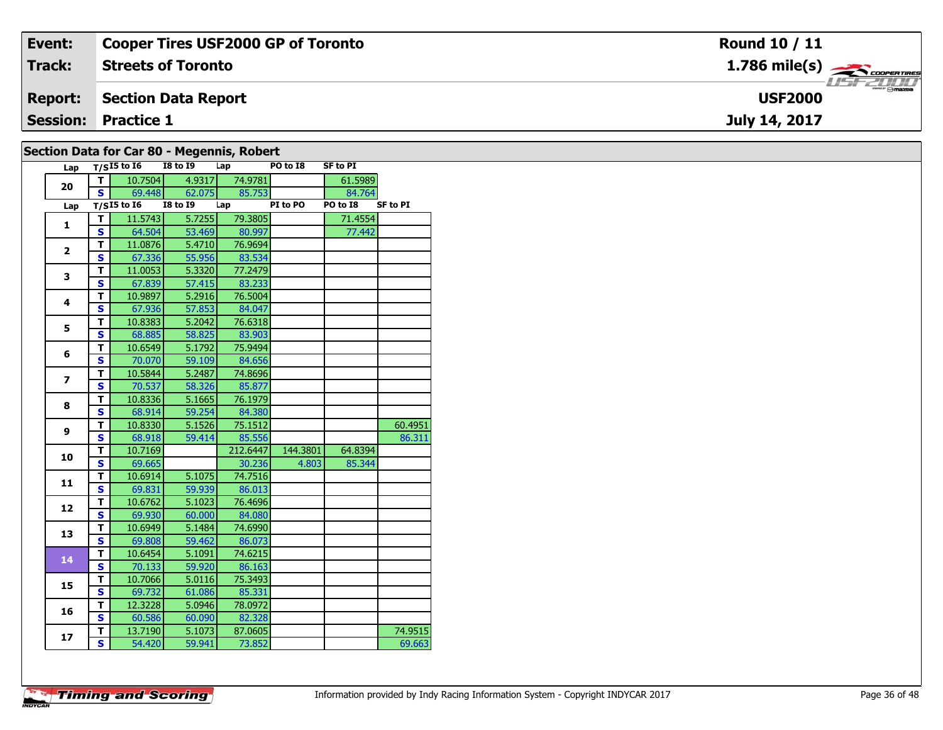| Event:         | <b>Cooper Tires USF2000 GP of Toronto</b> | <b>Round 10 / 11</b>                    |
|----------------|-------------------------------------------|-----------------------------------------|
| <b>Track:</b>  | <b>Streets of Toronto</b>                 | $1.786$ mile(s) $\leftarrow$ coorgaring |
| <b>Report:</b> | Section Data Report                       | <b>USF2000</b>                          |
|                | <b>Session: Practice 1</b>                | July 14, 2017                           |
|                |                                           |                                         |

| Section Data for Car 80 - Megennis, Robert |  |  |  |
|--------------------------------------------|--|--|--|
|--------------------------------------------|--|--|--|

| Lap                     |                         | $T/SI5$ to 16   | <b>I8 to I9</b> | Lap            | PO to I8 | <b>SF to PI</b> |                 |
|-------------------------|-------------------------|-----------------|-----------------|----------------|----------|-----------------|-----------------|
| 20                      | T                       | 10.7504         |                 | 4.9317 74.9781 |          | 61.5989         |                 |
|                         | S.                      | 69.448          | 62.075          | 85.753         |          | 84.764          |                 |
| Lap                     |                         | $T/SI5$ to $I6$ | <b>I8 to 19</b> | Lap            | PI to PO | PO to I8        | <b>SF to PI</b> |
| $\mathbf{1}$            | Т                       | 11.5743         | 5.7255          | 79.3805        |          | 71.4554         |                 |
|                         | $\overline{\mathbf{s}}$ | 64.504          | 53.469          | 80.997         |          | 77.442          |                 |
| $\overline{2}$          | $\overline{\mathsf{r}}$ | 11.0876         | 5.4710          | 76.9694        |          |                 |                 |
|                         | $\mathbf{s}$            | 67.336          | 55.956          | 83.534         |          |                 |                 |
| 3                       | T                       | 11.0053         | 5.3320          | 77.2479        |          |                 |                 |
|                         | S                       | 67.839          | 57.415          | 83.233         |          |                 |                 |
| $\overline{\mathbf{4}}$ | T                       | 10.9897         | 5.2916          | 76.5004        |          |                 |                 |
|                         | S                       | 67.936          | 57.853          | 84.047         |          |                 |                 |
| 5                       | T                       | 10.8383         | 5.2042          | 76.6318        |          |                 |                 |
|                         | S                       | 68.885          | 58.825          | 83.903         |          |                 |                 |
| 6                       | T                       | 10.6549         | 5.1792          | 75.9494        |          |                 |                 |
|                         | $\mathbf{s}$            | 70.070          | 59.109          | 84.656         |          |                 |                 |
| $\overline{ }$          | T                       | 10.5844         | 5.2487          | 74.8696        |          |                 |                 |
|                         | $\overline{\mathbf{s}}$ | 70.537          | 58.326          | 85.877         |          |                 |                 |
| 8                       | T                       | 10.8336         | 5.1665          | 76.1979        |          |                 |                 |
|                         | S                       | 68.914          | 59.254          | 84.380         |          |                 |                 |
| 9                       | T                       | 10.8330         | 5.1526          | 75.1512        |          |                 | 60.4951         |
|                         | S                       | 68.918          | 59.414          | 85.556         |          |                 | 86.311          |
| 10                      | T                       | 10.7169         |                 | 212.6447       | 144.3801 | 64.8394         |                 |
|                         | $\mathbf{s}$            | 69.665          |                 | 30.236         | 4.803    | 85.344          |                 |
| 11                      | T                       | 10.6914         | 5.1075          | 74.7516        |          |                 |                 |
|                         | $\mathbf{s}$            | 69.831          | 59.939          | 86.013         |          |                 |                 |
| 12                      | T                       | 10.6762         | 5.1023          | 76.4696        |          |                 |                 |
|                         | $\mathbf{s}$            | 69.930          | 60.000          | 84.080         |          |                 |                 |
| 13                      | T                       | 10.6949         | 5.1484          | 74.6990        |          |                 |                 |
|                         | S                       | 69.808          | 59.462          | 86.073         |          |                 |                 |
| 14                      | T                       | 10.6454         | 5.1091          | 74.6215        |          |                 |                 |
|                         | S                       | 70.133          | 59.920          | 86.163         |          |                 |                 |
| 15                      | T                       | 10.7066         | 5.0116          | 75.3493        |          |                 |                 |
|                         | S                       | 69.732          | 61.086          | 85.331         |          |                 |                 |
| 16                      | T                       | 12.3228         | 5.0946          | 78.0972        |          |                 |                 |
|                         | $\mathbf{s}$            | 60.586          | 60.090          | 82.328         |          |                 |                 |
| 17                      | T                       | 13.7190         | 5.1073          | 87.0605        |          |                 | 74.9515         |
|                         | S                       | 54.420          | 59.941          | 73.852         |          |                 | 69.663          |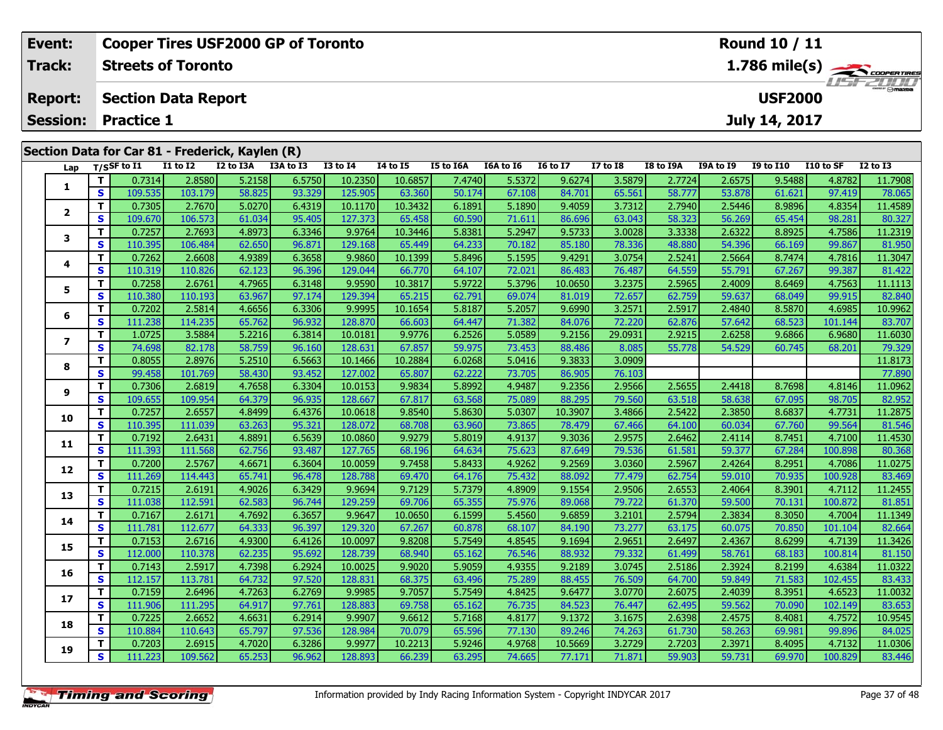| Event:                  |    |                   |                            | <b>Cooper Tires USF2000 GP of Toronto</b>       |           |               | <b>Round 10 / 11</b> |           |           |                 |              |           |                  |                  |           |              |
|-------------------------|----|-------------------|----------------------------|-------------------------------------------------|-----------|---------------|----------------------|-----------|-----------|-----------------|--------------|-----------|------------------|------------------|-----------|--------------|
| <b>Track:</b>           |    |                   | <b>Streets of Toronto</b>  |                                                 |           | 1.786 mile(s) |                      |           |           |                 |              |           |                  |                  |           |              |
| <b>Report:</b>          |    |                   | <b>Section Data Report</b> |                                                 |           |               |                      |           |           |                 |              |           |                  | <b>USF2000</b>   |           | $H = -H$     |
| <b>Session:</b>         |    | <b>Practice 1</b> |                            |                                                 |           |               |                      |           |           |                 |              |           |                  | July 14, 2017    |           |              |
|                         |    |                   |                            |                                                 |           |               |                      |           |           |                 |              |           |                  |                  |           |              |
|                         |    |                   |                            | Section Data for Car 81 - Frederick, Kaylen (R) |           |               |                      |           |           |                 |              |           |                  |                  |           |              |
| Lap                     |    | $T/S$ SF to I1    | <b>I1 to I2</b>            | I2 to I3A                                       | I3A to I3 | $I3$ to $I4$  | <b>I4 to I5</b>      | I5 to I6A | I6A to I6 | <b>16 to 17</b> | $I7$ to $I8$ | I8 to I9A | <b>I9A to I9</b> | <b>I9 to I10</b> | I10 to SF | $I2$ to $I3$ |
|                         |    | 0.7314            | 2.8580                     | 5.2158                                          | 6.5750    | 10.2350       | 10.6857              | 7.4740    | 5.5372    | 9.6274          | 3.5879       | 2.7724    | 2.6575           | 9.5488           | 4.8782    | 11.7908      |
|                         | S. | 109.535           | 103.179                    | 58.825                                          | 93.329    | 125.905       | 63.360               | 50.174    | 67.108    | 84.701          | 65.561       | 58.777    | 53.878           | 61.621           | 97.419    | 78.065       |
| $\overline{\mathbf{2}}$ |    | 0.7305            | 2.7670                     | 5.0270                                          | 6.4319    | 10.1170       | 10.3432              | 6.1891    | 5.1890    | 9.4059          | 3.7312       | 2.7940    | 2.5446           | 8.9896           | 4.8354    | 11.4589      |
|                         | S. | 109.670           | 106.573                    | 61.034                                          | 95.405    | 127.373       | 65.458               | 60.590    | 71.611    | 86.696          | 63.043       | 58.323    | 56.269           | 65.454           | 98.281    | 80.327       |
|                         |    | 0.7257            | 2.7693                     | 4.8973                                          | 6.3346    | 9.9764        | 10.3446              | 5.8381    | 5.2947    | 9.5733          | 3.0028       | 3.3338    | 2.6322           | 8.8925           | 4.7586    | 11.2319      |
| 3                       |    |                   |                            |                                                 |           |               |                      |           |           |                 |              |           |                  |                  |           |              |

| Lap                      |                         | 1/SSF to 11 | <b>TT TO TT</b> | <b>IZ TO TRA</b> | <b>TAG TAG</b> | 12 TO 14 | 14 IO 13 | <b>19 TO TOW</b> | TOW TO TO | TO TO TV | <b>T\ fO TO</b> | TO TO TAM | TAW TO TA | <b>12 TO 1TO</b> | LLU LU SF | TY 10 T2 |
|--------------------------|-------------------------|-------------|-----------------|------------------|----------------|----------|----------|------------------|-----------|----------|-----------------|-----------|-----------|------------------|-----------|----------|
| 1                        | T.                      | 0.7314      | 2.8580          | 5.2158           | 6.5750         | 10.2350  | 10.6857  | 7.4740           | 5.5372    | 9.6274   | 3.5879          | 2.7724    | 2.6575    | 9.5488           | 4.8782    | 11.7908  |
|                          | S                       | 109.535     | 103.179         | 58.825           | 93.329         | 125.905  | 63.360   | 50.174           | 67.108    | 84.701   | 65.561          | 58.777    | 53.878    | 61.621           | 97.419    | 78.065   |
| $\mathbf{2}$             | T.                      | 0.7305      | 2.7670          | 5.0270           | 6.4319         | 10.1170  | 10.3432  | 6.1891           | 5.1890    | 9.4059   | 3.7312          | 2.7940    | 2.5446    | 8.9896           | 4.8354    | 11.4589  |
|                          | S                       | 109.670     | 106.573         | 61.034           | 95.405         | 127.373  | 65.458   | 60.590           | 71.611    | 86.696   | 63.043          | 58.323    | 56.269    | 65.454           | 98.281    | 80.327   |
| 3                        | T.                      | 0.7257      | 2.7693          | 4.8973           | 6.3346         | 9.9764   | 10.3446  | 5.8381           | 5.2947    | 9.5733   | 3.0028          | 3.3338    | 2.6322    | 8.8925           | 4.7586    | 11.2319  |
|                          | S                       | 110.395     | 106.484         | 62.650           | 96.871         | 129.168  | 65.449   | 64.233           | 70.182    | 85.180   | 78.336          | 48.880    | 54.396    | 66.169           | 99.867    | 81.950   |
| 4                        | T.                      | 0.7262      | 2.6608          | 4.9389           | 6.3658         | 9.9860   | 10.1399  | 5.8496           | 5.1595    | 9.4291   | 3.0754          | 2.5241    | 2.5664    | 8.7474           | 4.7816    | 11.3047  |
|                          | S                       | 110.319     | 110.826         | 62.123           | 96.396         | 129.044  | 66.770   | 64.107           | 72.021    | 86.483   | 76.487          | 64.559    | 55.791    | 67.267           | 99.387    | 81.422   |
| 5                        | T.                      | 0.7258      | 2.6761          | 4.7965           | 6.3148         | 9.9590   | 10.3817  | 5.9722           | 5.3796    | 10.0650  | 3.2375          | 2.5965    | 2.4009    | 8.6469           | 4.7563    | 11.1113  |
|                          | S                       | 110.380     | 110.193         | 63.967           | 97.174         | 129.394  | 65.215   | 62.791           | 69.074    | 81.019   | 72.657          | 62.759    | 59.637    | 68.049           | 99.915    | 82.840   |
| 6                        | T.                      | 0.7202      | 2.5814          | 4.6656           | 6.3306         | 9.9995   | 10.1654  | 5.8187           | 5.2057    | 9.6990   | 3.2571          | 2.5917    | 2.4840    | 8.5870           | 4.6985    | 10.9962  |
|                          | S                       | 111.238     | 114.235         | 65.762           | 96.932         | 128.870  | 66.603   | 64.447           | 71.382    | 84.076   | 72.220          | 62.876    | 57.642    | 68.523           | 101.144   | 83.707   |
| $\overline{\phantom{a}}$ | T.                      | 1.0725      | 3.5884          | 5.2216           | 6.3814         | 10.0181  | 9.9776   | 6.2526           | 5.0589    | 9.2156   | 29.0931         | 2.9215    | 2.6258    | 9.6866           | 6.9680    | 11.6030  |
|                          | S                       | 74.698      | 82.178          | 58.759           | 96.160         | 128.631  | 67.857   | 59.975           | 73.453    | 88.486   | 8.085           | 55.778    | 54.529    | 60.745           | 68.201    | 79.329   |
| 8                        | T.                      | 0.8055      | 2.8976          | 5.2510           | 6.5663         | 10.1466  | 10.2884  | 6.0268           | 5.0416    | 9.3833   | 3.0909          |           |           |                  |           | 11.8173  |
|                          | $\mathbf{s}$            | 99.458      | 101.769         | 58.430           | 93.452         | 127.002  | 65.807   | 62.222           | 73.705    | 86.905   | 76.103          |           |           |                  |           | 77.890   |
| 9                        | T.                      | 0.7306      | 2.6819          | 4.7658           | 6.3304         | 10.0153  | 9.9834   | 5.8992           | 4.9487    | 9.2356   | 2.9566          | 2.5655    | 2.4418    | 8.7698           | 4.8146    | 11.0962  |
|                          | $\mathbf{s}$            | 109.655     | 109.954         | 64.379           | 96.935         | 128.667  | 67.817   | 63.568           | 75.089    | 88.295   | 79.560          | 63.518    | 58.638    | 67.095           | 98.705    | 82.952   |
| 10                       | T.                      | 0.7257      | 2.6557          | 4.8499           | 6.4376         | 10.0618  | 9.8540   | 5.8630           | 5.0307    | 10.3907  | 3.4866          | 2.5422    | 2.3850    | 8.6837           | 4.7731    | 11.2875  |
|                          | S                       | 110.395     | 111.039         | 63.263           | 95.321         | 128.072  | 68.708   | 63.960           | 73.865    | 78.479   | 67.466          | 64.100    | 60.034    | 67.760           | 99.564    | 81.546   |
| 11                       | T.                      | 0.7192      | 2.6431          | 4.8891           | 6.5639         | 10.0860  | 9.9279   | 5.8019           | 4.9137    | 9.3036   | 2.9575          | 2.6462    | 2.4114    | 8.7451           | 4.7100    | 11.4530  |
|                          | $\mathbf{s}$            | 111.393     | 111.568         | 62.756           | 93.487         | 127.765  | 68.196   | 64.634           | 75.623    | 87.649   | 79.536          | 61.581    | 59.377    | 67.284           | 100.898   | 80.368   |
| 12                       | T.                      | 0.7200      | 2.5767          | 4.6671           | 6.3604         | 10.0059  | 9.7458   | 5.8433           | 4.9262    | 9.2569   | 3.0360          | 2.5967    | 2.4264    | 8.2951           | 4.7086    | 11.0275  |
|                          | $\mathbf{s}$            | 111.269     | 114.443         | 65.741           | 96.478         | 128.788  | 69.470   | 64.176           | 75.432    | 88.092   | 77.479          | 62.754    | 59.010    | 70.935           | 100.928   | 83.469   |
| 13                       | T.                      | 0.7215      | 2.6191          | 4.9026           | 6.3429         | 9.9694   | 9.7129   | 5.7379           | 4.8909    | 9.1554   | 2.9506          | 2.6553    | 2.4064    | 8.3901           | 4.7112    | 11.2455  |
|                          | S                       | 111.038     | 112.591         | 62.583           | 96.744         | 129.259  | 69.706   | 65.355           | 75.976    | 89.068   | 79.722          | 61.370    | 59.500    | 70.131           | 100.872   | 81.851   |
| 14                       | T.                      | 0.7167      | 2.6171          | 4.7692           | 6.3657         | 9.9647   | 10.0650  | 6.1599           | 5.4560    | 9.6859   | 3.2101          | 2.5794    | 2.3834    | 8.3050           | 4.7004    | 11.1349  |
|                          | S                       | 111.781     | 112.677         | 64.333           | 96.397         | 129.320  | 67.267   | 60.878           | 68.107    | 84.190   | 73.277          | 63.175    | 60.075    | 70.850           | 101.104   | 82.664   |
| 15                       | T.                      | 0.7153      | 2.6716          | 4.9300           | 6.4126         | 10.0097  | 9.8208   | 5.7549           | 4.8545    | 9.1694   | 2.9651          | 2.6497    | 2.4367    | 8.6299           | 4.7139    | 11.3426  |
|                          | $\overline{\mathbf{s}}$ | 112.000     | 110.378         | 62.235           | 95.692         | 128.739  | 68.940   | 65.162           | 76.546    | 88.932   | 79.332          | 61.499    | 58.761    | 68.183           | 100.814   | 81.150   |
| 16                       | T.                      | 0.7143      | 2.5917          | 4.7398           | 6.2924         | 10.0025  | 9.9020   | 5.9059           | 4.9355    | 9.2189   | 3.0745          | 2.5186    | 2.3924    | 8.2199           | 4.6384    | 11.0322  |
|                          | $\mathbf s$             | 112.157     | 113.781         | 64.732           | 97.520         | 128.831  | 68.375   | 63.496           | 75.289    | 88.455   | 76.509          | 64.700    | 59.849    | 71.583           | 102.455   | 83.433   |
| 17                       | T.                      | 0.7159      | 2.6496          | 4.7263           | 6.2769         | 9.9985   | 9.7057   | 5.7549           | 4.8425    | 9.6477   | 3.0770          | 2.6075    | 2.4039    | 8.3951           | 4.6523    | 11.0032  |
|                          | S                       | 111.906     | 111.295         | 64.917           | 97.761         | 128.883  | 69.758   | 65.162           | 76.735    | 84.523   | 76.447          | 62.495    | 59.562    | 70.090           | 102.149   | 83.653   |
| 18                       | T.                      | 0.7225      | 2.6652          | 4.6631           | 6.2914         | 9.9907   | 9.6612   | 5.7168           | 4.8177    | 9.1372   | 3.1675          | 2.6398    | 2.4575    | 8.4081           | 4.7572    | 10.9545  |
|                          | S                       | 110.884     | 110.643         | 65.797           | 97.536         | 128.984  | 70.079   | 65.596           | 77.130    | 89.246   | 74.263          | 61.730    | 58.263    | 69.981           | 99.896    | 84.025   |
| 19                       | T.                      | 0.7203      | 2.6915          | 4.7020           | 6.3286         | 9.9977   | 10.2213  | 5.9246           | 4.9768    | 10.5669  | 3.2729          | 2.7203    | 2.3971    | 8.4095           | 4.7132    | 11.0306  |
|                          | S                       | 111.223     | 109.562         | 65.253           | 96.962         | 128.893  | 66.239   | 63.295           | 74.665    | 77.171   | 71.871          | 59.903    | 59.731    | 69.970           | 100.829   | 83.446   |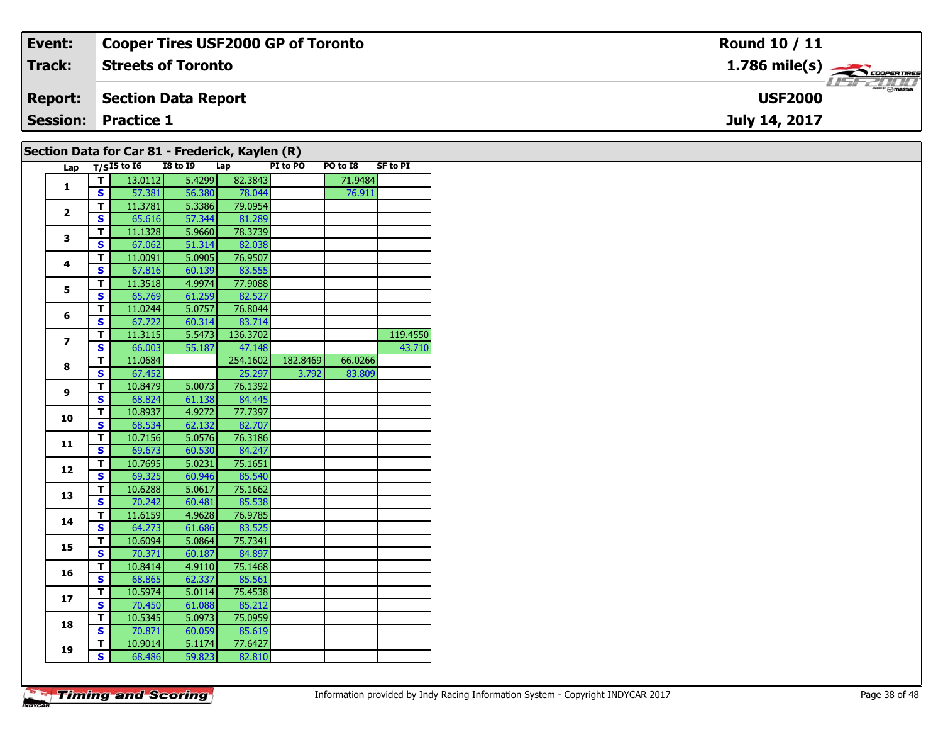| Event:          | <b>Cooper Tires USF2000 GP of Toronto</b> | Round 10 / 11                             |
|-----------------|-------------------------------------------|-------------------------------------------|
| <b>Track:</b>   | <b>Streets of Toronto</b>                 | $1.786$ mile(s) $\rightarrow$ coorganges  |
| <b>Report:</b>  | Section Data Report                       | <i><b>LISF 2000</b></i><br><b>USF2000</b> |
| <b>Session:</b> | <b>Practice 1</b>                         | July 14, 2017                             |
|                 |                                           |                                           |

| Lap            |                         | $T/SI5$ to $I6$ | <b>I8 to I9</b> | Lap      | PI to PO | PO to I8 | <b>SF to PI</b> |
|----------------|-------------------------|-----------------|-----------------|----------|----------|----------|-----------------|
|                | т                       | 13.0112         | 5.4299          | 82.3843  |          | 71.9484  |                 |
| $\mathbf{1}$   | S.                      | 57.381          | 56.380          | 78.044   |          | 76.911   |                 |
|                | T.                      | 11.3781         | 5.3386          | 79.0954  |          |          |                 |
| $\mathbf{2}$   | S                       | 65.616          | 57.344          | 81.289   |          |          |                 |
|                | T                       | 11.1328         | 5.9660          | 78.3739  |          |          |                 |
| 3              | $\overline{\mathbf{s}}$ | 67.062          | 51.314          | 82.038   |          |          |                 |
|                | T.                      | 11.0091         | 5.0905          | 76.9507  |          |          |                 |
| 4              | $\overline{\mathbf{s}}$ | 67.816          | 60.139          | 83.555   |          |          |                 |
|                | T                       | 11.3518         | 4.9974          | 77.9088  |          |          |                 |
| 5              | $\overline{\mathbf{s}}$ | 65.769          | 61.259          | 82.527   |          |          |                 |
|                | T.                      | 11.0244         | 5.0757          | 76.8044  |          |          |                 |
| 6              | $\overline{\mathbf{s}}$ | 67.722          | 60.314          | 83.714   |          |          |                 |
|                | т                       | 11.3115         | 5.5473          | 136.3702 |          |          | 119.4550        |
| $\overline{ }$ | S                       | 66.003          | 55.187          | 47.148   |          |          | 43.710          |
| 8              | $\overline{\mathsf{r}}$ | 11.0684         |                 | 254.1602 | 182.8469 | 66.0266  |                 |
|                | $\overline{\mathbf{s}}$ | 67.452          |                 | 25.297   | 3.792    | 83.809   |                 |
| 9              | Ŧ                       | 10.8479         | 5.0073          | 76.1392  |          |          |                 |
|                | S                       | 68.824          | 61.138          | 84.445   |          |          |                 |
| 10             | T                       | 10.8937         | 4.9272          | 77.7397  |          |          |                 |
|                | S                       | 68.534          | 62.132          | 82.707   |          |          |                 |
| 11             | т                       | 10.7156         | 5.0576          | 76.3186  |          |          |                 |
|                | S                       | 69.673          | 60.530          | 84.247   |          |          |                 |
| 12             | T                       | 10.7695         | 5.0231          | 75.1651  |          |          |                 |
|                | $\overline{\mathbf{s}}$ | 69.325          | 60.946          | 85.540   |          |          |                 |
| 13             | $\overline{\mathsf{T}}$ | 10.6288         | 5.0617          | 75.1662  |          |          |                 |
|                | $\overline{\mathbf{s}}$ | 70.242          | 60.481          | 85.538   |          |          |                 |
| 14             | T                       | 11.6159         | 4.9628          | 76.9785  |          |          |                 |
|                | $\overline{\mathbf{s}}$ | 64.273          | 61.686          | 83.525   |          |          |                 |
| 15             | Ŧ                       | 10.6094         | 5.0864          | 75.7341  |          |          |                 |
|                | $\overline{\mathbf{s}}$ | 70.371          | 60.187          | 84.897   |          |          |                 |
| 16             | T.                      | 10.8414         | 4.9110          | 75.1468  |          |          |                 |
|                | S                       | 68.865          | 62.337          | 85.561   |          |          |                 |
| 17             | T                       | 10.5974         | 5.0114          | 75.4538  |          |          |                 |
|                | S                       | 70.450          | 61.088          | 85.212   |          |          |                 |
| 18             | $\overline{\mathsf{r}}$ | 10.5345         | 5.0973          | 75.0959  |          |          |                 |
|                | $\overline{\mathbf{s}}$ | 70.871          | 60.059          | 85.619   |          |          |                 |
| 19             | T                       | 10.9014         | 5.1174          | 77.6427  |          |          |                 |
|                | $\overline{\mathbf{s}}$ | 68.486          | 59.823          | 82.810   |          |          |                 |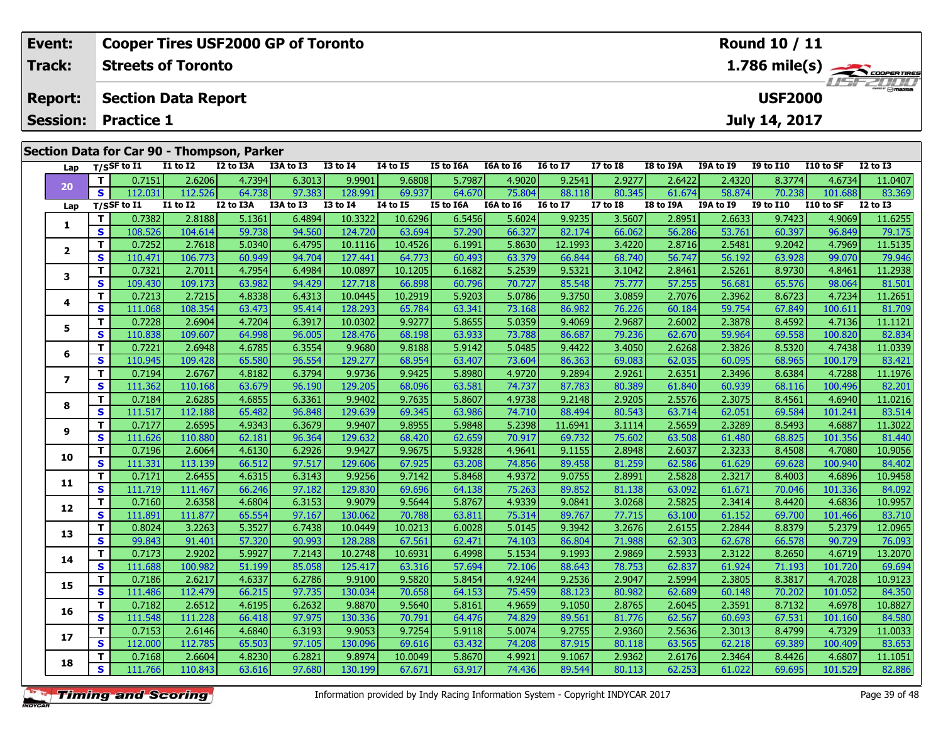| Event:         | <b>Cooper Tires USF2000 GP of Toronto</b>                     |                | Round 10 / 11                                                                        |                |                |                |                 |                 |                 |                     |                 |
|----------------|---------------------------------------------------------------|----------------|--------------------------------------------------------------------------------------|----------------|----------------|----------------|-----------------|-----------------|-----------------|---------------------|-----------------|
| <b>Track:</b>  | <b>Streets of Toronto</b>                                     |                | $1.786$ mile(s) $\overbrace{\hspace{2.5cm}}^{3.78}$ coorer TIRES<br><b>LISF 2000</b> |                |                |                |                 |                 |                 |                     |                 |
| <b>Report:</b> | Section Data Report                                           |                |                                                                                      |                |                |                |                 |                 | <b>USF2000</b>  |                     |                 |
|                | <b>Session: Practice 1</b>                                    |                |                                                                                      |                |                |                |                 |                 | July 14, 2017   |                     |                 |
|                | Section Data for Car 90 - Thompson, Parker<br><b>TO 1. 74</b> | . <del>.</del> | <b>TEAL TAA</b>                                                                      | <b>TAA  TA</b> | <b>TALL TO</b> | <b>THAT TO</b> | <b>FOL. TOA</b> | <b>TAA 1 TA</b> | <b>TALL TAA</b> | <b>FAA 5 - 65 -</b> | <b>TO 44 TO</b> |

| Lap            |             | $T/S$ SF to I1 | I1 to I2     | I2 to I3A | I3A to I3 | <b>I3 to I4</b> | 14 to 15     | I5 to I6A        | I6A to I6 | <b>16 to 17</b> | <b>I7 to I8</b> | I8 to I9A        | I9A to I9        | <b>I9 to I10</b> | I10 to SF | <b>I2 to I3</b> |
|----------------|-------------|----------------|--------------|-----------|-----------|-----------------|--------------|------------------|-----------|-----------------|-----------------|------------------|------------------|------------------|-----------|-----------------|
| 20             | T.          | 0.7151         | 2.6206       | 4.7394    | 6.3013    | 9.9901          | 9.6808       | 5.7987           | 4.9020    | 9.2541          | 2.9277          | 2.6422           | 2.4320           | 8.3774           | 4.6734    | 11.0407         |
|                | S           | 112.031        | 112.526      | 64.738    | 97.383    | 128.991         | 69.937       | 64.670           | 75.804    | 88.118          | 80.345          | 61.674           | 58.874           | 70.238           | 101.688   | 83.369          |
| Lap            |             | T/SSF to 11    | $I1$ to $I2$ | I2 to I3A | I3A to I3 | <b>I3 to I4</b> | $I4$ to $I5$ | <b>I5 to I6A</b> | I6A to I6 | <b>I6 to I7</b> | <b>I7 to I8</b> | <b>I8 to I9A</b> | <b>I9A to I9</b> | <b>I9 to I10</b> | I10 to SF | <b>I2 to I3</b> |
| 1              | T.          | 0.7382         | 2.8188       | 5.1361    | 6.4894    | 10.3322         | 10.6296      | 6.5456           | 5.6024    | 9.9235          | 3.5607          | 2.8951           | 2.6633           | 9.7423           | 4.9069    | 11.6255         |
|                | S           | 108.526        | 104.614      | 59.738    | 94.560    | 124.720         | 63.694       | 57.290           | 66.327    | 82.174          | 66.062          | 56.286           | 53.761           | 60.397           | 96.849    | 79.175          |
| $\mathbf{2}$   | T.          | 0.7252         | 2.7618       | 5.0340    | 6.4795    | 10.1116         | 10.4526      | 6.1991           | 5.8630    | 12.1993         | 3.4220          | 2.8716           | 2.5481           | 9.2042           | 4.7969    | 11.5135         |
|                | S           | 110.471        | 106.773      | 60.949    | 94.704    | 127.441         | 64.773       | 60.493           | 63.379    | 66.844          | 68.740          | 56.747           | 56.192           | 63.928           | 99.070    | 79.946          |
| 3              | T.          | 0.7321         | 2.7011       | 4.7954    | 6.4984    | 10.0897         | 10.1205      | 6.1682           | 5.2539    | 9.5321          | 3.1042          | 2.8461           | 2.5261           | 8.9730           | 4.8461    | 11.2938         |
|                | S           | 109.430        | 109.173      | 63.982    | 94.429    | 127.718         | 66.898       | 60.796           | 70.727    | 85.548          | 75.777          | 57.255           | 56.681           | 65.576           | 98.064    | 81.501          |
| 4              | T.          | 0.7213         | 2.7215       | 4.8338    | 6.4313    | 10.0445         | 10.2919      | 5.9203           | 5.0786    | 9.3750          | 3.0859          | 2.7076           | 2.3962           | 8.6723           | 4.7234    | 11.2651         |
|                | S           | 111.068        | 108.354      | 63.473    | 95.414    | 128.293         | 65.784       | 63.341           | 73.168    | 86.982          | 76.226          | 60.184           | 59.754           | 67.849           | 100.611   | 81.709          |
| 5              | T.          | 0.7228         | 2.6904       | 4.7204    | 6.3917    | 10.0302         | 9.9277       | 5.8655           | 5.0359    | 9.4069          | 2.9687          | 2.6002           | 2.3878           | 8.4592           | 4.7136    | 11.1121         |
|                | S           | 110.838        | 109.607      | 64.998    | 96.005    | 128.476         | 68.198       | 63.933           | 73.788    | 86.687          | 79.236          | 62.670           | 59.964           | 69.558           | 100.820   | 82.834          |
| 6              | T.          | 0.7221         | 2.6948       | 4.6785    | 6.3554    | 9.9680          | 9.8188       | 5.9142           | 5.0485    | 9.4422          | 3.4050          | 2.6268           | 2.3826           | 8.5320           | 4.7438    | 11.0339         |
|                | S           | 110.945        | 109.428      | 65.580    | 96.554    | 129.277         | 68.954       | 63.407           | 73.604    | 86.363          | 69.083          | 62.035           | 60.095           | 68.965           | 100.179   | 83.421          |
| $\overline{ }$ | T.          | 0.7194         | 2.6767       | 4.8182    | 6.3794    | 9.9736          | 9.9425       | 5.8980           | 4.9720    | 9.2894          | 2.9261          | 2.6351           | 2.3496           | 8.6384           | 4.7288    | 11.1976         |
|                | S           | 111.362        | 110.168      | 63.679    | 96.190    | 129.205         | 68.096       | 63.581           | 74.737    | 87.783          | 80.389          | 61.840           | 60.939           | 68.116           | 100.496   | 82.201          |
| 8              | T.          | 0.7184         | 2.6285       | 4.6855    | 6.3361    | 9.9402          | 9.7635       | 5.8607           | 4.9738    | 9.2148          | 2.9205          | 2.5576           | 2.3075           | 8.4561           | 4.6940    | 11.0216         |
|                | S           | 111.517        | 112.188      | 65.482    | 96.848    | 129.639         | 69.345       | 63.986           | 74.710    | 88.494          | 80.543          | 63.714           | 62.051           | 69.584           | 101.241   | 83.514          |
| 9              | T           | 0.7177         | 2.6595       | 4.9343    | 6.3679    | 9.9407          | 9.8955       | 5.9848           | 5.2398    | 11.6941         | 3.1114          | 2.5659           | 2.3289           | 8.5493           | 4.6887    | 11.3022         |
|                | $\mathbf s$ | 111.626        | 110.880      | 62.181    | 96.364    | 129.632         | 68.420       | 62.659           | 70.917    | 69.732          | 75.602          | 63.508           | 61.480           | 68.825           | 101.356   | 81.440          |
| 10             | T.          | 0.7196         | 2.6064       | 4.6130    | 6.2926    | 9.9427          | 9.9675       | 5.9328           | 4.9641    | 9.1155          | 2.8948          | 2.6037           | 2.3233           | 8.4508           | 4.7080    | 10.9056         |
|                | S           | 111.331        | 113.139      | 66.512    | 97.517    | 129.606         | 67.925       | 63.208           | 74.856    | 89.458          | 81.259          | 62.586           | 61.629           | 69.628           | 100.940   | 84.402          |
| 11             | T.          | 0.7171         | 2.6455       | 4.6315    | 6.3143    | 9.9256          | 9.7142       | 5.8468           | 4.9372    | 9.0755          | 2.8991          | 2.5828           | 2.3217           | 8.4003           | 4.6896    | 10.9458         |
|                | S           | 111.719        | 111.467      | 66.246    | 97.182    | 129.830         | 69.696       | 64.138           | 75.263    | 89.852          | 81.138          | 63.092           | 61.671           | 70.046           | 101.336   | 84.092          |
| 12             | T.          | 0.7160         | 2.6358       | 4.6804    | 6.3153    | 9.9079          | 9.5644       | 5.8767           | 4.9339    | 9.0841          | 3.0268          | 2.5825           | 2.3414           | 8.4420           | 4.6836    | 10.9957         |
|                | S           | 111.891        | 111.877      | 65.554    | 97.167    | 130.062         | 70.788       | 63.811           | 75.314    | 89.767          | 77.715          | 63.100           | 61.152           | 69.700           | 101.466   | 83.710          |
| 13             | T.          | 0.8024         | 3.2263       | 5.3527    | 6.7438    | 10.0449         | 10.0213      | 6.0028           | 5.0145    | 9.3942          | 3.2676          | 2.6155           | 2.2844           | 8.8379           | 5.2379    | 12.0965         |
|                | S           | 99.843         | 91.401       | 57.320    | 90.993    | 128,288         | 67.561       | 62.471           | 74.103    | 86.804          | 71.988          | 62.303           | 62.678           | 66.578           | 90.729    | 76.093          |
| 14             | T.          | 0.7173         | 2.9202       | 5.9927    | 7.2143    | 10.2748         | 10.6931      | 6.4998           | 5.1534    | 9.1993          | 2.9869          | 2.5933           | 2.3122           | 8.2650           | 4.6719    | 13.2070         |
|                | S           | 111.688        | 100.982      | 51.199    | 85.058    | 125.417         | 63.316       | 57.694           | 72.106    | 88.643          | 78.753          | 62.837           | 61.924           | 71.193           | 101.720   | 69.694          |
| 15             | T.          | 0.7186         | 2.6217       | 4.6337    | 6.2786    | 9.9100          | 9.5820       | 5.8454           | 4.9244    | 9.2536          | 2.9047          | 2.5994           | 2.3805           | 8.3817           | 4.7028    | 10.9123         |
|                | S           | 111.486        | 112.479      | 66.215    | 97.735    | 130.034         | 70.658       | 64.153           | 75.459    | 88.123          | 80.982          | 62.689           | 60.148           | 70.202           | 101.052   | 84.350          |
| 16             | T.          | 0.7182         | 2.6512       | 4.6195    | 6.2632    | 9.8870          | 9.5640       | 5.8161           | 4.9659    | 9.1050          | 2.8765          | 2.6045           | 2.3591           | 8.7132           | 4.6978    | 10.8827         |
|                | S           | 111.548        | 111.228      | 66.418    | 97.975    | 130.336         | 70.791       | 64.476           | 74.829    | 89.561          | 81.776          | 62.567           | 60.693           | 67.531           | 101.160   | 84.580          |
| 17             | T.          | 0.7153         | 2.6146       | 4.6840    | 6.3193    | 9.9053          | 9.7254       | 5.9118           | 5.0074    | 9.2755          | 2.9360          | 2.5636           | 2.3013           | 8.4799           | 4.7329    | 11.0033         |
|                | S           | 112.000        | 112.785      | 65.503    | 97.105    | 130.096         | 69.616       | 63.432           | 74.208    | 87.915          | 80.118          | 63.565           | 62.218           | 69.389           | 100.409   | 83.653          |
| 18             | T.          | 0.7168         | 2.6604       | 4.8230    | 6.2821    | 9.8974          | 10.0049      | 5.8670           | 4.9921    | 9.1067          | 2.9362          | 2.6176           | 2.3464           | 8.4426           | 4.6807    | 11.1051         |
|                | S           | 111.766        | 110.843      | 63.616    | 97.680    | 130.199         | 67.671       | 63.917           | 74.436    | 89.544          | 80.113          | 62.253           | 61.022           | 69.695           | 101.529   | 82.886          |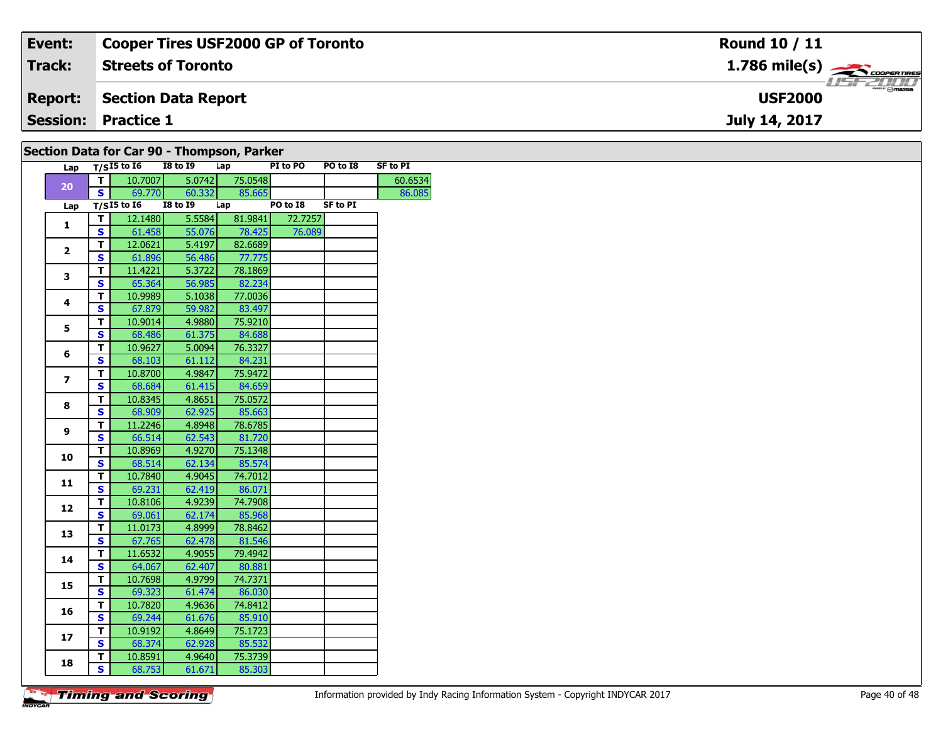| Event:         | <b>Cooper Tires USF2000 GP of Toronto</b> | <b>Round 10 / 11</b>                               |
|----------------|-------------------------------------------|----------------------------------------------------|
| Track:         | <b>Streets of Toronto</b>                 | $1.786$ mile(s) $\frac{1.786}{2.00$ F COOPER TIRES |
| <b>Report:</b> | Section Data Report                       | <b>USF2000</b>                                     |
|                | <b>Session: Practice 1</b>                | July 14, 2017                                      |
|                | $0.111$ Deta fragment of Themsen Devices  |                                                    |

| Section Data for Car 90 - Thompson, Parker |                         |                   |                 |         |          |                 |                 |  |  |  |  |
|--------------------------------------------|-------------------------|-------------------|-----------------|---------|----------|-----------------|-----------------|--|--|--|--|
|                                            |                         | Lap $T/SI5$ to 16 | <b>I8 to 19</b> | Lap     | PI to PO | PO to I8        | <b>SF to PI</b> |  |  |  |  |
|                                            | $\mathbf{T}$            | 10.7007           | 5.0742          | 75.0548 |          |                 | 60.6534         |  |  |  |  |
| 20                                         | S                       | 69.770            | 60.332          | 85.665  |          |                 | 86.085          |  |  |  |  |
| Lap                                        |                         | $T/SI5$ to $I6$   | <b>I8 to 19</b> | Lap     | PO to I8 | <b>SF to PI</b> |                 |  |  |  |  |
|                                            | $\mathbf T$             | 12.1480           | 5.5584          | 81.9841 | 72.7257  |                 |                 |  |  |  |  |
| 1                                          | S                       | 61.458            | 55.076          | 78.425  | 76.089   |                 |                 |  |  |  |  |
|                                            | $\mathbf T$             | 12.0621           | 5.4197          | 82.6689 |          |                 |                 |  |  |  |  |
| $\overline{2}$                             | $\mathbf{s}$            | 61.896            | 56.486          | 77.775  |          |                 |                 |  |  |  |  |
|                                            | T                       | 11.4221           | 5.3722          | 78.1869 |          |                 |                 |  |  |  |  |
| 3                                          | $\mathbf{s}$            | 65.364            | 56.985          | 82.234  |          |                 |                 |  |  |  |  |
|                                            | T                       | 10.9989           | 5.1038          | 77.0036 |          |                 |                 |  |  |  |  |
| 4                                          | <b>S</b>                | 67.879            | 59.982          | 83.497  |          |                 |                 |  |  |  |  |
|                                            | T                       | 10.9014           | 4.9880          | 75.9210 |          |                 |                 |  |  |  |  |
| 5                                          | $\mathbf{s}$            | 68.486            | 61.375          | 84.688  |          |                 |                 |  |  |  |  |
|                                            | T                       | 10.9627           | 5.0094          | 76.3327 |          |                 |                 |  |  |  |  |
| 6                                          | $\mathbf{s}$            | 68.103            | 61.112          | 84.231  |          |                 |                 |  |  |  |  |
|                                            | T                       | 10.8700           | 4.9847          | 75.9472 |          |                 |                 |  |  |  |  |
| $\overline{\mathbf{z}}$                    | S                       | 68.684            | 61.415          | 84.659  |          |                 |                 |  |  |  |  |
|                                            | $\mathbf T$             | 10.8345           | 4.8651          | 75.0572 |          |                 |                 |  |  |  |  |
| 8                                          | $\mathbf{s}$            | 68.909            | 62.925          | 85.663  |          |                 |                 |  |  |  |  |
|                                            | $\mathbf T$             | 11.2246           | 4.8948          | 78.6785 |          |                 |                 |  |  |  |  |
| 9                                          | $\mathbf{s}$            | 66.514            | 62.543          | 81.720  |          |                 |                 |  |  |  |  |
|                                            | T                       | 10.8969           | 4.9270          | 75.1348 |          |                 |                 |  |  |  |  |
| 10                                         | <b>S</b>                | 68.514            | 62.134          | 85.574  |          |                 |                 |  |  |  |  |
|                                            | T                       | 10.7840           | 4.9045          | 74.7012 |          |                 |                 |  |  |  |  |
| 11                                         | $\overline{\mathbf{s}}$ | 69.231            | 62.419          | 86.071  |          |                 |                 |  |  |  |  |
|                                            | T                       | 10.8106           | 4.9239          | 74.7908 |          |                 |                 |  |  |  |  |
| 12                                         | $\mathbf{s}$            | 69.061            | 62.174          | 85.968  |          |                 |                 |  |  |  |  |
|                                            | $\overline{\mathsf{T}}$ | 11.0173           | 4.8999          | 78.8462 |          |                 |                 |  |  |  |  |
| 13                                         | $\mathbf{s}$            | 67.765            | 62.478          | 81.546  |          |                 |                 |  |  |  |  |
|                                            | T                       | 11.6532           | 4.9055          | 79.4942 |          |                 |                 |  |  |  |  |
| 14                                         | <b>S</b>                | 64.067            | 62.407          | 80.881  |          |                 |                 |  |  |  |  |
|                                            | T                       | 10.7698           | 4.9799          | 74.7371 |          |                 |                 |  |  |  |  |
| 15                                         | S                       | 69.323            | 61.474          | 86.030  |          |                 |                 |  |  |  |  |
|                                            | $\mathbf T$             | 10.7820           | 4.9636          | 74.8412 |          |                 |                 |  |  |  |  |
| 16                                         | $\mathbf{s}$            | 69.244            | 61.676          | 85.910  |          |                 |                 |  |  |  |  |
|                                            |                         | 10.9192           | 4.8649          | 75.1723 |          |                 |                 |  |  |  |  |
| 17                                         | T<br>S                  | 68.374            | 62.928          | 85.532  |          |                 |                 |  |  |  |  |
|                                            |                         | 10.8591           | 4.9640          | 75.3739 |          |                 |                 |  |  |  |  |
| 18                                         | T                       |                   |                 |         |          |                 |                 |  |  |  |  |
|                                            | $\mathbf{s}$            | 68.753            | 61.671          | 85.303  |          |                 |                 |  |  |  |  |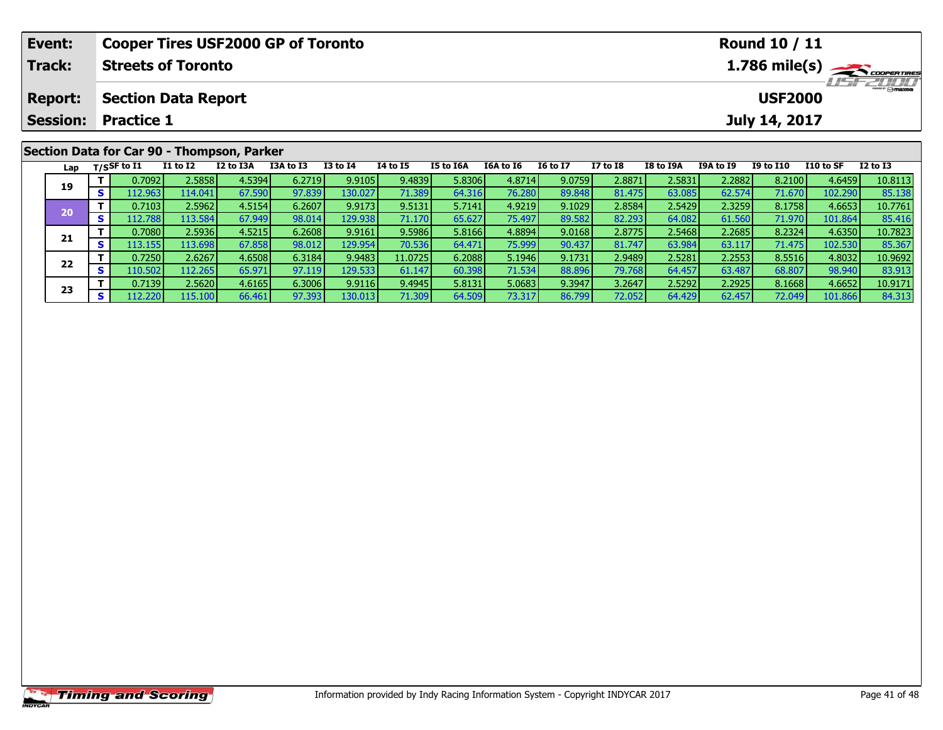| Event:          |          |                           |                            | <b>Cooper Tires USF2000 GP of Toronto</b>  |           |                 |          |           |                  |                 |                 |           |                                                                     | Round 10 / 11    |           |          |  |  |  |
|-----------------|----------|---------------------------|----------------------------|--------------------------------------------|-----------|-----------------|----------|-----------|------------------|-----------------|-----------------|-----------|---------------------------------------------------------------------|------------------|-----------|----------|--|--|--|
| Track:          |          | <b>Streets of Toronto</b> |                            |                                            |           |                 |          |           |                  |                 |                 |           | $1.786$ mile(s) $\rightarrow$ coorgannes<br><i><b>LISF 2000</b></i> |                  |           |          |  |  |  |
| <b>Report:</b>  |          |                           | <b>Section Data Report</b> |                                            |           |                 |          |           |                  |                 |                 |           |                                                                     | <b>USF2000</b>   |           |          |  |  |  |
| <b>Session:</b> |          | <b>Practice 1</b>         |                            |                                            |           |                 |          |           |                  |                 |                 |           |                                                                     | July 14, 2017    |           |          |  |  |  |
|                 |          |                           |                            | Section Data for Car 90 - Thompson, Parker |           |                 |          |           |                  |                 |                 |           |                                                                     |                  |           |          |  |  |  |
|                 |          | Lap $T/SSF$ to I1         | $I1$ to $I2$               | I2 to I3A                                  | I3A to I3 | <b>I3 to I4</b> | 14 to 15 | I5 to I6A | <b>I6A to I6</b> | <b>16 to 17</b> | <b>I7 to I8</b> | I8 to I9A | <b>I9A to I9</b>                                                    | <b>I9 to I10</b> | I10 to SF | I2 to I3 |  |  |  |
| 19              |          | 0.7092                    | 2.5858                     | 4.5394                                     | 6.2719    | 9.9105          | 9.4839   | 5.8306    | 4.8714           | 9.0759          | 2.8871          | 2.5831    | 2.2882                                                              | 8.2100           | 4.6459    | 10.8113  |  |  |  |
|                 | <b>S</b> | 112.9631                  | 114.041                    | 67.590                                     | 97.839    | 130.027         | 71.389   | 64.316    | 76.280           | 89.848          | 81.475          | 63.085    | 62.574                                                              | 71.670           | 102.290   | 85.138   |  |  |  |

0 T 0.7103 2.5962 4.5154 6.2607 9.9173 9.5131 5.7141 4.9219 9.1029 2.8584 2.5429 2.3259 8.1758 4.6653 10.7761<br>S 112.788 113.584 67.949 98.014 129.938 71.170 65.627 75.497 89.582 82.293 64.082 61.560 71.970 101.864 85.416

**<sup>T</sup>** 0.7080 2.5936 4.5215 6.2608 9.9161 9.5986 5.8166 4.8894 9.0168 2.8775 2.5468 2.2685 8.2324 4.6350 10.7823 **<sup>S</sup>** 113.155 113.698 67.858 98.012 129.954 70.536 64.471 75.999 90.437 81.747 63.984 63.117 71.475 102.530 85.367

**<sup>T</sup>** 0.7250 2.6267 4.6508 6.3184 9.9483 11.0725 6.2088 5.1946 9.1731 2.9489 2.5281 2.2553 8.5516 4.8032 10.9692 **<sup>S</sup>** 110.502 112.265 65.971 97.119 129.533 61.147 60.398 71.534 88.896 79.768 64.457 63.487 68.807 98.940 83.913

3 T 0.7139 2.5620 4.6165 6.3006 9.9116 9.4945 5.8131 5.0683 9.3947 3.2647 2.5292 2.2925 8.1668 4.6652 10.9171<br>S 112.220 115.100 66.461 97.393 130.013 71.309 64.509 73.317 86.799 72.052 64.429 62.457 72.049 101.866 84.313

**20**

**21**

**22**

**23**

85.416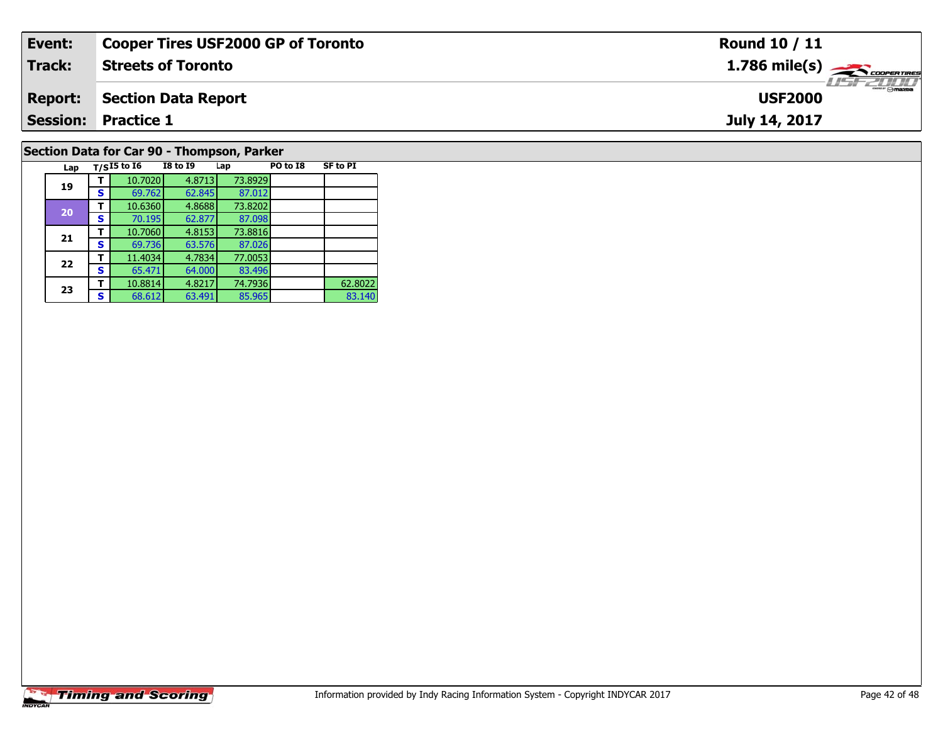| Event:                                    | <b>Cooper Tires USF2000 GP of Toronto</b> | <b>Round 10 / 11</b>                                      |  |  |  |  |  |  |  |
|-------------------------------------------|-------------------------------------------|-----------------------------------------------------------|--|--|--|--|--|--|--|
| Track:                                    | <b>Streets of Toronto</b>                 | $1.786$ mile(s) $\overbrace{\hspace{2.5cm}}$ coorer TIRES |  |  |  |  |  |  |  |
| <b>Report:</b>                            | Section Data Report                       | <b>USF2000</b>                                            |  |  |  |  |  |  |  |
|                                           | <b>Session: Practice 1</b>                | July 14, 2017                                             |  |  |  |  |  |  |  |
| Section Data for Car 90 - Thompson Darker |                                           |                                                           |  |  |  |  |  |  |  |

### **Section Data for Car 90 - Thompson, Parker**

| Lap |   | $T/SI5$ to $I6$ | <b>I8 to I9</b> | Lap     | PO to I8 | <b>SF to PI</b> |
|-----|---|-----------------|-----------------|---------|----------|-----------------|
| 19  |   | 10.7020         | 4.8713          | 73.8929 |          |                 |
|     | S | 69.762          | 62.845          | 87.012  |          |                 |
|     |   | 10.6360         | 4.8688          | 73.8202 |          |                 |
| 20  | s | 70.195          | 62.877          | 87.098  |          |                 |
| 21  |   | 10.7060         | 4.8153          | 73.8816 |          |                 |
|     | s | 69.736          | 63.576          | 87.026  |          |                 |
| 22  | т | 11.4034         | 4.7834          | 77.0053 |          |                 |
|     | s | 65.471          | 64.000          | 83.496  |          |                 |
|     |   | 10.8814         | 4.8217          | 74.7936 |          | 62.8022         |
| 23  | s | 68.612          | 63.491          | 85.965  |          | 83.140          |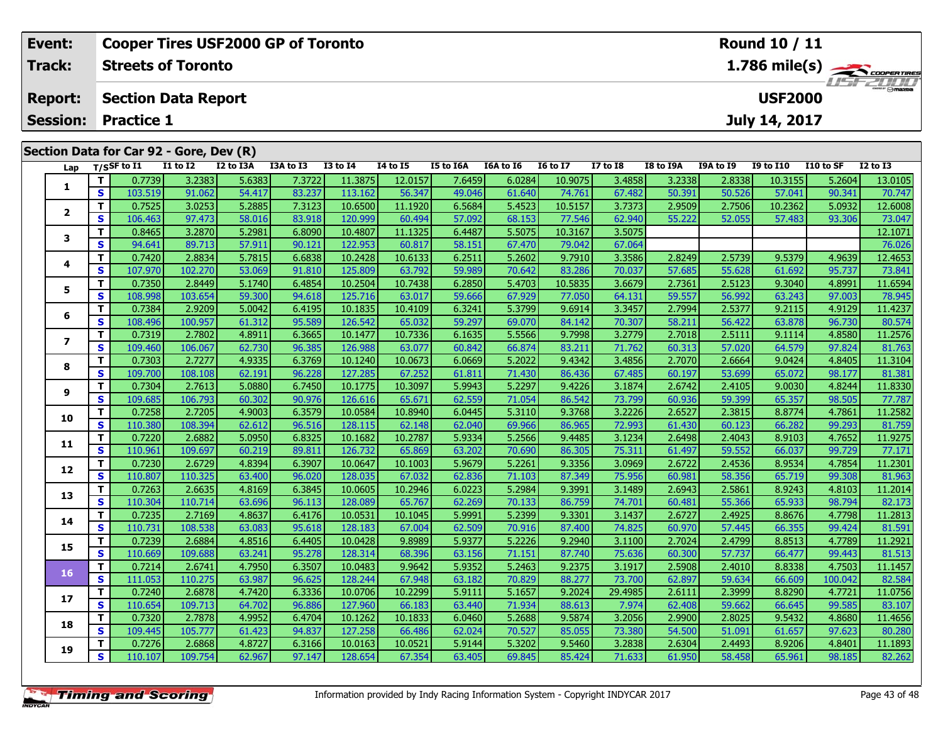|                                                       | Event:                  |          |                                         | <b>Cooper Tires USF2000 GP of Toronto</b> |           |           |                 |                 |           |           |                 |                 |                                            | Round 10 / 11 |                  |           |              |  |
|-------------------------------------------------------|-------------------------|----------|-----------------------------------------|-------------------------------------------|-----------|-----------|-----------------|-----------------|-----------|-----------|-----------------|-----------------|--------------------------------------------|---------------|------------------|-----------|--------------|--|
|                                                       | Track:                  |          | <b>Streets of Toronto</b>               |                                           |           |           |                 |                 |           |           |                 |                 | $1.786$ mile(s) $\rightarrow$ COOPER TIRES |               |                  |           |              |  |
| <b>Report:</b>                                        |                         |          | <b>Section Data Report</b>              |                                           |           |           |                 |                 |           |           |                 |                 | $H = -2HH$<br><b>USF2000</b>               |               |                  |           |              |  |
| <b>Session:</b><br>July 14, 2017<br><b>Practice 1</b> |                         |          |                                         |                                           |           |           |                 |                 |           |           |                 |                 |                                            |               |                  |           |              |  |
|                                                       |                         |          | Section Data for Car 92 - Gore, Dev (R) |                                           |           |           |                 |                 |           |           |                 |                 |                                            |               |                  |           |              |  |
|                                                       | Lap                     |          | T/SSF to I1                             | I1 to I2                                  | I2 to I3A | I3A to I3 | <b>I3 to I4</b> | <b>I4 to I5</b> | I5 to I6A | I6A to I6 | <b>16 to 17</b> | <b>I7 to I8</b> | I8 to I9A                                  | I9A to I9     | <b>I9 to I10</b> | I10 to SF | $I2$ to $I3$ |  |
|                                                       |                         |          | 0.7739                                  | 3.2383                                    | 5.6383    | 7.3722    | 11.3875         | 12.0157         | 7.6459    | 6.0284    | 10.9075         | 3.4858          | 3.2338                                     | 2.8338        | 10.3155          | 5.2604    | 13.0105      |  |
|                                                       |                         | <b>S</b> | 103.519                                 | 91.062                                    | 54.417    | 83.237    | 113.162         | 56.347          | 49.046    | 61.640    | 74.761          | 67.482          | 50.391                                     | 50.526        | 57.041           | 90.341    | 70.747       |  |
|                                                       | $\overline{\mathbf{2}}$ |          | 0.7525                                  | 3.0253                                    | 5.2885    | 7.3123    | 10.6500         | 11.1920         | 6.5684    | 5.4523    | 10.5157         | 3.7373          | 2.9509                                     | 2.7506        | 10.2362          | 5.0932    | 12.6008      |  |
|                                                       |                         | S        | 106.463                                 | 97.473                                    | 58.016    | 83.918    | 120.999         | 60.494          | 57.092    | 68.153    | 77.546          | 62.940          | 55.222                                     | 52.055        | 57.483           | 93.306    | 73.047       |  |
|                                                       | 3                       | т        | 0.8465                                  | 3.2870                                    | 5.2981    | 6.8090    | 10.4807         | 11.1325         | 6.4487    | 5.5075    | 10.3167         | 3.5075          |                                            |               |                  |           | 12.1071      |  |
|                                                       |                         | S        | 94.641                                  | 89.713                                    | 57.911    | 90.121    | 122.953         | 60.817          | 58.151    | 67.470    | 79.042          | 67.064          |                                            |               |                  |           | 76.026       |  |
|                                                       |                         | т        | 0.7420                                  | 2.8834                                    | 5.7815    | 6.6838    | 10.2428         | 10.6133         | 6.2511    | 5.2602    | 9.7910          | 3.3586          | 2.8249                                     | 2.5739        | 9.5379           | 4.9639    | 12.4653      |  |
|                                                       | 4                       | <b>S</b> | 107.970                                 | 102.270                                   | 53.069    | 91.810    | 125.809         | 63.792          | 59.989    | 70.642    | 83.286          | 70.037          | 57.685                                     | 55.628        | 61.692           | 95.737    | 73.841       |  |
|                                                       | 5                       | т        | 0.7350                                  | 2.8449                                    | 5.1740    | 6.4854    | 10.2504         | 10.7438         | 6.2850    | 5.4703    | 10.5835         | 3.6679          | 2.7361                                     | 2.5123        | 9.3040           | 4.8991    | 11.6594      |  |
|                                                       |                         | <b>S</b> | 108.998                                 | 103.654                                   | 59.300    | 94.618    | 125.716         | 63.017          | 59.666    | 67.929    | 77.050          | 64.131          | 59.557                                     | 56.992        | 63.243           | 97.003    | 78.945       |  |
|                                                       |                         |          | 0.7384                                  | 2.9209                                    | 5.0042    | 6.4195    | 10.1835         | 10.4109         | 6.3241    | 5.3799    | 9.6914          | 3.3457          | 2.7994                                     | 2.5377        | 9.2115           | 4.9129    | 11.4237      |  |
|                                                       | 6                       | <b>S</b> | 108.496                                 | 100.957                                   | 61.312    | 95.589    | 126.542         | 65.032          | 59.297    | 69.070    | 84.142          | 70.307          | 58.211                                     | 56.422        | 63.878           | 96.730    | 80.574       |  |

7 | T | 0.7319| 2.7802| 4.8911| 6.3665| 10.1477| 10.7336| 6.1635| 5.5566| 9.7998| 3.2779| 2.7018| 2.5111| 9.1114| 4.8580| 11.2576<br>7 | S | 109.460 106.067| 62.730| 96.385| 126.988| 63.077| 60.842| 66.874| 83.211| 71.762| 60

**<sup>T</sup>** 0.7303 2.7277 4.9335 6.3769 10.1240 10.0673 6.0669 5.2022 9.4342 3.4856 2.7070 2.6664 9.0424 4.8405 11.3104 **<sup>S</sup>** 109.700 108.108 62.191 96.228 127.285 67.252 61.811 71.430 86.436 67.485 60.197 53.699 65.072 98.177 81.381

**<sup>T</sup>** 0.7304 2.7613 5.0880 6.7450 10.1775 10.3097 5.9943 5.2297 9.4226 3.1874 2.6742 2.4105 9.0030 4.8244 11.8330 **<sup>S</sup>** 109.685 106.793 60.302 90.976 126.616 65.671 62.559 71.054 86.542 73.799 60.936 59.399 65.357 98.505 77.787

0 T 0.7258 2.7205 4.9003 6.3579 10.0584 10.8940 6.0445 5.3110 9.3768 3.2226 2.6527 2.3815 8.8774 4.7861 11.2582<br>S 110.380 108.394 62.612 96.516 128.115 62.148 62.040 69.966 86.965 72.993 61.430 60.123 66.282 99.293 81.759

**<sup>T</sup>** 0.7220 2.6882 5.0950 6.8325 10.1682 10.2787 5.9334 5.2566 9.4485 3.1234 2.6498 2.4043 8.9103 4.7652 11.9275 **<sup>S</sup>** 110.961 109.697 60.219 89.811 126.732 65.869 63.202 70.690 86.305 75.311 61.497 59.552 66.037 99.729 77.171

2 T 0.7230 2.6729 4.8394 6.3907 10.0647 10.1003 5.9679 5.2261 9.3356 3.0969 2.6722 2.4536 8.9534 4.7854 11.2301<br>2 S 110.807 110.325 63.400 96.020 128.035 67.032 62.836 71.103 87.349 75.956 60.981 58.356 65.719 99.308 81.96

3 T 0.7263 2.6635 4.8169 6.3845 10.0605 10.2946 6.0223 5.2984 9.3991 3.1489 2.6943 2.5861 8.9243 4.8103 11.2014<br>S 110.304 110.714 63.696 96.113 128.089 65.767 62.269 70.133 86.759 74.701 60.481 55.366 65.933 98.794 82.173

4 | **T** | 0.7235| 2.7169| 4.8637| 6.4176| 10.0531| 10.1045| 5.9991| 5.2399| 9.3301| 3.1437| 2.6727| 2.4925| 8.8676| 4.7798| 11.2813<br>- S | 110.731| 108.538| 63.083| 95.618| 128.183| 67.004| 62.509| 70.916| 87.400| 74.825| 6

5 T 0.7239 2.6884 4.8516 6.4405 10.0428 9.8989 5.9377 5.2226 9.2940 3.1100 2.7024 2.4799 8.8513 4.7789 11.2921<br>5 S 110.669 109.688 63.241 95.278 128.314 68.396 63.156 71.151 87.740 75.636 60.300 57.737 66.477 99.443 81.513

**<sup>T</sup>** 0.7214 2.6741 4.7950 6.3507 10.0483 9.9642 5.9352 5.2463 9.2375 3.1917 2.5908 2.4010 8.8338 4.7503 11.1457 **<sup>S</sup>** 111.053 110.275 63.987 96.625 128.244 67.948 63.182 70.829 88.277 73.700 62.897 59.634 66.609 100.042 82.584

7 T 0.7240 2.6878 4.7420 6.3336 10.0706 10.2299 5.9111 5.1657 9.2024 29.4985 2.6111 2.3999 8.8290 4.7721 11.0756<br>7 S 110.654 109.713 64.702 96.886 127.960 66.183 63.440 71.934 88.613 7.974 62.408 59.662 66.645 99.585 83.10

8 T 0.7320 2.7878 4.9952 6.4704 10.1262 10.1833 6.0460 5.2688 9.5874 3.2056 2.9900 2.8025 9.5432 4.8680 11.4656<br>S 109.445 105.777 61.423 94.837 127.258 66.486 62.024 70.527 85.055 73.380 54.500 51.091 61.657 97.623 80.280

**<sup>T</sup>** 0.7276 2.6868 4.8727 6.3166 10.0163 10.0521 5.9144 5.3202 9.5460 3.2838 2.6304 2.4493 8.9206 4.8401 11.1893 **<sup>S</sup>** 110.107 109.754 62.967 97.147 128.654 67.354 63.405 69.845 85.424 71.633 61.950 58.458 65.961 98.185 82.262

**7**

**8**

**9**

**10**

**11**

**12**

**13**

**14**

**15**

**16**

**17**

**18**

**19**

81.763

77.787

81.963

82.173

81.591

83.107

80.28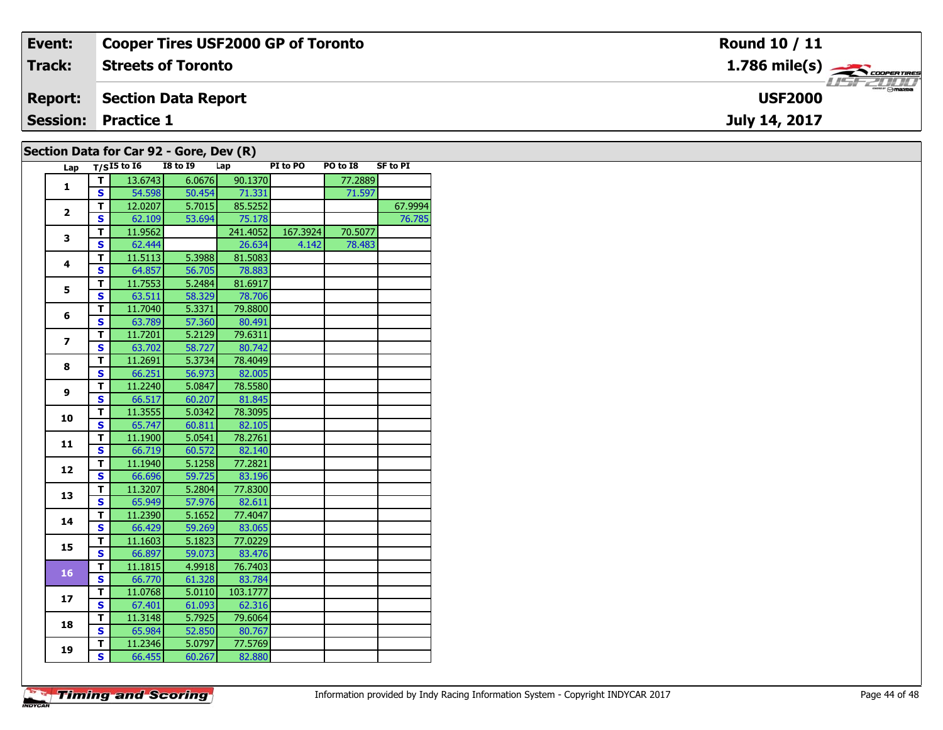| Event:         | Cooper Tires USF2000 GP of Toronto      | Round 10 / 11                         |
|----------------|-----------------------------------------|---------------------------------------|
| <b>Track:</b>  | <b>Streets of Toronto</b>               | $1.786$ mile(s) $\frac{1}{2}$         |
| <b>Report:</b> | Section Data Report                     | $\frac{1}{2}$ mazoe<br><b>USF2000</b> |
|                | <b>Session: Practice 1</b>              | July 14, 2017                         |
|                | Section Data for Car 92 - Gore, Dev (R) |                                       |

| Lap          |                         | $T/SI5$ to $I6$ | <b>I8 to I9</b> | Lap      | PI to PO | PO to I8 | <b>SF to PI</b> |
|--------------|-------------------------|-----------------|-----------------|----------|----------|----------|-----------------|
|              | т                       | 13.6743         | 6.0676          | 90.1370  |          | 77.2889  |                 |
| 1            | $\mathbf{s}$            | 54.598          | 50.454          | 71.331   |          | 71.597   |                 |
|              | т                       | 12.0207         | 5.7015          | 85.5252  |          |          | 67.9994         |
| $\mathbf{2}$ | $\mathbf{s}$            | 62.109          | 53.694          | 75.178   |          |          | 76.785          |
| 3            | T                       | 11.9562         |                 | 241.4052 | 167.3924 | 70.5077  |                 |
|              | $\mathbf{s}$            | 62.444          |                 | 26.634   | 4.142    | 78.483   |                 |
| 4            | T                       | 11.5113         | 5.3988          | 81.5083  |          |          |                 |
|              | $\mathbf{s}$            | 64.857          | 56.705          | 78.883   |          |          |                 |
| 5            | T                       | 11.7553         | 5.2484          | 81.6917  |          |          |                 |
|              | S                       | 63.511          | 58.329          | 78.706   |          |          |                 |
| 6            | T                       | 11.7040         | 5.3371          | 79.8800  |          |          |                 |
|              | $\mathbf{s}$            | 63.789          | 57.360          | 80.491   |          |          |                 |
| 7            | T                       | 11.7201         | 5.2129          | 79.6311  |          |          |                 |
|              | $\mathbf{s}$            | 63.702          | 58.727          | 80.742   |          |          |                 |
| 8            | T                       | 11.2691         | 5.3734          | 78.4049  |          |          |                 |
|              | $\mathbf{s}$            | 66.251          | 56.973          | 82.005   |          |          |                 |
| 9            | Т                       | 11.2240         | 5.0847          | 78.5580  |          |          |                 |
|              | $\mathbf{s}$            | 66.517          | 60.207          | 81.845   |          |          |                 |
| 10           | T                       | 11.3555         | 5.0342          | 78.3095  |          |          |                 |
|              | S                       | 65.747          | 60.811          | 82.105   |          |          |                 |
| 11           | T                       | 11.1900         | 5.0541          | 78.2761  |          |          |                 |
|              | S                       | 66.719          | 60.572          | 82.140   |          |          |                 |
| 12           | T                       | 11.1940         | 5.1258          | 77.2821  |          |          |                 |
|              | S                       | 66.696          | 59.725          | 83.196   |          |          |                 |
| 13           | T                       | 11.3207         | 5.2804          | 77.8300  |          |          |                 |
|              | S                       | 65.949          | 57.976          | 82.611   |          |          |                 |
| 14           | т                       | 11.2390         | 5.1652          | 77.4047  |          |          |                 |
|              | $\overline{\mathbf{s}}$ | 66.429          | 59.269          | 83.065   |          |          |                 |
| 15           | T                       | 11.1603         | 5.1823          | 77.0229  |          |          |                 |
|              | S                       | 66.897          | 59.073          | 83.476   |          |          |                 |
| 16           | T                       | 11.1815         | 4.9918          | 76.7403  |          |          |                 |
|              | $\mathbf{s}$            | 66.770          | 61.328          | 83.784   |          |          |                 |
| 17           | т                       | 11.0768         | 5.0110          | 103.1777 |          |          |                 |
|              | $\overline{\mathbf{s}}$ | 67.401          | 61.093          | 62.316   |          |          |                 |
| 18           | T                       | 11.3148         | 5.7925          | 79.6064  |          |          |                 |
|              | S                       | 65.984          | 52.850          | 80.767   |          |          |                 |
| 19           | T                       | 11.2346         | 5.0797          | 77.5769  |          |          |                 |
|              | S                       | 66.455          | 60.267          | 82.880   |          |          |                 |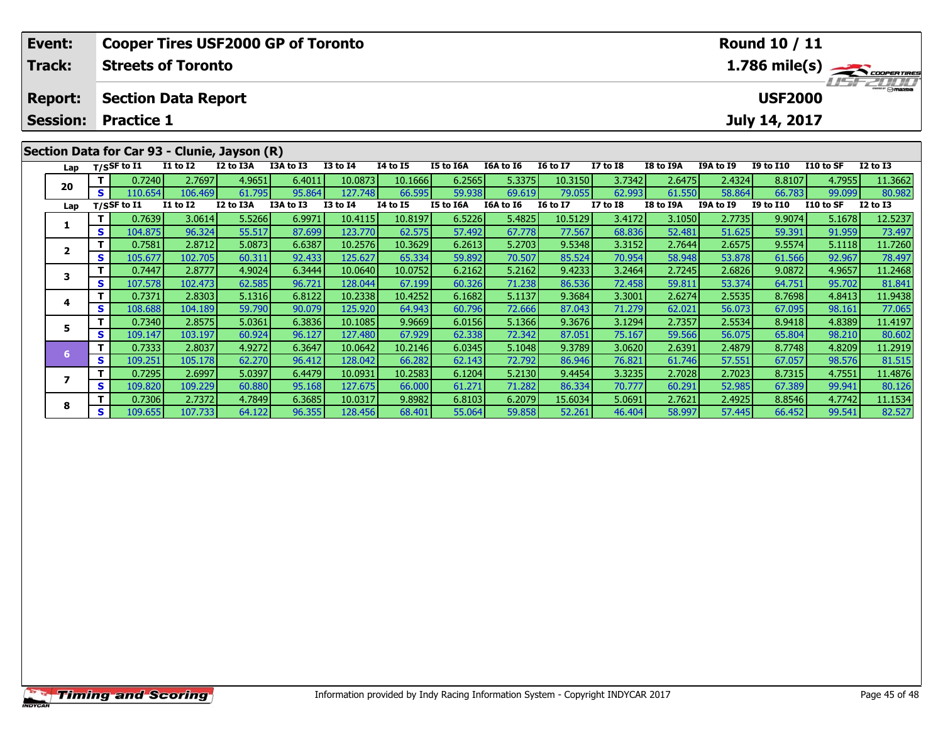| Event:                   |                 | <b>Cooper Tires USF2000 GP of Toronto</b>    |                           |           |           |          |          |           |           |                | Round 10 / 11   |           |           |               |           |                 |
|--------------------------|-----------------|----------------------------------------------|---------------------------|-----------|-----------|----------|----------|-----------|-----------|----------------|-----------------|-----------|-----------|---------------|-----------|-----------------|
| Track:<br><b>Report:</b> |                 |                                              | <b>Streets of Toronto</b> |           |           |          |          |           |           |                | <b>USFZULU</b>  |           |           |               |           |                 |
|                          |                 | <b>Section Data Report</b>                   |                           |           |           |          |          |           |           | <b>USF2000</b> |                 |           |           |               |           |                 |
|                          | <b>Session:</b> | <b>Practice 1</b>                            |                           |           |           |          |          |           |           |                |                 |           |           | July 14, 2017 |           |                 |
|                          |                 | Section Data for Car 93 - Clunie, Jayson (R) |                           |           |           |          |          |           |           |                |                 |           |           |               |           |                 |
|                          |                 | Lap T/SSF to I1                              | <b>I1 to I2</b>           | I2 to I3A | I3A to I3 | I3 to I4 | 14 to 15 | I5 to I6A | I6A to I6 | I6 to I7       | <b>I7 to I8</b> | I8 to I9A | I9A to I9 | I9 to I10     | I10 to SF | <b>I2 to I3</b> |

0 | T | 0.7240| 2.7697| 4.9651| 6.4011| 10.0873| 10.1666| 6.2565| 5.3375| 10.3150| 3.7342| 2.6475| 2.4324| 8.8107| 4.7955| 11.3662<br>| S | 110.654| 106.469| 61.795| 95.864| 127.748| 66.595| 59.938| 69.619| 79.055| 62.993| 61 **Lap T/SSF to I1 I1 to I2 I2 to I3A I3A to I3 I3 to I4 I4 to I5 I5 to I6A I6A to I6 I6 to I7 I7 to I8 I8 to I9A I9A to I9 I9 to I10 I10 to SF I2 to I3** 

**<sup>T</sup>** 0.7639 3.0614 5.5266 6.9971 10.4115 10.8197 6.5226 5.4825 10.5129 3.4172 3.1050 2.7735 9.9074 5.1678 12.5237 **<sup>S</sup>** 104.875 96.324 55.517 87.699 123.770 62.575 57.492 67.778 77.567 68.836 52.481 51.625 59.391 91.959 73.497

2 | T | 0.7581| 2.8712| 5.0873| 6.6387| 10.2576| 10.3629| 6.2613| 5.2703| 9.5348| 3.3152| 2.7644| 2.6575| 9.5574| 5.1118| 11.7260<br>| S | 105.677| 102.705| 60.311| 92.433| 125.627| 65.334| 59.892| 70.507| 85.524| 70.954| 58.

3 T 0.7447 2.8777 4.9024 6.3444 10.0640 10.0752 6.2162 5.2162 9.4233 3.2464 2.7245 2.6826 9.0872 4.9657 11.2468<br>S S 107.578 102.473 62.585 96.721 128.044 67.199 60.326 71.238 86.536 72.458 59.811 53.374 64.751 95.702 81.84

4 T 0.7371 2.8303 5.1316 6.8122 10.2338 10.4252 6.1682 5.1137 9.3684 3.3001 2.6274 2.5535 8.7698 4.8413 11.9438<br>T S 108.688 104.189 59.790 90.079 125.920 64.943 60.796 72.666 87.043 71.279 62.021 56.073 67.095 98.161 77.06

**<sup>T</sup>** 0.7340 2.8575 5.0361 6.3836 10.1085 9.9669 6.0156 5.1366 9.3676 3.1294 2.7357 2.5534 8.9418 4.8389 11.4197 **<sup>S</sup>** 109.147 103.197 60.924 96.127 127.480 67.929 62.338 72.342 87.051 75.167 59.566 56.075 65.804 98.210 80.602

6 T | 0.7333 2.8037 4.9272 6.3647 10.0642 10.2146 6.0345 5.1048 9.3789 3.0620 2.6391 2.4879 8.7748 4.8209 11.2919<br>5 S 109.251 105.178 62.270 96.412 128.042 66.282 62.143 72.792 86.946 76.821 61.746 57.551 67.057 98.576 81.

7 | T | 0.7295| 2.6997| 5.0397| 6.4479| 10.0931| 10.2583| 6.1204| 5.2130| 9.4454| 3.3235| 2.7028| 2.7023| 8.7315| 4.7551| 11.4876<br>7 | S | 109.820 109.229| 60.880| 95.168| 127.675| 66.000| 61.271| 71.282| 86.334| 70.777| 60

8 | **T** | 0.7306| 2.7372| 4.7849| 6.3685| 10.0317| 9.8982| 6.8103| 6.2079| 15.6034| 5.0691| 2.7621| 2.4925| 8.8546| 4.7742| 11.1534<br>| S | 109.655| 107.733| 64.122| 96.355| 128.456| 68.401| 55.064| 59.858| 52.261| 46.404| 5

|  | <b>Timing and Scoring</b> |  |
|--|---------------------------|--|
|  |                           |  |

**20**

**1**

**2**

**3**

**4**

**5**

**6**

**7**

**8**

80.602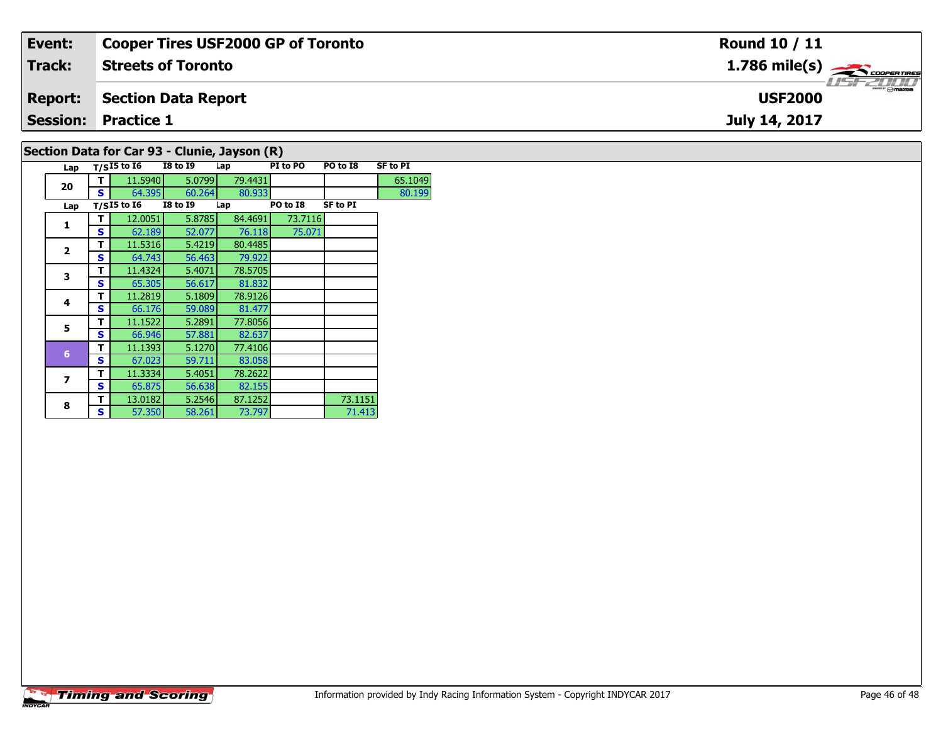| Event:         | <b>Cooper Tires USF2000 GP of Toronto</b>   | <b>Round 10 / 11</b>                     |
|----------------|---------------------------------------------|------------------------------------------|
| Track:         | <b>Streets of Toronto</b>                   | $1.786$ mile(s) $\rightarrow$ coorganges |
| <b>Report:</b> | Section Data Report                         | <b>USF2000</b>                           |
|                | <b>Session: Practice 1</b>                  | July 14, 2017                            |
|                | Section Data for Car 03 - Clunie Javson (D) |                                          |

# **Section Data for Car 93 - Clunie, Jayson (R)**

| Lap            |   | $T/SI5$ to $\overline{16}$ | <b>I8 to 19</b> | Lap     | PI to PO | PO to I8        | <b>SF to PI</b> |
|----------------|---|----------------------------|-----------------|---------|----------|-----------------|-----------------|
| 20             | т | 11.5940                    | 5.0799          | 79.4431 |          |                 | 65.1049         |
|                | s | 64.395                     | 60.264          | 80.933  |          |                 | 80.199          |
| Lap            |   | $T/SI5$ to $I6$            | <b>I8 to 19</b> | Lap     | PO to I8 | <b>SF to PI</b> |                 |
| 1              | т | 12.0051                    | 5.8785          | 84.4691 | 73.7116  |                 |                 |
|                | S | 62.189                     | 52.077          | 76.118  | 75.071   |                 |                 |
| $\mathbf{z}$   | т | 11.5316                    | 5.4219          | 80.4485 |          |                 |                 |
|                | S | 64.743                     | 56.463          | 79.922  |          |                 |                 |
|                | т | 11.4324                    | 5.4071          | 78.5705 |          |                 |                 |
| 3              | S | 65.305                     | 56.617          | 81.832  |          |                 |                 |
| 4              | т | 11.2819                    | 5.1809          | 78.9126 |          |                 |                 |
|                | S | 66.176                     | 59.089          | 81.477  |          |                 |                 |
| 5              | т | 11.1522                    | 5.2891          | 77.8056 |          |                 |                 |
|                | S | 66.946                     | 57.881          | 82.637  |          |                 |                 |
| $6\phantom{a}$ | т | 11.1393                    | 5.1270          | 77.4106 |          |                 |                 |
|                | S | 67.023                     | 59.711          | 83.058  |          |                 |                 |
| 7              | т | 11.3334                    | 5.4051          | 78.2622 |          |                 |                 |
|                | S | 65.875                     | 56.638          | 82.155  |          |                 |                 |
| 8              | т | 13.0182                    | 5.2546          | 87.1252 |          | 73.1151         |                 |
|                | s | 57.350                     | 58.261          | 73.797  |          | 71.413          |                 |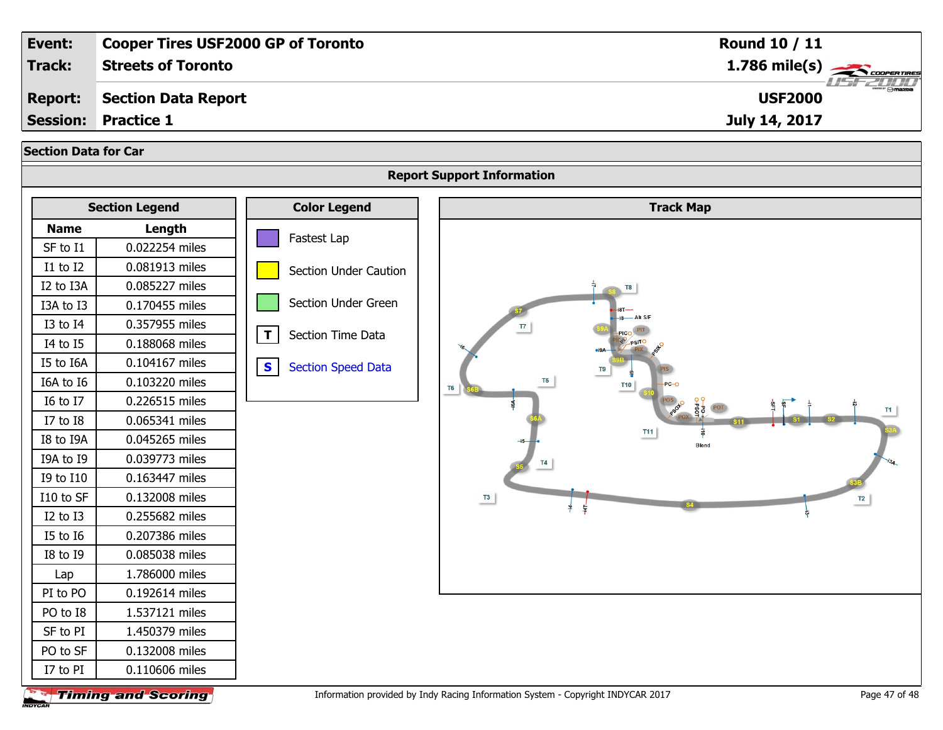| Event:                      |                                               | <b>Cooper Tires USF2000 GP of Toronto</b> | Round 10 / 11                                                                                    |
|-----------------------------|-----------------------------------------------|-------------------------------------------|--------------------------------------------------------------------------------------------------|
| Track:                      | <b>Streets of Toronto</b>                     |                                           | $1.786$ mile(s)                                                                                  |
| <b>Report:</b>              | <b>Section Data Report</b>                    |                                           | <b>USF2000</b>                                                                                   |
| <b>Session:</b>             | <b>Practice 1</b>                             |                                           | July 14, 2017                                                                                    |
| <b>Section Data for Car</b> |                                               |                                           |                                                                                                  |
|                             |                                               |                                           | <b>Report Support Information</b>                                                                |
|                             |                                               |                                           |                                                                                                  |
|                             | <b>Section Legend</b>                         | <b>Color Legend</b>                       | <b>Track Map</b>                                                                                 |
| <b>Name</b>                 | Length                                        | Fastest Lap                               |                                                                                                  |
| SF to I1                    | 0.022254 miles                                |                                           |                                                                                                  |
| I1 to I2                    | 0.081913 miles                                | Section Under Caution                     |                                                                                                  |
| I2 to I3A                   | 0.085227 miles                                |                                           |                                                                                                  |
| I3A to I3                   | 0.170455 miles                                | Section Under Green                       |                                                                                                  |
| I3 to I4                    | 0.357955 miles                                | $\mathbf{T}$<br>Section Time Data         | $\overline{17}$<br>PICO                                                                          |
| I4 to I5                    | 0.188068 miles                                |                                           |                                                                                                  |
| I5 to I6A                   | 0.104167 miles                                | $\mathbf{s}$<br><b>Section Speed Data</b> | T9                                                                                               |
| I6A to I6                   | 0.103220 miles                                |                                           | <b>T10</b><br>T <sub>6</sub>                                                                     |
| I6 to I7                    | 0.226515 miles                                |                                           |                                                                                                  |
| I7 to I8                    | 0.065341 miles                                |                                           | <b>T11</b>                                                                                       |
| I8 to I9A                   | 0.045265 miles                                |                                           | <b>Blend</b>                                                                                     |
| I9A to I9                   | 0.039773 miles                                |                                           |                                                                                                  |
| I9 to I10                   | 0.163447 miles                                |                                           |                                                                                                  |
| I10 to SF                   | 0.132008 miles                                |                                           | $^{T3}$<br>T2                                                                                    |
| I2 to I3                    | 0.255682 miles                                |                                           |                                                                                                  |
| I5 to I6                    | 0.207386 miles                                |                                           |                                                                                                  |
| I8 to I9                    | 0.085038 miles                                |                                           |                                                                                                  |
| Lap                         | 1.786000 miles                                |                                           |                                                                                                  |
| PI to PO                    | 0.192614 miles                                |                                           |                                                                                                  |
| PO to I8                    | 1.537121 miles                                |                                           |                                                                                                  |
| SF to PI                    | 1.450379 miles                                |                                           |                                                                                                  |
| PO to SF                    | 0.132008 miles                                |                                           |                                                                                                  |
| I7 to PI                    | 0.110606 miles<br><b>The Line and Reading</b> |                                           | Information provided by Indy Pacing Information System - Convright INDVCAR 2017<br>Dago 47 of 49 |

**Timing and Scoring** INDYCAR

Information provided by Indy Racing Information System - Copyright INDYCAR 2017